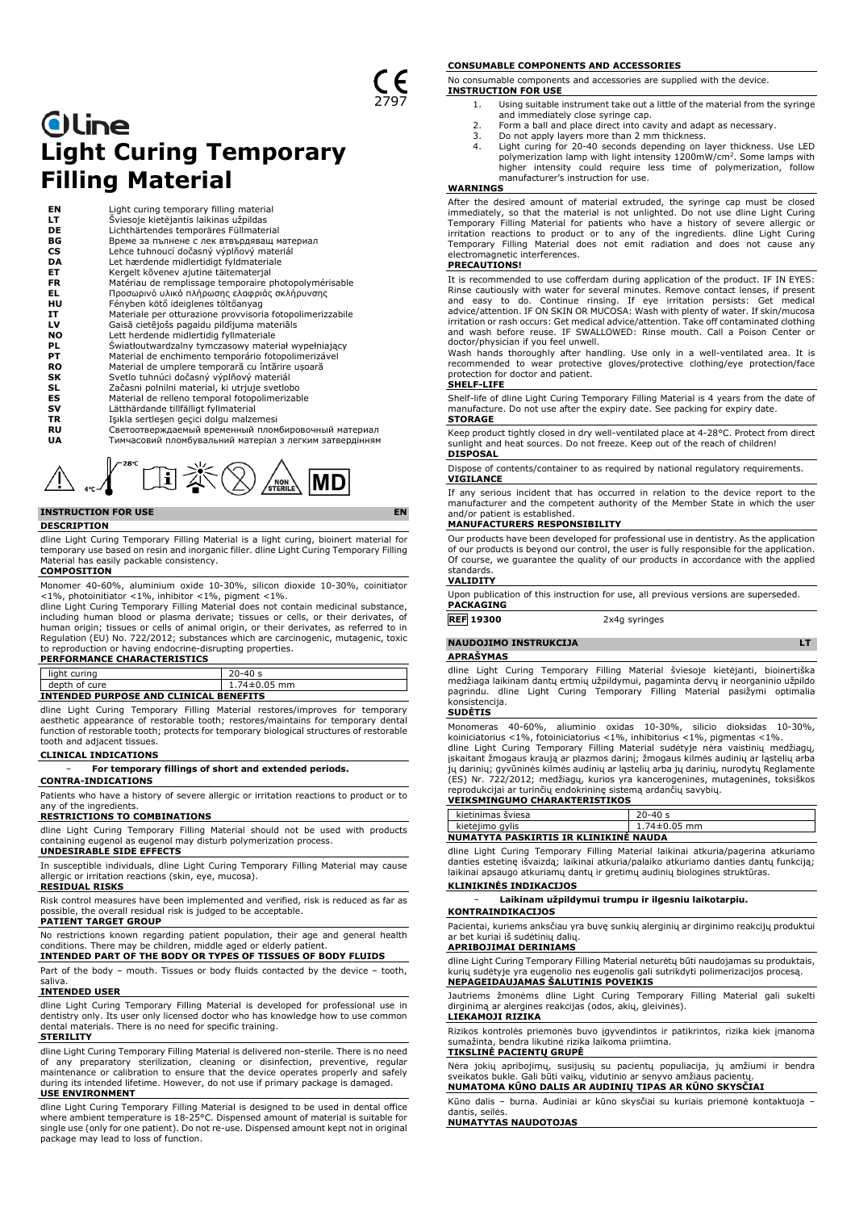# **Oline Light Curing Temporary Filling Material**

**EN** Light curing temporary filling material<br> **LT** Šviesoje kietėjantis laikinas užpildas<br> **ENR**<br> **ENR**<br> **ENRA BORA SPORA SURA ANGELACES**<br>
ENRA SPORA SURA Lehce tuhnoucí dočasný výplňový material **LT** Šviesoje kietėjantis laikinas užpildas **DE** Lichthärtendes temporäres Füllmaterial Време за пълнене с лек втвърдяващ материал **CS** Lehce tuhnoucí dočasný výplňový materiál<br> **DA** Let hærdende midlertidigt fyldmateriale **DA** Let hærdende midlertidigt fyldmateriale<br>**ET** Kergelt kõvenev ajutine täitematerial **ET** Kergelt kõvenev ajutine täitematerjal<br>**FR** Matériau de remplissage temporaire p **FR** Matériau de remplissage temporaire photopolymérisable<br> **EL** Προσωρινό υλικό πλήρωσης ελαφριάς σκλήρυνσης<br> **HU** Fényben kötő ideiglenes töltőanyag **EL** Προσωρινό υλικό πλήρωσης ελαφριάς σκλήρυνσης **HU** Fényben kötő ideiglenes töltőanyag **IT** Materiale per otturazione provvisoria fotopolimerizzabile **LV** Gaisā cietējošs pagaidu pildījuma materiāls **NO** Lett herdende midlertidig fyllmateriale<br>**PL** Swiatłoutwardzalny tymczasowy mater **PL** Światłoutwardzalny tymczasowy materiał wypełniający **PT** Material de enchimento temporário fotopolimerizável **RO** Material de umplere temporară cu întărire ușoară<br>**SK** Svetlo tuhnúci dočasný výplňový materiál<br>**SL** Začasni polnilni material, ki utrjuje svetlobo **SK** Svetlo tuhnúci dočasný výplňový materiál **SL** Začasni polnilni material, ki utrjuje svetlobo **ES** Material de relleno temporal fotopolimerizable **SV** Lätthärdande tillfälligt fyllmaterial **TR** Işıkla sertleşen geçici dolgu malzemesi<br>**RU** Светоотверждаемый временный плом **RU** Светоотверждаемый временный пломбировочный материал<br>**UA** Тимчасовий пломбувальний матеріал з легким затвердінням **UA** Тимчасовий пломбувальний матеріал з легким затвердінням

# 日淡② **MD** NON

# **INSTRUCTION FOR USE EN**

#### **DESCRIPTION**

dline Light Curing Temporary Filling Material is a light curing, bioinert material for temporary use based on resin and inorganic filler. dline Light Curing Temporary Filling Material has easily packable consistency.

# **COMPOSITION**

Monomer 40-60%, aluminium oxide 10-30%, silicon dioxide 10-30%, coinitiator

<1%, photoinitiator <1%, inhibitor <1%, pigment <1%. dline Light Curing Temporary Filling Material does not contain medicinal substance, including human blood or plasma derivate; tissues or cells, or their derivates, of human origin; tissues or cells of animal origin, or their derivates, as referred to in Regulation (EU) No. 722/2012; substances which are carcinogenic, mutagenic, toxic to reproduction or having endocrine-disrupting properties. **PERFORMANCE CHARACTERISTICS**

| light curing                                  | $20 - 40s$         |  |
|-----------------------------------------------|--------------------|--|
| depth of cure                                 | $1.74 \pm 0.05$ mm |  |
| <b>INTENDED PURPOSE AND CLINICAL BENEFITS</b> |                    |  |

dline Light Curing Temporary Filling Material restores/improves for temporary aesthetic appearance of restorable tooth; restores/maintains for temporary dental function of restorable tooth; protects for temporary biological structures of restorable tooth and adjacent tissues.

#### **CLINICAL INDICATIONS**

− **For temporary fillings of short and extended periods.**

#### **CONTRA-INDICATIONS**

Patients who have a history of severe allergic or irritation reactions to product or to any of the ingredients

# **RESTRICTIONS TO COMBINATIONS**

dline Light Curing Temporary Filling Material should not be used with products containing eugenol as eugenol may disturb polymerization process. **UNDESIRABLE SIDE EFFECTS**

# In susceptible individuals, dline Light Curing Temporary Filling Material may cause allergic or irritation reactions (skin, eye, mucosa).

### **RESIDUAL RISKS**

Risk control measures have been implemented and verified, risk is reduced as far as possible, the overall residual risk is judged to be acceptable.

# **PATIENT TARGET GROUP**

No restrictions known regarding patient population, their age and general health<br>conditions. There may be children, middle aged or elderly patient.<br>INTENDED PART OF THE BODY OR TYPES OF TISSUES OF BODY FLUIDS

#### Part of the body – mouth. Tissues or body fluids contacted by the device – tooth, saliva.

#### **INTENDED USER**

dline Light Curing Temporary Filling Material is developed for professional use in dentistry only. Its user only licensed doctor who has knowledge how to use common dental materials. There is no need for specific training.

# **STERILITY**

dline Light Curing Temporary Filling Material is delivered non-sterile. There is no need of any preparatory sterilization, cleaning or disinfection, preventive, regular maintenance or calibration to ensure that the device operates properly and safely during its intended lifetime. However, do not use if primary package is damaged.

# **USE ENVIRONMENT**

dline Light Curing Temporary Filling Material is designed to be used in dental office where ambient temperature is 18-25°C. Dispensed amount of material is suitable for single use (only for one patient). Do not re-use. Dispensed amount kept not in original package may lead to loss of function.

#### **CONSUMABLE COMPONENTS AND ACCESSORIES**

No consumable components and accessories are supplied with the device. **INSTRUCTION FOR USE**

- 1. Using suitable instrument take out a little of the material from the syringe
- and immediately close syringe cap. 2. Form a ball and place direct into cavity and adapt as necessary.
- 
- 3. Do not apply layers more than 2 mm thickness.<br>4. Light curing for 20-40 seconds depending on layer thickness. Use LED<br>polymerization lamp with light intensity 1200mW/cm<sup>2</sup>. Some lamps with<br>higher intensity could require manufacturer's instruction for use.

### **WARNINGS**

After the desired amount of material extruded, the syringe cap must be closed<br>immediately, so that the material is not unlighted. Do not use dline Light Curing<br>Temporary Filling Material for patients who have a history of Temporary Filling Material does not emit radiation and does not cause any electromagnetic interferences.

### **PRECAUTIONS!**

It is recommended to use cofferdam during application of the product. IF IN EYES: Rinse cautiously with water for several minutes. Remove contact lenses, if present and easy to do. Continue rinsing. If eye irritation persists: Get medical advice/attention. IF ON SKIN OR MUCOSA: Wash with plenty of water. If skin/mucosa irritation or rash occurs: Get medical advice/attention. Take off contaminated clothing and wash before reuse. IF SWALLOWED: Rinse mouth. Call a Poison Center or doctor/physician if you feel unwell.

Wash hands thoroughly after handling. Use only in a well-ventilated area. It is recommended to wear protective gloves/protective clothing/eye protection/face protection for doctor and patient.

### **SHELF-LIFE**

Shelf-life of dline Light Curing Temporary Filling Material is 4 years from the date of manufacture. Do not use after the expiry date. See packing for expiry date. **STORAGE**

Keep product tightly closed in dry well-ventilated place at 4-28°C. Protect from direct sunlight and heat sources. Do not freeze. Keep out of the reach of children! **DISPOSAL**

Dispose of contents/container to as required by national regulatory requirements. **VIGILANCE**

If any serious incident that has occurred in relation to the device report to the manufacturer and the competent authority of the Member State in which the user and/or patient is established.

# **MANUFACTURERS RESPONSIBILITY**

Our products have been developed for professional use in dentistry. As the application of our products is beyond our control, the user is fully responsible for the application. Of course, we guarantee the quality of our products in accordance with the applied standards. **VALIDITY**

Upon publication of this instruction for use, all previous versions are superseded. **PACKAGING**

# **REF 19300** 2x4g syringes

# **NAUDOJIMO INSTRUKCIJA LT**

**APRAŠYMAS**

dline Light Curing Temporary Filling Material šviesoje kietėjanti, bioinertiška medžiaga laikinam dantų ertmių užpildymui, pagaminta dervų ir neorganinio užpildo pagrindu. dline Light Curing Temporary Filling Material pasižymi optimalia konsistencija.

#### **SUDĖTIS**

Monomeras 40-60%, aliuminio oxidas 10-30%, silicio dioksidas 10-30%, koiniciatorius <1%, fotoiniciatorius <1%, inhibitorius <1%, pigmentas <1%. dline Light Curing Temporary Filling Material sudėtyje nėra vaistinių medžiagų,

įskaitant žmogaus kraują ar plazmos darinį; žmogaus kilmės audinių ar ląstelių arba jų darinių; gyvūninės kilmės audinių ar ląstelių arba jų darinių, nurodytų Reglamente<br>(ES) Nr. 722/2012; medžiagų, kurios yra kancerogeninės, mutageninės, toksiškos<br>reprodukcijai ar turinčių endokrininę sistemą ardančių

|                                       | kietinimas šviesa | $20 - 40s$         |
|---------------------------------------|-------------------|--------------------|
|                                       | kietėjimo gylis   | $1.74 \pm 0.05$ mm |
| NUMATYTA PASKIRTIS IR KLINIKINE NAUDA |                   |                    |

dline Light Curing Temporary Filling Material laikinai atkuria/pagerina atkuriamo<br>danties estetinę išvaizdą; laikinai atkuria/palaiko atkuriamo danties dantų funkciją;<br>laikinai apsaugo atkuriamų dantų ir gretimų audinių bi **KLINIKINĖS INDIKACIJOS**

# − **Laikinam užpildymui trumpu ir ilgesniu laikotarpiu.**

# **KONTRAINDIKACIJOS**

Pacientai, kuriems anksčiau yra buvę sunkių alerginių ar dirginimo reakcijų produktui ar bet kuriai iš sudėtinių dalių. **APRIBOJIMAI DERINIAMS**

dline Light Curing Temporary Filling Material neturėtų būti naudojamas su produktais, kurių sudėtyje yra eugenolio nes eugenolis gali sutrikdyti polimerizacijos procesą. **NEPAGEIDAUJAMAS ŠALUTINIS POVEIKIS**

Jautriems žmonėms dline Light Curing Temporary Filling Material gali sukelti dirginimą ar alergines reakcijas (odos, akių, gleivinės). **LIEKAMOJI RIZIKA**

Rizikos kontrolės priemonės buvo įgyvendintos ir patikrintos, rizika kiek įmanoma sumažinta, bendra likutinė rizika laikoma priimtina. **TIKSLINĖ PACIENTŲ GRUPĖ**

Nėra jokių apribojimų, susijusių su pacientų populiacija, jų amžiumi ir bendra<br>sveikatos bukle. Gali būti vaikų, vidutinio ar senyvo amžiaus pacientų.<br>**NUMATOMA KŪNO DALIS AR AUDINIŲ TIPAS AR KŪNO SKYSČIAI** 

Kūno dalis – burna. Audiniai ar kūno skysčiai su kuriais priemonė kontaktuoja – dantis, seilės.

**NUMATYTAS NAUDOTOJAS**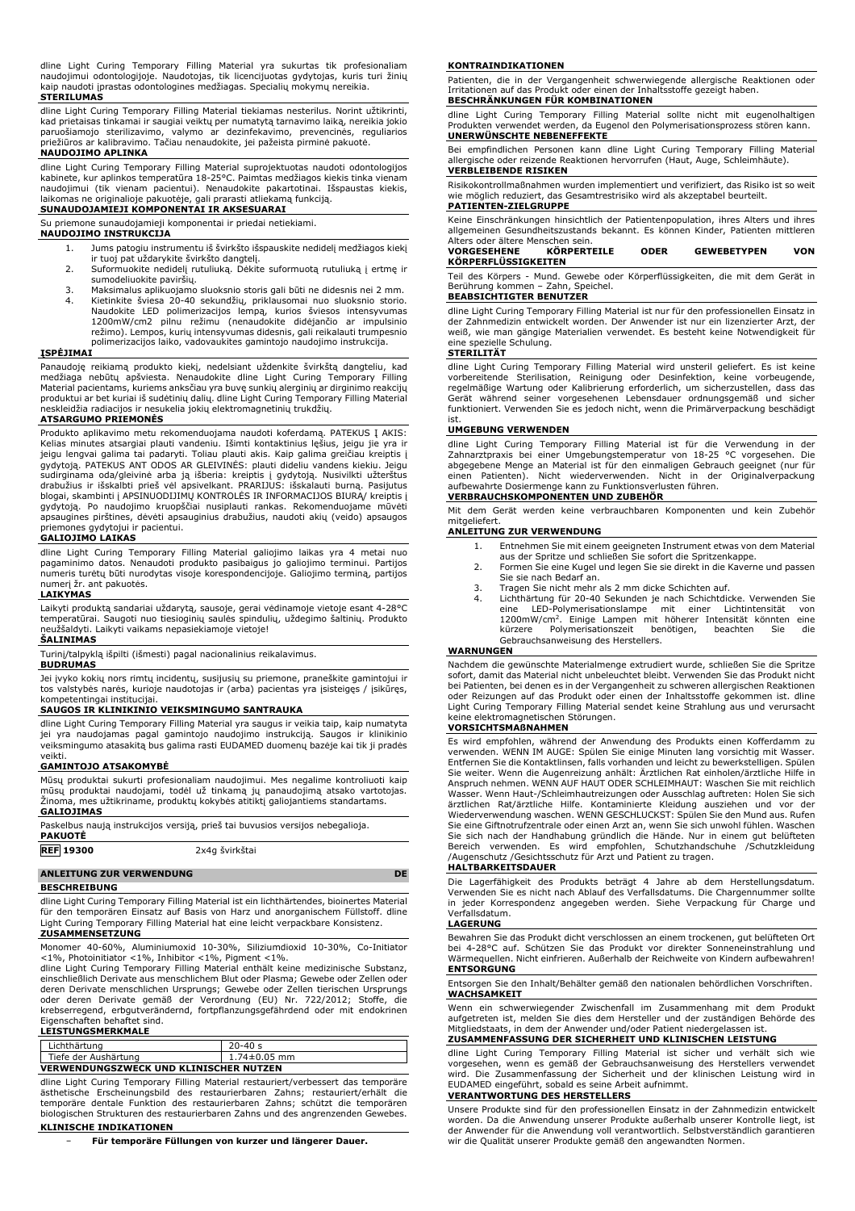dline Light Curing Temporary Filling Material yra sukurtas tik profesionaliam naudojimui odontologijoje. Naudotojas, tik licencijuotas gydytojas, kuris turi žinių kaip naudoti įprastas odontologines medžiagas. Specialių mokymų nereikia. **STERILUMAS**

dline Light Curing Temporary Filling Material tiekiamas nesterilus. Norint užtikrinti, kad prietaisas tinkamai ir saugiai veiktų per numatytą tarnavimo laiką, nereikia jokio paruošiamojo sterilizavimo, valymo ar dezinfekavimo, prevencinės, reguliarios priežiūros ar kalibravimo. Tačiau nenaudokite, jei pažeista pirminė pakuotė. **NAUDOJIMO APLINKA**

dline Light Curing Temporary Filling Material suprojektuotas naudoti odontologijos kabinete, kur aplinkos temperatūra 18-25°C. Paimtas medžiagos kiekis tinka vienam naudojimui (tik vienam pacientui). Nenaudokite pakartotinai. Išspaustas kiekis, laikomas ne originalioje pakuotėje, gali prarasti atliekamą funkciją.

## **SUNAUDOJAMIEJI KOMPONENTAI IR AKSESUARAI** Su priemone sunaudojamieji komponentai ir priedai netiekiami.

## **NAUDOJIMO INSTRUKCIJA**

- 1. Jums patogiu instrumentu iš švirkšto išspauskite nedidelį medžiagos kiekį ir tuoj pat uždarykite švirkšto dangtelį.
- 2. Suformuokite nedidelį rutuliuką. Dėkite suformuotą rutuliuką į ertmę ir sumodeliuokite paviršių.
- 3. Maksimalus aplikuojamo sluoksnio storis gali būti ne didesnis nei 2 mm. 4. Kietinkite šviesa 20-40 sekundžių, priklausomai nuo sluoksnio storio. Naudokite LED polimerizacijos lempą, kurios šviesos intensyvumas 1200mW/cm2 pilnu režimu (nenaudokite didėjančio ar impulsinio režimo). Lempos, kurių intensyvumas didesnis, gali reikalauti trumpesnio polimerizacijos laiko, vadovaukites gamintojo naudojimo instrukcija.

# **ĮSPĖJIMAI**

Panaudoję reikiamą produkto kiekį, nedelsiant uždenkite švirkštą dangteliu, kad medžiaga nebūtų apšviesta. Nenaudokite dline Light Curing Temporary Filling<br>Material pacientams, kuriems anksčiau yra buvę sunkių alerginių ar dirginimo reakcijų<br>produktui ar bet kuriai iš sudėtinių dalių. dline Light Curi

### **ATSARGUMO PRIEMONĖS**

Produkto aplikavimo metu rekomenduojama naudoti koferdamą. PATEKUS Į AKIS: Kelias minutes atsargiai plauti vandeniu. Išimti kontaktinius lęšius, jeigu jie yra ir<br>jeigu lengvai galima tai padaryti. Toliau plauti akis. Kaip galima greičiau kreiptis į<br>gydytoją. PATEKUS ANT ODOS AR GLEIVINĖS: plauti sudirginama oda/gleivinė arba ją išberia: kreiptis į gydytoją. Nusivilkti užterštus<br>drabužius ir išskalbti prieš vėl apsivelkant. PRARIJUS: išskalauti burną. Pasijutus<br>blogai, skambinti į APSINUODIJIMŲ KONTROLĖS IR INFORMA gydytoją. Po naudojimo kruopščiai nusiplauti rankas. Rekomenduojame mūvėti apsaugines pirštines, dėvėti apsauginius drabužius, naudoti akių (veido) apsaugos

# priemones gydytojui ir pacientui. **GALIOJIMO LAIKAS**

dline Light Curing Temporary Filling Material galiojimo laikas yra 4 metai nuo pagaminimo datos. Nenaudoti produkto pasibaigus jo galiojimo terminui. Partijos numeris turėtų būti nurodytas visoje korespondencijoje. Galiojimo terminą, partijos numerį žr. ant pakuotės. **LAIKYMAS**

Laikyti produktą sandariai uždarytą, sausoje, gerai vėdinamoje vietoje esant 4-28°C temperatūrai. Saugoti nuo tiesioginių saulės spindulių, uždegimo šaltinių. Produkto neužšaldyti. Laikyti vaikams nepasiekiamoje vietoje!

### **ŠALINIMAS**

Turinį/talpyklą išpilti (išmesti) pagal nacionalinius reikalavimus.

# **BUDRUMAS**

Jei įvyko kokių nors rimtų incidentų, susijusių su priemone, praneškite gamintojui ir tos valstybės narės, kurioje naudotojas ir (arba) pacientas yra įsisteigęs / įsikūręs, kompetentingai institucijai.

#### **SAUGOS IR KLINIKINIO VEIKSMINGUMO SANTRAUKA**

dline Light Curing Temporary Filling Material yra saugus ir veikia taip, kaip numatyta jei yra naudojamas pagal gamintojo naudojimo instrukciją. Saugos ir klinikinio veiksmingumo atasakitą bus galima rasti EUDAMED duomenų bazėje kai tik ji pradės veikti.

#### **GAMINTOJO ATSAKOMYBĖ**

Mūsų produktai sukurti profesionaliam naudojimui. Mes negalime kontroliuoti kaip mūsų produktai naudojami, todėl už tinkamą jų panaudojimą atsako vartotojas. Žinoma, mes užtikriname, produktų kokybės atitiktį galiojantiems standartams. **GALIOJIMAS**

| Paskelbus naują instrukcijos versiją, prieš tai buvusios versijos nebegalioja.<br><b>PAKUOTĖ</b> |                |
|--------------------------------------------------------------------------------------------------|----------------|
| <b>REF</b> 19300                                                                                 | 2x4g švirkštai |

| <b>ANLEITUNG ZUR VERWENDUNG</b> |  |
|---------------------------------|--|
| <b>BESCHREIBUNG</b>             |  |

dline Light Curing Temporary Filling Material ist ein lichthärtendes, bioinertes Material für den temporären Einsatz auf Basis von Harz und anorganischem Füllstoff. dline Light Curing Temporary Filling Material hat eine leicht verpackbare Konsistenz. **ZUSAMMENSETZUNG**

Monomer 40-60%, Aluminiumoxid 10-30%, Siliziumdioxid 10-30%, Co-Initiator <1%, Photoinitiator <1%, Inhibitor <1%, Pigment <1%.

dline Light Curing Temporary Filling Material enthält keine medizinische Substanz, einschließlich Derivate aus menschlichem Blut oder Plasma; Gewebe oder Zellen oder deren Derivate menschlichen Ursprungs; Gewebe oder Zellen tierischen Ursprungs oder deren Derivate gemäß der Verordnung (EU) Nr. 722/2012; Stoffe, die krebserregend, erbgutverändernd, fortpflanzungsgefährdend oder mit endokrinen Eigenschaften behaftet sind. **LEISTUNGSMERKMALE**

| Tiefe der Aushärtung<br><b>VERWENDUNGSZWECK UND KLINISCHER NUTZEN</b> | 1.74±0.05 mm |  |
|-----------------------------------------------------------------------|--------------|--|
| Lichthärtung                                                          | $20 - 40s$   |  |

dline Light Curing Temporary Filling Material restauriert/verbessert das temporäre ästhetische Erscheinungsbild des restaurierbaren Zahns; restauriert/erhält die temporäre dentale Funktion des restaurierbaren Zahns; schützt die temporären biologischen Strukturen des restaurierbaren Zahns und des angrenzenden Gewebes. **KLINISCHE INDIKATIONEN**

− **Für temporäre Füllungen von kurzer und längerer Dauer.**

#### **KONTRAINDIKATIONEN**

Patienten, die in der Vergangenheit schwerwiegende allergische Reaktionen oder Irritationen auf das Produkt oder einen der Inhaltsstoffe gezeigt haben.

# **BESCHRÄNKUNGEN FÜR KOMBINATIONEN**

dline Light Curing Temporary Filling Material sollte nicht mit eugenolhaltigen Produkten verwendet werden, da Eugenol den Polymerisationsprozess stören kann. **UNERWÜNSCHTE NEBENEFFEKTE**

Bei empfindlichen Personen kann dline Light Curing Temporary Filling Material allergische oder reizende Reaktionen hervorrufen (Haut, Auge, Schleimhäute). **VERBLEIBENDE RISIKEN**

#### Risikokontrollmaßnahmen wurden implementiert und verifiziert, das Risiko ist so weit wie möglich reduziert, das Gesamtrestrisiko wird als akzeptabel beurteilt.

#### **PATIENTEN-ZIELGRUPPE**

Keine Einschränkungen hinsichtlich der Patientenpopulation, ihres Alters und ihres allgemeinen Gesundheitszustands bekannt. Es können Kinder, Patienten mittleren Alters oder ältere Menschen sein.

| <b>VORGESEHENE</b>  | KÖRPERTEILE | <b>ODER</b> | <b>GEWEBETYPEN</b> | VON |
|---------------------|-------------|-------------|--------------------|-----|
| KÖRPERFLÜSSIGKEITEN |             |             |                    |     |

Teil des Körpers - Mund. Gewebe oder Körperflüssigkeiten, die mit dem Gerät in Berührung kommen – Zahn, Speichel.

### **BEABSICHTIGTER BENUTZER**

dline Light Curing Temporary Filling Material ist nur für den professionellen Einsatz in der Zahnmedizin entwickelt worden. Der Anwender ist nur ein lizenzierter Arzt, der weiß, wie man gängige Materialien verwendet. Es besteht keine Notwendigkeit für eine spezielle Schulung.

### **STERILITÄT**

dline Light Curing Temporary Filling Material wird unsteril geliefert. Es ist keine<br>vorbereitende Sterilisation, Reinigung oder Desinfektion, keine vorbeugende,<br>regelmäßige Wartung oder Kalibrierung erforderlich, m sic funktioniert. Verwenden Sie es jedoch nicht, wenn die Primärverpackung beschädigt

# ist. **UMGEBUNG VERWENDEN**

dline Light Curing Temporary Filling Material ist für die Verwendung in der Zahnarztpraxis bei einer Umgebungstemperatur von 18-25 °C vorgesehen. Die abgegebene Menge an Material ist für den einmaligen Gebrauch geeignet (nur für einen Patienten). Nicht wiederverwenden. Nicht in der Originalverpackung aufbewahrte Dosiermenge kann zu Funktionsverlusten führen.

#### **VERBRAUCHSKOMPONENTEN UND ZUBEHÖR**

Mit dem Gerät werden keine verbrauchbaren Komponenten und kein Zubehör mitgeliefert.

### **ANLEITUNG ZUR VERWENDUNG**

- 1. Entnehmen Sie mit einem geeigneten Instrument etwas von dem Material
- aus der Spritze und schließen Sie sofort die Spritzenkappe.
- 2. Formen Sie eine Kugel und legen Sie sie direkt in die Kaverne und passen Sie sie nach Bedarf an.
- 
- 3. Tragen Sie nicht mehr als 2 mm dicke Schichten auf.<br>4. Lichthärtung für 20-40 Sekunden je nach Schichtdicke. Verwenden Sie<br>10. LED-Polymerisationslampe mit einer Lichtintensität von<br>1200mW/cm<sup>2</sup>. Einige Lampen mit h Gebrauchsanweisung des Herstellers.

### **WARNUNGEN**

Nachdem die gewünschte Materialmenge extrudiert wurde, schließen Sie die Spritze sofort, damit das Material nicht unbeleuchtet bleibt. Verwenden Sie das Produkt nicht bei Patienten, bei denen es in der Vergangenheit zu schweren allergischen Reaktionen oder Reizungen auf das Produkt oder einen der Inhaltsstoffe gekommen ist. dline Light Curing Temporary Filling Material sendet keine Strahlung aus und verursacht keine elektromagnetischen Störungen.

# **VORSICHTSMAßNAHMEN**

Es wird empfohlen, während der Anwendung des Produkts einen Kofferdamm zu verwenden. WENN IM AUGE: Spülen Sie einige Minuten lang vorsichtig mit Wasser. Entfernen Sie die Kontaktlinsen, falls vorhanden und leicht zu bewerkstelligen. Spülen Sie weiter. Wenn die Augenreizung anhält: Ärztlichen Rat einholen/ärztliche Hilfe in Anspruch nehmen. WENN AUF HAUT ODER SCHLEIMHAUT: Waschen Sie mit reichlich Wasser. Wenn Haut-/Schleimhautreizungen oder Ausschlag auftreten: Holen Sie sich ärztlichen Rat/ärztliche Hilfe. Kontaminierte Kleidung ausziehen und vor der Wiederverwendung waschen. WENN GESCHLUCKST: Spülen Sie den Mund aus. Rufen Sie eine Giftnotrufzentrale oder einen Arzt an, wenn Sie sich unwohl fühlen. Waschen<br>Sie sich nach der Handhabung gründlich die Hände. Nur in einem gut belüfteten<br>Bereich verwenden. Es wird empfohlen, Schutzhandschuhe

#### **HALTBARKEITSDAUER**

Die Lagerfähigkeit des Produkts beträgt 4 Jahre ab dem Herstellungsdatum. Verwenden Sie es nicht nach Ablauf des Verfallsdatums. Die Chargennummer sollte in jeder Korrespondenz angegeben werden. Siehe Verpackung für Charge und Verfallsdatum.

#### **LAGERUNG**

Bewahren Sie das Produkt dicht verschlossen an einem trockenen, gut belüfteten Ort bei 4-28°C auf. Schützen Sie das Produkt vor direkter Sonneneinstrahlung und Wärmequellen. Nicht einfrieren. Außerhalb der Reichweite von Kindern aufbewahren! **ENTSORGUNG**

Entsorgen Sie den Inhalt/Behälter gemäß den nationalen behördlichen Vorschriften. **WACHSAMKEIT**

Wenn ein schwerwiegender Zwischenfall im Zusammenhang mit dem Produkt aufgetreten ist, melden Sie dies dem Hersteller und der zuständigen Behörde des Mitgliedstaats, in dem der Anwender und/oder Patient niedergelassen ist.

### **ZUSAMMENFASSUNG DER SICHERHEIT UND KLINISCHEN LEISTUNG**

dline Light Curing Temporary Filling Material ist sicher und verhält sich wie vorgesehen, wenn es gemäß der Gebrauchsanweisung des Herstellers verwendet wird. Die Zusammenfassung der Sicherheit und der klinischen Leistung wird in EUDAMED eingeführt, sobald es seine Arbeit aufnimmt.

#### **VERANTWORTUNG DES HERSTELLERS**

Unsere Produkte sind für den professionellen Einsatz in der Zahnmedizin entwickelt worden. Da die Anwendung unserer Produkte außerhalb unserer Kontrolle liegt, ist der Anwender für die Anwendung voll verantwortlich. Selbstverständlich garantieren wir die Qualität unserer Produkte gemäß den angewandten Normen.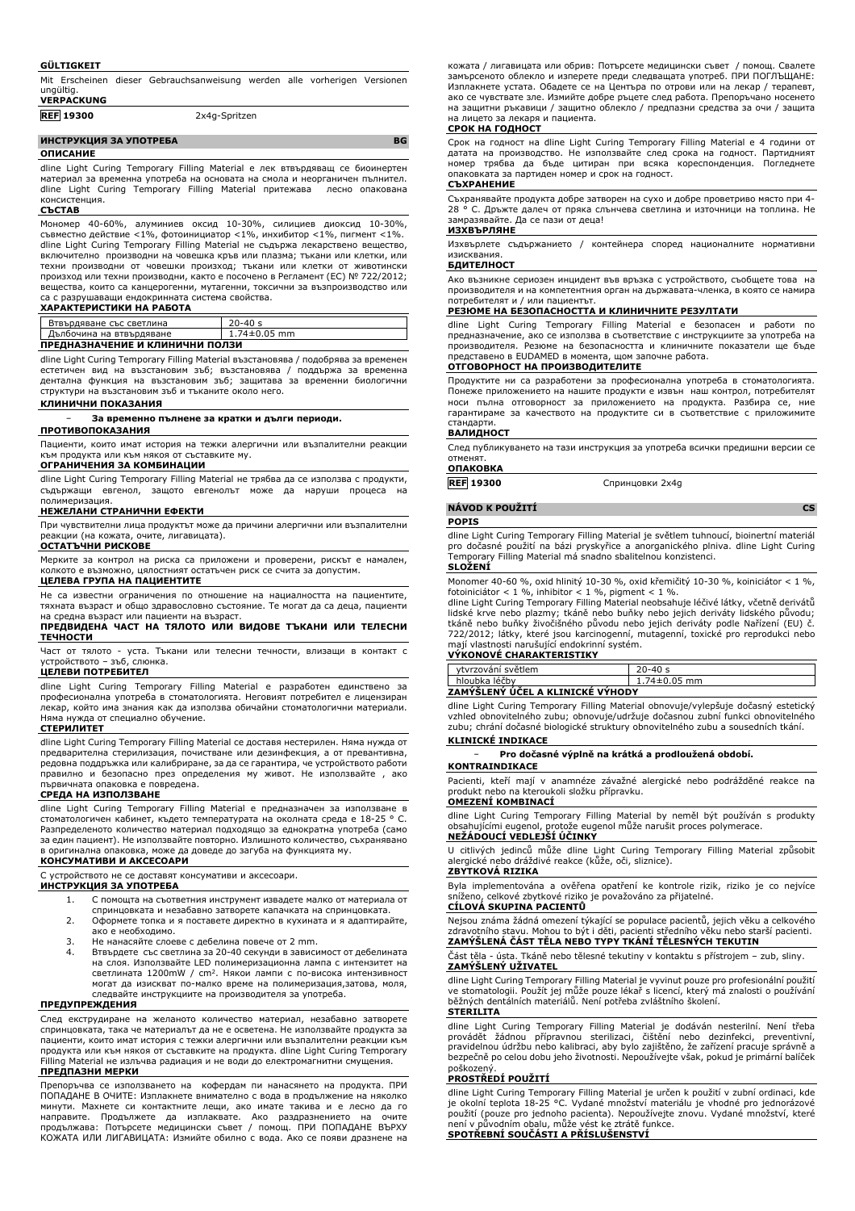#### **GÜLTIGKEIT**

Mit Erscheinen dieser Gebrauchsanweisung werden alle vorherigen Versionen ungültig. **VERPACKUNG**

| .                |               |  |
|------------------|---------------|--|
| <b>REF 19300</b> | 2x4g-Spritzen |  |
|                  |               |  |

# **ИНСТРУКЦИЯ ЗА УПОТРЕБА BG**

**ОПИСАНИЕ**

dline Light Curing Temporary Filling Material е лек втвърдяващ се биоинертен материал за временна употреба на основата на смола и неорганичен пълнител.<br>dline Light Curing Temporary Filling Material притежава и лесно опакована dline Light Curing Temporary Filling Material притежава консистенция.

### **СЪСТАВ**

Мономер 40-60%, алуминиев оксид 10-30%, силициев диоксид 10-30%, съвместно действие <1%, фотоинициатор <1%, инхибитор <1%, пигмент <1%. dline Light Curing Temporary Filling Material не съдържа лекарствено вещество, включително производни на човешка кръв или плазма; тъкани или клетки, или техни производни от човешки произход; тъкани или клетки от животински произход или техни производни, както е посочено в Регламент (ЕС) № 722/2012; вещества, които са канцерогенни, мутагенни, токсични за възпроизводство или са с разрушаващи ендокринната система свойства.

#### **ХАРАКТЕРИСТИКИ НА РАБОТА**

| Втвърдяване със светлина        | $20 - 40 s$        |  |
|---------------------------------|--------------------|--|
| Дълбочина на втвърдяване        | $1.74 \pm 0.05$ mm |  |
| ПРЕДНАЗНАЧЕНИЕ И КЛИНИЧНИ ПОЛЗИ |                    |  |

dline Light Curing Temporary Filling Material възстановява / подобрява за временен естетичен вид на възстановим зъб; възстановява / поддържа за временна дентална функция на възстановим зъб; защитава за временни биологични структури на възстановим зъб и тъканите около него.

# **КЛИНИЧНИ ПОКАЗАНИЯ**

#### − **За временно пълнене за кратки и дълги периоди.**

**ПРОТИВОПОКАЗАНИЯ**

Пациенти, които имат история на тежки алергични или възпалителни реакции към продукта или към някоя от съставките му.

#### **ОГРАНИЧЕНИЯ ЗА КОМБИНАЦИИ**

dline Light Curing Temporary Filling Material не трябва да се използва с продукти, съдържащи евгенол, защото евгенолът може да наруши процеса на полимеризация.

### **НЕЖЕЛАНИ СТРАНИЧНИ ЕФЕКТИ**

При чувствителни лица продуктът може да причини алергични или възпалителни реакции (на кожата, очите, лигавицата). **ОСТАТЪЧНИ РИСКОВЕ**

Мерките за контрол на риска са приложени и проверени, рискът е намален,

колкото е възможно, цялостният остатъчен риск се счита за допустим. **ЦЕЛЕВА ГРУПА НА ПАЦИЕНТИТЕ**

Не са известни ограничения по отношение на нациалността на пациентите, тяхната възраст и общо здравословно състояние. Те могат да са деца, пациенти на средна възраст или пациенти на възраст.

#### **ПРЕДВИДЕНА ЧАСТ НА ТЯЛОТО ИЛИ ВИДОВЕ ТЪКАНИ ИЛИ ТЕЛЕСНИ ТЕЧНОСТИ**

Част от тялото - уста. Тъкани или телесни течности, влизащи в контакт с слюнка.

#### **ЦЕЛЕВИ ПОТРЕБИТЕЛ**

dline Light Curing Temporary Filling Material е разработен единствено за професионална употреба в стоматологията. Неговият потребител е лицензиран лекар, който има знания как да използва обичайни стоматологични материали. нужда от специално обучение.

### **СТЕРИЛИТЕТ**

dline Light Curing Temporary Filling Material се доставя нестерилен. Няма нужда от предварителна стерилизация, почистване или дезинфекция, а от превантивна, редовна поддръжка или калибриране, за да се гарантира, че устройството работи правилно и безопасно през определения му живот. Не използвайте , ако първичната опаковка е повредена.

### **СРЕДА НА ИЗПОЛЗВАНЕ**

dline Light Curing Temporary Filling Material е предназначен за използване в стоматологичен кабинет, където температурата на околната среда е 18-25 ° C. Разпределеното количество материал подходящо за еднократна употреба (само за един пациент). Не използвайте повторно. Излишното количество, съхранявано в оригинална опаковка, може да доведе до загуба на функцията му. **КОНСУМАТИВИ И АКСЕСОАРИ**

С устройството не се доставят консумативи и аксесоари.

### **ИНСТРУКЦИЯ ЗА УПОТРЕБА**

- 1. С помощта на съответния инструмент извадете малко от материала от спринцовката и незабавно затворете капачката на спринцовката.
- 2. Оформете топка и я поставете директно в кухината и я адаптирайте,
- ако е необходимо.
- 3. Не нанасяйте слоеве с дебелина повече от 2 mm. 4. Втвърдете със светлина за 20-40 секунди в зависимост от дебелината на слоя. Използвайте LED полимеризационна лампа с интензитет на светлината 1200mW / cm<sup>2</sup> . Някои лампи с по-висока интензивност могат да изискват по-малко време на полимеризация,затова, моля, следвайте инструкциите на производителя за употреба.

#### **ПРЕДУПРЕЖДЕНИЯ**

След екструдиране на желаното количество материал, незабавно затворете спринцовката, така че материалът да не е осветена. Не използвайте продукта за пациенти, които имат история с тежки алергични или възпалителни реакции към продукта или към някоя от съставките на продукта. dline Light Curing Temporary Filling Material не излъчва радиация и не води до електромагнитни смущения. **ПРЕДПАЗНИ МЕРКИ**

Препоръчва се използването на кофердам пи нанасянето на продукта. ПРИ ПОПАДАНЕ В ОЧИТЕ: Изплакнете внимателно с вода в продължение на няколко минути. Махнете си контактните лещи, ако имате такива и е лесно да го направите. Продължете да изплаквате. Ако раздразнението на очите продължава: Потърсете медицински съвет / помощ. ПРИ ПОПАДАНЕ ВЪРХУ КОЖАТА ИЛИ ЛИГАВИЦАТА: Измийте обилно с вода. Ако се появи дразнене на

кожата / лигавицата или обрив: Потърсете медицински съвет / помощ. Свалете замърсеното облекло и изперете преди следващата употреб. ПРИ ПОГЛЪЩАНЕ: Изплакнете устата. Обадете се на Центъра по отрови или на лекар / терапевт, ако се чувствате зле. Измийте добре ръцете след работа. Препоръчано носенето на защитни ръкавици / защитно облекло / предпазни средства за очи / защита на лицето за лекаря и пациента.

### **СРОК НА ГОДНОСТ**

Срок на годност на dline Light Curing Temporary Filling Material е 4 години от датата на производство. Не използвайте след срока на годност. Партидният номер трябва да бъде цитиран при всяка кореспонденция. Погледнете опаковката за партиден номер и срок на годност. **СЪХРАНЕНИЕ**

Съхранявайте продукта добре затворен на сухо и добре проветриво място при 4- 28 ° C. Дръжте далеч от пряка слънчева светлина и източници на топлина. Не замразявайте. Да се пази от деца!

# **ИЗХВЪРЛЯНЕ**

Изхвърлете съдържанието / контейнера според националните нормативни изисквания.

### **БДИТЕЛНОСТ**

Ако възникне сериозен инцидент във връзка с устройството, съобщете това на производителя и на компетентния орган на държавата-членка, в която се намира потребителят и / или пациентът.

# **РЕЗЮМЕ НА БЕЗОПАСНОСТТА И КЛИНИЧНИТЕ РЕЗУЛТАТИ**

dline Light Curing Temporary Filling Material е безопасен и работи по предназначение, ако се използва в съответствие с инструкциите за употреба на производителя. Резюме на безопасността и клиничните показатели ще бъде представено в EUDAMED в момента, щом започне работа. **ОТГОВОРНОСТ НА ПРОИЗВОДИТЕЛИТЕ**

Продуктите ни са разработени за професионална употреба в стоматологията. Понеже приложението на нашите продукти е извън наш контрол, потребителят носи пълна отговорност за приложението на продукта. Разбира се, ние гарантираме за качеството на продуктите си в съответствие с приложимите стандарти.

#### **ВАЛИДНОСТ**

След публикуването на тази инструкция за употреба всички предишни версии се отменят.

# **ОПАКОВКА**

**REF 19300** Спринцовки 2x4g

**NÁVOD K POUŽITÍ CS**

#### **POPIS**

dline Light Curing Temporary Filling Material je světlem tuhnoucí, bioinertní materiál pro dočasné použití na bázi pryskyřice a anorganického plniva. dline Light Curing Temporary Filling Material má snadno sbalitelnou konzistenci. **SLOŽENÍ**

# Monomer 40-60 %, oxid hlinitý 10-30 %, oxid křemičitý 10-30 %, koiniciátor < 1 %,

fotoiniciátor < 1 %, inhibitor < 1 %, pigment < 1 %.<br>dline Light Curing Temporary Filling Material neobsahuje léčivé látky, včetně derivátů<br>lidské krve nebo plazmy; tkáně nebo buňky nebo jejich deriváty lidského původu;<br>lt

# mají vlastnosti narušující endokrinní systém. **VÝKONOVÉ CHARAKTERISTIKY**

| ytvrzování světlem               | $20 - 40s$         |  |
|----------------------------------|--------------------|--|
| hloubka léčby                    | $1.74 \pm 0.05$ mm |  |
| ZAMYSLENY UCEL A KLINICKÉ VÝHODY |                    |  |

dline Light Curing Temporary Filling Material obnovuje/vylepšuje dočasný estetický vzhled obnovitelného zubu; obnovuje/udržuje dočasnou zubní funkci obnovitelného zubu; chrání dočasné biologické struktury obnovitelného zubu a sousedních tkání.

#### **KLINICKÉ INDIKACE**

− **Pro dočasné výplně na krátká a prodloužená období.**

# **KONTRAINDIKACE**

Pacienti, kteří mají v anamnéze závažné alergické nebo podrážděné reakce na produkt nebo na kteroukoli složku přípravku.

# **OMEZENÍ KOMBINACÍ**

dline Light Curing Temporary Filling Material by neměl být používán s produkty obsahujícími eugenol, protože eugenol může narušit proces polymerace. **NEŽÁDOUCÍ VEDLEJŠÍ ÚČINKY**

U citlivých jedinců může dline Light Curing Temporary Filling Material způsobit alergické nebo dráždivé reakce (kůže, oči, sliznice). **ZBYTKOVÁ RIZIKA**

Byla implementována a ověřena opatření ke kontrole rizik, riziko je co nejvíce sníženo, celkové zbytkové riziko je považováno za přijatelné. **CÍLOVÁ SKUPINA PACIENTŮ**

Nejsou známa žádná omezení týkající se populace pacientů, jejich věku a celkového zdravotního stavu. Mohou to být i děti, pacienti středního věku nebo starší pacienti. **ZAMÝŠLENÁ ČÁST TĚLA NEBO TYPY TKÁNÍ TĚLESNÝCH TEKUTIN**

# Část těla - ústa. Tkáně nebo tělesné tekutiny v kontaktu s přístrojem – zub, sliny. **ZAMÝŠLENÝ UŽIVATEL**

dline Light Curing Temporary Filling Material je vyvinut pouze pro profesionální použití ve stomatologii. Použít jej může pouze lékař s licencí, který má znalosti o používání běžných dentálních materiálů. Není potřeba zvláštního školení. **STERILITA**

dline Light Curing Temporary Filling Material je dodáván nesterilní. Není třeba provádět žádnou přípravnou sterilizaci, čištění nebo dezinfekci, preventivní, pravidelnou údržbu nebo kalibraci, aby bylo zajištěno, že zařízení pracuje správně a bezpečně po celou dobu jeho životnosti. Nepoužívejte však, pokud je primární balíček poškozený.

# **PROSTŘEDÍ POUŽITÍ**

dline Light Curing Temporary Filling Material je určen k použití v zubní ordinaci, kde<br>je okolní teplota 18-25 °C. Vydané množství materiálu je vhodné pro jednorázové<br>použití (pouze pro jednoho pacienta). Nepoužívejte znov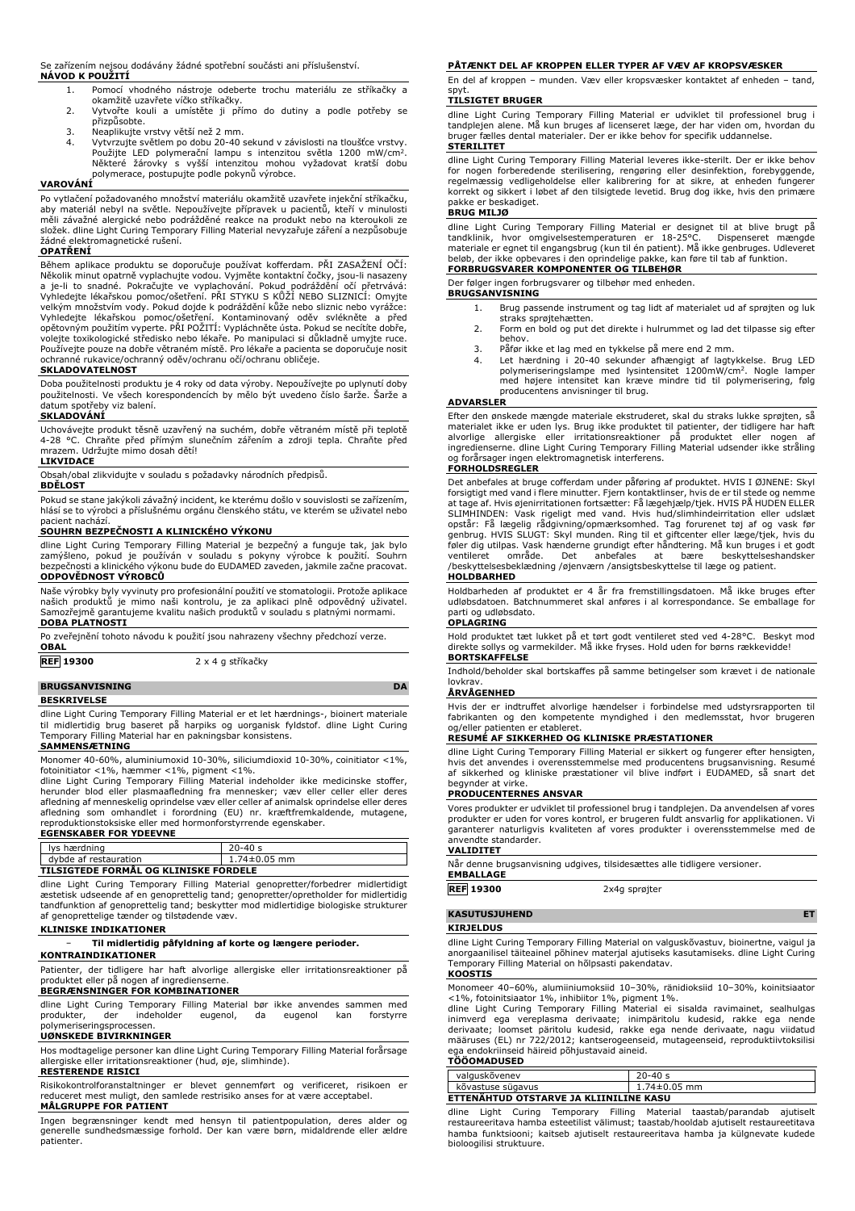Se zařízením nejsou dodávány žádné spotřební součásti ani příslušenství. **NÁVOD K POUŽITÍ**

- 1. Pomocí vhodného nástroje odeberte trochu materiálu ze stříkačky a
- okamžitě uzavřete víčko stříkačky. 2. Vytvořte kouli a umístěte ji přímo do dutiny a podle potřeby se přizpůsobte.
- 
- 3. Neaplikujte vrstvy větší než 2 mm. 4. Vytvrzujte světlem po dobu 20-40 sekund v závislosti na tloušťce vrstvy. Použijte LED polymerační lampu s intenzitou světla 1200 mW/cm<sup>2</sup> . Některé žárovky s vyšší intenzitou mohou vyžadovat kratší dobu polymerace, postupujte podle pokynů výrobce.

# **VAROVÁNÍ**

Po vytlačení požadovaného množství materiálu okamžitě uzavřete injekční stříkačku, materiál nebyl na světle. Nepoužívejte přípravek u pacientů, kteří v minulosti měli závažné alergické nebo podrážděné reakce na produkt nebo na kteroukoli ze složek. dline Light Curing Temporary Filling Material nevyzařuje záření a nezpůsobuje žádné elektromagnetické rušení.

#### **OPATŘENÍ**

Béhem aplikace produktu se doporučuje používat kofferdam. PRI ZASAZENI OCI:<br>Několik minut opatrně vyplachujte vodou. Vyjměte kontaktní čočky, jsou-li nasazeny<br>a je-li to snadné. Pokračujte ve vyplachování. Pokud podráždění velkým množstvím vody. Pokud dojde k podráždění kůže nebo sliznic nebo vyrážce: Vyhledejte lékařskou pomoc/ošetření. Kontaminovaný oděv svlékněte a před opětovným použitím vyperte. PŘI POŽITÍ: Vypláchněte ústa. Pokud se necítíte dobře, volejte toxikologické středisko nebo lékaře. Po manipulaci si důkladně umyjte ruce. Používejte pouze na dobře větraném místě. Pro lékaře a pacienta se doporučuje nosit ochranné rukavice/ochranný oděv/ochranu očí/ochranu obličeje.

### **SKLADOVATELNOST**

Doba použitelnosti produktu je 4 roky od data výroby. Nepoužívejte po uplynutí doby použitelnosti. Ve všech korespondencích by mělo být uvedeno číslo šarže. Šarže a datum spotřeby viz balení.

#### **SKLADOVÁNÍ**

Uchovávejte produkt těsně uzavřený na suchém, dobře větraném místě při teplotě 4-28 °C. Chraňte před přímým slunečním zářením a zdroji tepla. Chraňte před mrazem. Udržujte mimo dosah dětí!

#### **LIKVIDACE**

Obsah/obal zlikvidujte v souladu s požadavky národních předpisů.

**BDĚLOST**

Pokud se stane jakýkoli závažný incident, ke kterému došlo v souvislosti se zařízením, hlásí se to výrobci a příslušnému orgánu členského státu, ve kterém se uživatel nebo pacient nachází.

**SOUHRN BEZPEČNOSTI A KLINICKÉHO VÝKONU**

dline Light Curing Temporary Filling Material je bezpečný a funguje tak, jak bylo<br>zamýšleno, pokud je používán v souladu s pokyny výrobce k použití. Souhrn<br>bezpečnosti a klinického výkonu bude do EUDAMED zaveden, jakmile z **ODPOVĚDNOST VÝROBCŮ**

Naše výrobky byly vyvinuty pro profesionální použití ve stomatologii. Protože aplikace našich produktů je mimo naši kontrolu, je za aplikaci plně odpovědný uživatel. Samozřejmě garantujeme kvalitu našich produktů v souladu s platnými normami. **DOBA PLATNOSTI**

Po zveřejnění tohoto návodu k použití jsou nahrazeny všechny předchozí verze. **OBAL**

**REF 19300** 2 x 4 g stříkačky

## **BRUGSANVISNING DA**

#### **BESKRIVELSE**

dline Light Curing Temporary Filling Material er et let hærdnings-, bioinert materiale til midlertidig brug baseret på harpiks og uorganisk fyldstof. dline Light Curing Temporary Filling Material har en pakningsbar konsistens. **SAMMENSÆTNING**

Monomer 40-60%, aluminiumoxid 10-30%, siliciumdioxid 10-30%, coinitiator <1%,

fotoinitiator <1%, hæmmer <1%, pigment <1%.<br>dline Light Curing Temporary Filling Material indeholder ikke medicinske stoffer,<br>herunder blod eller plasmaafledning fra mennesker; væv eller celler eller deres afledning af menneskelig oprindelse væv eller celler af animalsk oprindelse eller deres afledning som omhandlet i forordning (EU) nr. kræftfremkaldende, mutagene, reproduktionstoksiske eller med hormonforstyrrende egenskaber. **EGENSKABER FOR YDEEVNE**

|                                       | EGENSKABER FUR TUEEVINE |                    |  |
|---------------------------------------|-------------------------|--------------------|--|
|                                       | lys hærdning            | $20 - 40s$         |  |
|                                       | dybde af restauration   | $1.74 \pm 0.05$ mm |  |
| TILSIGTEDE FORMÅL OG KLINISKE FORDELE |                         |                    |  |

dline Light Curing Temporary Filling Material genopretter/forbedrer midlertidigt æstetisk udseende af en genoprettelig tand; genopretter/opretholder for midlertidig tandfunktion af genoprettelig tand; beskytter mod midlertidige biologiske strukturer af genoprettelige tænder og tilstødende væv.

### **KLINISKE INDIKATIONER**

− **Til midlertidig påfyldning af korte og længere perioder.**

**KONTRAINDIKATIONER**

Patienter, der tidligere har haft alvorlige allergiske eller irritationsreaktioner på produktet eller på nogen af ingredienserne.

## **BEGRÆNSNINGER FOR KOMBINATIONER**

dline Light Curing Temporary Filling Material bør ikke anvendes sammen med<br>produkter, der indeholder eugenol, da eugenol kan forstyrre produkter, der indeholder eugenol, da eugenol kan forstyrre polymeriseringsprocessen.

#### **UØNSKEDE BIVIRKNINGER**

Hos modtagelige personer kan dline Light Curing Temporary Filling Material forårsage allergiske eller irritationsreaktioner (hud, øje, slimhinde).

# **RESTERENDE RISICI**

Risikokontrolforanstaltninger er blevet gennemført og verificeret, risikoen er reduceret mest muligt, den samlede restrisiko anses for at være acceptabel. **MÅLGRUPPE FOR PATIENT**

Ingen begrænsninger kendt med hensyn til patientpopulation, deres alder og generelle sundhedsmæssige forhold. Der kan være børn, midaldrende eller ældre patienter.

#### **PÅTÆNKT DEL AF KROPPEN ELLER TYPER AF VÆV AF KROPSVÆSKER**

En del af kroppen – munden. Væv eller kropsvæsker kontaktet af enheden – tand, spyt.

#### **TILSIGTET BRUGER**

dline Light Curing Temporary Filling Material er udviklet til professionel brug i tandplejen alene. Må kun bruges af licenseret læge, der har viden om, hvordan du bruger fælles dental materialer. Der er ikke behov for specifik uddannelse.

## **STERILITET**

dline Light Curing Temporary Filling Material leveres ikke-sterilt. Der er ikke behov for nogen forberedende sterilisering, rengøring eller desinfektion, forebyggende, regelmæssig vedligeholdelse eller kalibrering for at sikre, at enheden fungerer korrekt og sikkert i løbet af den tilsigtede levetid. Brug dog ikke, hvis den primære pakke er beskadiget.

#### **BRUG MILJØ**

dline Light Curing Temporary Filling Material er designet til at blive brugt på<br>tandklinik, hvor omgivelsestemperaturen er 18-25°C.<br>materiale er egnet til engangsbrug (kun til én patient). Må ikke genbruges. Udleveret<br>belø **FORBRUGSVARER KOMPONENTER OG TILBEHØR**

## Der følger ingen forbrugsvarer og tilbehør med enheden.

- **BRUGSANVISNING** 1. Brug passende instrument og tag lidt af materialet ud af sprøjten og luk
	- straks sprøjtehætten. 2. Form en bold og put det direkte i hulrummet og lad det tilpasse sig efter
	- behov.
	-
	- 3. Påfør ikke et lag med en tykkelse på mere end 2 mm.<br>4. Let hærdning i 20-40 sekunder afhængigt af lagtykkelse. Brug LED<br>polymeriseringslampe med lysintensitet 1200mW/cm<sup>2</sup>. Nogle lamper<br>med højere intensitet kan kræve m producentens anvisninger til brug.

### **ADVARSLER**

Efter den ønskede mængde materiale ekstruderet, skal du straks lukke sprøjten, så materialet ikke er uden lys. Brug ikke produktet til patienter, der tidligere har haft<br>alvorlige allergiske eller irritationsreaktioner på produktet eller nogen af<br>ingredienserne. dline Light Curing Temporary Filli og forårsager ingen elektromagnetisk interferens.

### **FORHOLDSREGLER**

Det anbefales at bruge cofferdam under påføring af produktet. HVIS I ØJNENE: Skyl forsigtigt med vand i flere minutter. Fjern kontaktlinser, hvis de er til stede og nemme at tage af. Hvis øjenirritationen fortsætter: Få lægehjælp/tjek. HVIS PA HUDEN ELLER<br>SLIMHINDEN: Vask rigeligt med vand. Hvis hud/slimhindeirritation eller udslæt<br>opstår: Få lægelig rådgivning/opmærksomhed. Tag forurenet t ventileret område. Det anbefales at bære beskyttelseshandsker /beskyttelsesbeklædning /øjenværn /ansigtsbeskyttelse til læge og patient. **HOLDBARHED**

Holdbarheden af produktet er 4 år fra fremstillingsdatoen. Må ikke bruges efter udløbsdatoen. Batchnummeret skal anføres i al korrespondance. Se emballage for parti og udløbsdato.

# **OPLAGRING**

Hold produktet tæt lukket på et tørt godt ventileret sted ved 4-28°C. Beskyt mod direkte sollys og varmekilder. Må ikke fryses. Hold uden for børns rækkevidde! **BORTSKAFFELSE**

Indhold/beholder skal bortskaffes på samme betingelser som krævet i de nationale lovkrav.

# **ÅRVÅGENHED**

Hvis der er indtruffet alvorlige hændelser i forbindelse med udstyrsrapporten til fabrikanten og den kompetente myndighed i den medlemsstat, hvor brugeren og/eller patienten er etableret.

# **RESUMÉ AF SIKKERHED OG KLINISKE PRÆSTATIONER**

dline Light Curing Temporary Filling Material er sikkert og fungerer efter hensigten, hvis det anvendes i overensstemmelse med producentens brugsanvisning. Resumé af sikkerhed og kliniske præstationer vil blive indført i EUDAMED, så snart det begynder at virke.

# **PRODUCENTERNES ANSVAR**

Vores produkter er udviklet til professionel brug i tandplejen. Da anvendelsen af vores produkter er uden for vores kontrol, er brugeren fuldt ansvarlig for applikationen. Vi garanterer naturligvis kvaliteten af vores produkter i overensstemmelse med de anvendte standarder.

#### **VALIDITET**

Når denne brugsanvisning udgives, tilsidesættes alle tidligere versioner. **EMBALLAGE**

**REF 19300** 2x4g sprøjter

# **KASUTUSJUHEND ET**

#### **KIRJELDUS**

dline Light Curing Temporary Filling Material on valguskõvastuv, bioinertne, vaigul ja anorgaanilisel täiteainel põhinev materjal ajutiseks kasutamiseks. dline Light Curing Temporary Filling Material on hõlpsasti pakendatav.

#### **KOOSTIS**

Monomeer 40–60%, alumiiniumoksiid 10–30%, ränidioksiid 10–30%, koinitsiaator <1%, fotoinitsiaator 1%, inhibiitor 1%, pigment 1%. dline Light Curing Temporary Filling Material ei sisalda ravimainet, sealhulgas

inimverd ega vereplasma derivaate; inimpäritolu kudesid, rakke ega nende derivaate; loomset päritolu kudesid, rakke ega nende derivaate, nagu viidatud määruses (EL) nr 722/2012; kantserogeenseid, mutageenseid, reproduktiivtoksilisi ega endokriinseid häireid põhjustavaid aineid. **TÖÖOMADUSED**

| valguskõvenev                          | $20 - 40s$         |  |
|----------------------------------------|--------------------|--|
| kõvastuse sügavus                      | $1.74 \pm 0.05$ mm |  |
| ETTENAHTUD OTSTARVE JA KLIINILINE KASU |                    |  |

dline Light Curing Temporary Filling Material taastab/parandab ajutiselt restaureeritava hamba esteetilist välimust; taastab/hooldab ajutiselt restaureetitava hamba funktsiooni; kaitseb ajutiselt restaureeritava hamba ja külgnevate kudede bioloogilisi struktuure.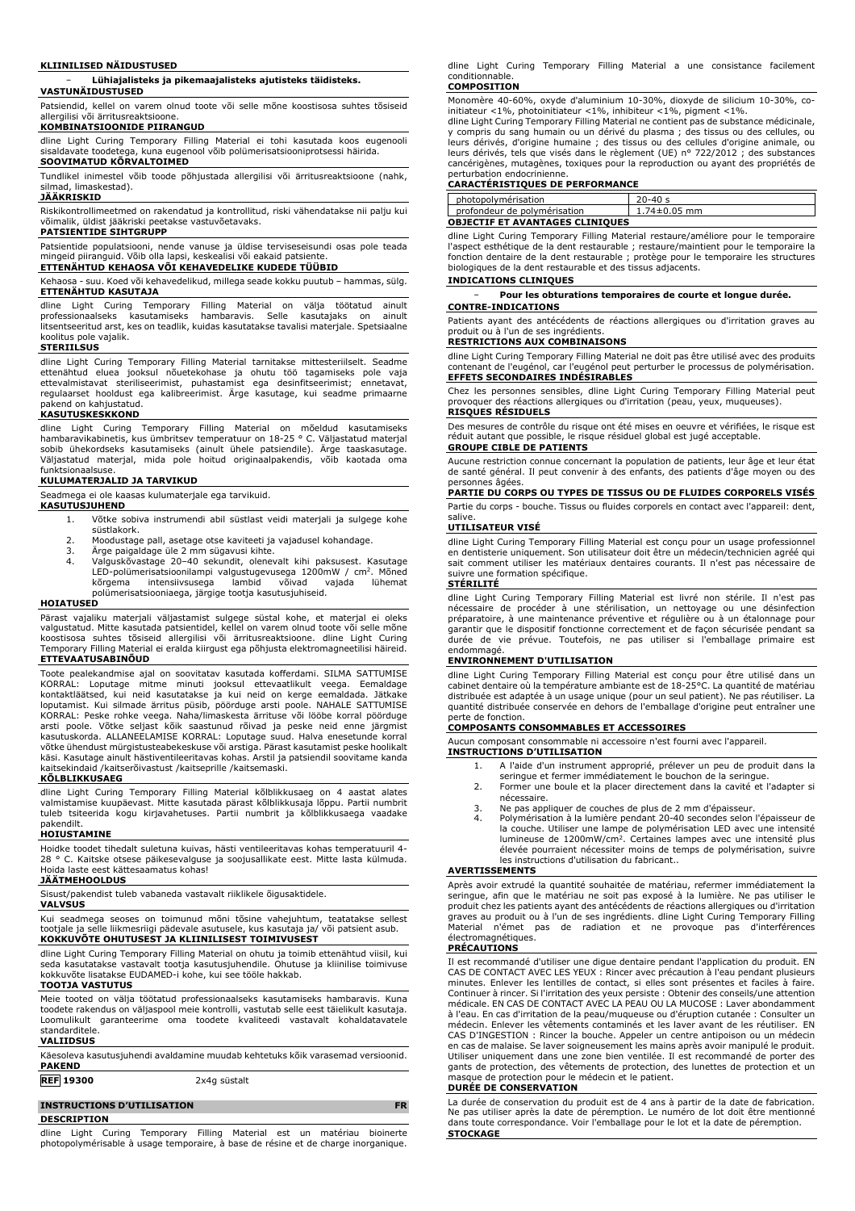### **KLIINILISED NÄIDUSTUSED**

#### − **Lühiajalisteks ja pikemaajalisteks ajutisteks täidisteks. VASTUNÄIDUSTUSED**

Patsiendid, kellel on varem olnud toote või selle mõne koostisosa suhtes tõsiseid allergilisi või ärritusreaktsioone.

### **KOMBINATSIOONIDE PIIRANGUD**

dline Light Curing Temporary Filling Material ei tohi kasutada koos eugenooli sisaldavate toodetega, kuna eugenool võib polümerisatsiooniprotsessi häirida. **SOOVIMATUD KÕRVALTOIMED**

Tundlikel inimestel võib toode põhjustada allergilisi või ärritusreaktsioone (nahk, silmad, limaskestad).

### **JÄÄKRISKID**

Riskikontrollimeetmed on rakendatud ja kontrollitud, riski vähendatakse nii palju kui võimalik, üldist jääkriski peetakse vastuvõetavaks. **PATSIENTIDE SIHTGRUPP**

Patsientide populatsiooni, nende vanuse ja üldise terviseseisundi osas pole teada mingeid piiranguid. Võib olla lapsi, keskealisi või eakaid patsiente.

**ETTENÄHTUD KEHAOSA VÕI KEHAVEDELIKE KUDEDE TÜÜBID**

Kehaosa - suu. Koed või kehavedelikud, millega seade kokku puutub – hammas, sülg. **ETTENÄHTUD KASUTAJA**

dline Light Curing Temporary Filling Material on välja töötatud ainult<br>professionaalseks kasutamiseks hambaravis. Selle kasutajaks on ainult<br>litsentseeritudarst, kes on teadlik, kuidas kasutatakse tavalisi materjale. Spets koolitus pole vajalik.

#### **STERIILSUS**

dline Light Curing Temporary Filling Material tarnitakse mittesteriilselt. Seadme ettenähtud eluea jooksul nõuetekohase ja ohutu töö tagamiseks pole vaja ettevalmistavat steriliseerimist, puhastamist ega desinfitseerimist; ennetavat, regulaarset hooldust ega kalibreerimist. Ärge kasutage, kui seadme primaarne kend on kahjustatud.

#### **KASUTUSKESKKOND**

dline Light Curing Temporary Filling Material on mõeldud kasutamiseks hambaravikabinetis, kus ümbritsev temperatuur on 18-25 ° C. Väljastatud materjal sobib ühekordseks kasutamiseks (ainult ühele patsiendile). Ärge taaskasutage. Väljastatud materjal, mida pole hoitud originaalpakendis, võib kaotada oma funktsionaalsuse.

# **KULUMATERJALID JA TARVIKUD**

Seadmega ei ole kaasas kulumaterjale ega tarvikuid.

#### **KASUTUSJUHEND**

- 1. Võtke sobiva instrumendi abil süstlast veidi materjali ja sulgege kohe süstlakork.
- 2. Moodustage pall, asetage otse kaviteeti ja vajadusel kohandage.<br>3. Ärge paigaldage üle 2 mm sügavusi kihte.
- 
- 3. Ärge paigaldage üle 2 mm sügavusi kihte. 4. Valguskõvastage 20–40 sekundit, olenevalt kihi paksusest. Kasutage LED-polümerisatsioonilampi valgustugevusega 1200mW / cm<sup>2</sup>. Mõned kõrgema intensiivsusega lambid võivad vajada lühemat polümerisatsiooniaega, järgige tootja kasutusjuhiseid.

#### **HOIATUSED**

Pärast vajaliku materjali väljastamist sulgege süstal kohe, et materjal ei oleks<br>valgustatud. Mitte kasutada patsientidel, kellel on varem olnud toote või selle mõne<br>koostisosa suhtes tõsiseid allergilisi või ärritusreakts Temporary Filling Material ei eralda kiirgust ega põhjusta elektromagneetilisi häireid. **ETTEVAATUSABINÕUD**

Toote pealekandmise ajal on soovitatav kasutada kofferdami. SILMA SATTUMISE<br>KORRAL: Loputage mitme minuti jooksul ettevaatlikult veega. Eemaldage<br>kontaktläätsed, kui neid kasutatakse ja kui neid on kerge eemaldada. Jätkake loputamist. Kui silmade ärritus püsib, pöörduge arsti poole. NAHALE SATTUMISE KORRAL: Peske rohke veega. Naha/limaskesta ärrituse või lööbe korral pöörduge arsti poole. Võtke seljast kõik saastunud rõivad ja peske neid enne järgmist<br>kasutuskorda. ALLANEELAMISE KORRAL: Loputage suud. Halva enesetunde korral<br>võtke ühendust mürgistusteabekeskuse või arstiga. Pärast kasutamist pe kaitsekindaid /kaitserõivastust /kaitseprille /kaitsemaski.

#### **KÕLBLIKKUSAEG**

dline Light Curing Temporary Filling Material kõlblikkusaeg on 4 aastat alates valmistamise kuupäevast. Mitte kasutada pärast kõlblikkusaja lõppu. Partii numbrit tuleb tsiteerida kogu kirjavahetuses. Partii numbrit ja kõlblikkusaega vaadake pakendilt.

#### **HOIUSTAMINE**

Hoidke toodet tihedalt suletuna kuivas, hästi ventileeritavas kohas temperatuuril 4- 28 ° C. Kaitske otsese päikesevalguse ja soojusallikate eest. Mitte lasta külmuda. Hoida laste eest kättesaamatus kohas!

# **JÄÄTMEHOOLDUS**

Sisust/pakendist tuleb vabaneda vastavalt riiklikele õigusaktidele.

# **VALVSUS**

Kui seadmega seoses on toimunud mõni tõsine vahejuhtum, teatatakse sellest tootjale ja selle liikmesriigi pädevale asutusele, kus kasutaja ja/ või patsient asub. **KOKKUVÕTE OHUTUSEST JA KLIINILISEST TOIMIVUSEST**

dline Light Curing Temporary Filling Material on ohutu ja toimib ettenähtud viisil, kui seda kasutatakse vastavalt tootja kasutusjuhendile. Ohutuse ja kliinilise toimivuse kokkuvõte lisatakse EUDAMED-i kohe, kui see tööle hakkab. **TOOTJA VASTUTUS**

Meie tooted on välja töötatud professionaalseks kasutamiseks hambaravis. Kuna<br>toodete rakendus on väljaspool meie kontrolli, vastutab selle eest täielikult kasutaja.<br>Loomulikult -garanteerime - oma - toodete - kvaliteedi standarditele.

# **VALIIDSUS**

Käesoleva kasutusjuhendi avaldamine muudab kehtetuks kõik varasemad versioonid. **PAKEND**

# **REF 19300** 2x4g süstalt

#### **INSTRUCTIONS D'UTILISATION FR**

**DESCRIPTION**

dline Light Curing Temporary Filling Material est un matériau bioinerte photopolymérisable à usage temporaire, à base de résine et de charge inorganique.

dline Light Curing Temporary Filling Material a une consistance facilement conditionnable.

### **COMPOSITION**

Monomère 40-60%, oxyde d'aluminium 10-30%, dioxyde de silicium 10-30%, coinitiateur <1%, photoinitiateur <1%, inhibiteur <1%, pigment <1%. dline Light Curing Temporary Filling Material ne contient pas de substance médicinale,

y compris du sang humain ou un derive du plasma ; des tissus ou des cellules, ou<br>leurs dérivés, d'origine humaine ; des tissus ou des cellules d'origine animale, ou<br>leurs dérivés, tels que visés dans le règlement (UE) n° 7 cancérigènes, mutagènes, toxiques pour la reproduction ou ayant des propriétés de

# perturbation endocrinienne. **CARACTÉRISTIQUES DE PERFORMANCE**

| photopolymérisation                    | $20 - 40s$         |  |
|----------------------------------------|--------------------|--|
| profondeur de polymérisation           | $1.74 \pm 0.05$ mm |  |
| <b>OBJECTIF ET AVANTAGES CLINIQUES</b> |                    |  |

dline Light Curing Temporary Filling Material restaure/améliore pour le temporaire l'aspect esthétique de la dent restaurable ; restaure/maintient pour le temporaire la fonction dentaire de la dent restaurable ; protège pour le temporaire les structures biologiques de la dent restaurable et des tissus adjacents.

#### **INDICATIONS CLINIQUES**

− **Pour les obturations temporaires de courte et longue durée.**

# **CONTRE-INDICATIONS**

Patients ayant des antécédents de réactions allergiques ou d'irritation graves au produit ou à l'un de ses ingrédients. **RESTRICTIONS AUX COMBINAISONS**

dline Light Curing Temporary Filling Material ne doit pas être utilisé avec des produits contenant de l'eugénol, car l'eugénol peut perturber le processus de polymérisation. **EFFETS SECONDAIRES INDÉSIRABLES**

Chez les personnes sensibles, dline Light Curing Temporary Filling Material peut provoquer des réactions allergiques ou d'irritation (peau, yeux, muqueuses). **RISQUES RÉSIDUELS**

Des mesures de contrôle du risque ont été mises en oeuvre et vérifiées, le risque est réduit autant que possible, le risque résiduel global est jugé acceptable. **GROUPE CIBLE DE PATIENTS**

# Aucune restriction connue concernant la population de patients, leur âge et leur état

de santé général. Il peut convenir à des enfants, des patients d'âge moyen ou des personnes âgées.

# **PARTIE DU CORPS OU TYPES DE TISSUS OU DE FLUIDES CORPORELS VISÉS**

Partie du corps - bouche. Tissus ou fluides corporels en contact avec l'appareil: dent, salive.

#### **UTILISATEUR VISÉ**

dline Light Curing Temporary Filling Material est conçu pour un usage professionnel en dentisterie uniquement. Son utilisateur doit être un médecin/technicien agréé qui sait comment utiliser les matériaux dentaires courants. Il n'est pas nécessaire de suivre une formation spécifique.

# **STÉRILITÉ**

dline Light Curing Temporary Filling Material est livré non stérile. Il n'est pas nécessaire de procéder à une stérilisation, un nettoyage ou une désinfection préparatoire, à une maintenance préventive et régulière ou à un étalonnage pour garantir que le dispositif fonctionne correctement et de façon sécurisée pendant sa durée de vie prévue. Toutefois, ne pas utiliser si l'emballage primaire est endommagé.

### **ENVIRONNEMENT D'UTILISATION**

dline Light Curing Temporary Filling Material est conçu pour être utilisé dans un cabinet dentaire où la température ambiante est de 18-25°C. La quantité de matériau distribuée est adaptée à un usage unique (pour un seul patient). Ne pas réutiliser. La quantité distribuée conservée en dehors de l'emballage d'origine peut entraîner une perte de fonction.

# **COMPOSANTS CONSOMMABLES ET ACCESSOIRES**

Aucun composant consommable ni accessoire n'est fourni avec l'appareil. **INSTRUCTIONS D'UTILISATION**

- 1. A l'aide d'un instrument approprié, prélever un peu de produit dans la
	- seringue et fermer immédiatement le bouchon de la seringue. 2. Former une boule et la placer directement dans la cavité et l'adapter si
	- nécessaire.
	- 3. Ne pas appliquer de couches de plus de 2 mm d'épaisseur. 4. Polymérisation à la lumière pendant 20-40 secondes selon l'épaisseur de
	- la couche. Utiliser une lampe de polymérisation LED avec une intensité lumineuse de 1200mW/cm<sup>2</sup> . Certaines lampes avec une intensité plus élevée pourraient nécessiter moins de temps de polymérisation, suivre les instructions d'utilisation du fabricant..

#### **AVERTISSEMENTS**

Après avoir extrudé la quantité souhaitée de matériau, refermer immédiatement la seringue, afin que le matériau ne soit pas exposé à la lumière. Ne pas utiliser le produit chez les patients ayant des antécédents de réactions allergiques ou d'irritation graves au produit ou à l'un de ses ingrédients. dline Light Curing Temporary Filling Material n'émet pas de radiation et ne provoque pas d'interférences électromagnétiques.

#### **PRÉCAUTIONS**

Il est recommandé d'utiliser une digue dentaire pendant l'application du produit. EN CAS DE CONTACT AVEC LES YEUX : Rincer avec précaution à l'eau pendant plusieurs minutes. Enlever les lentilles de contact, si elles sont présentes et faciles à faire. Continuer à rincer. Si l'irritation des yeux persiste : Obtenir des conseils/une attention médicale. EN CAS DE CONTACT AVEC LA PEAU OU LA MUCOSE : Laver abondamment à l'eau. En cas d'irritation de la peau/muqueuse ou d'éruption cutanée : Consulter un médecin. Enlever les vêtements contaminés et les laver avant de les réutiliser. EN CAS D'INGESTION : Rincer la bouche. Appeler un centre antipoison ou un médecin en cas de malaise. Se laver soigneusement les mains après avoir manipulé le produit. Utiliser uniquement dans une zone bien ventilée. Il est recommandé de porter des gants de protection, des vêtements de protection, des lunettes de protection et un masque de protection pour le médecin et le patient.

#### **DURÉE DE CONSERVATION**

La durée de conservation du produit est de 4 ans à partir de la date de fabrication. Ne pas utiliser après la date de péremption. Le numéro de lot doit être mentionné dans toute correspondance. Voir l'emballage pour le lot et la date de péremption. **STOCKAGE**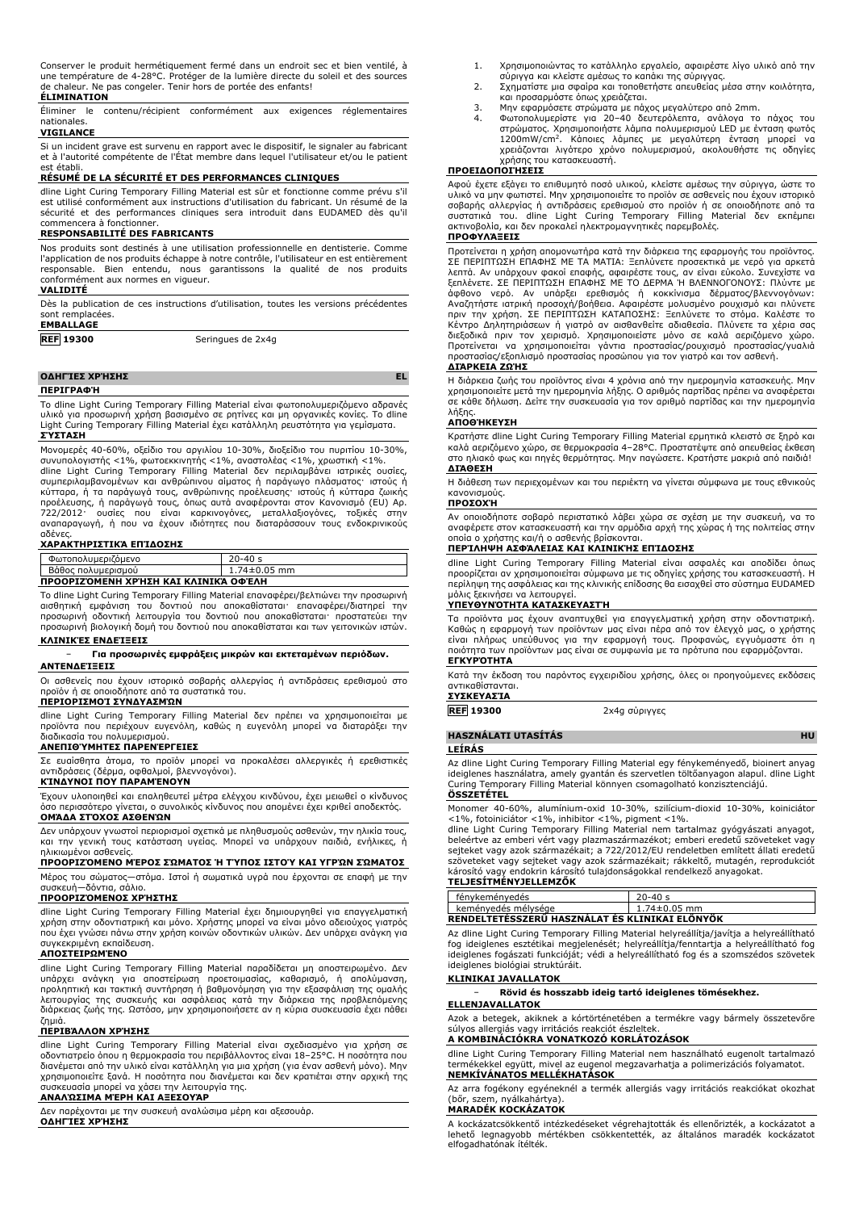| Conserver le produit hermétiquement fermé dans un endroit sec et bien ventilé, à   |
|------------------------------------------------------------------------------------|
| une température de 4-28°C. Protéger de la lumière directe du soleil et des sources |
| de chaleur. Ne pas congeler. Tenir hors de portée des enfants!                     |

### **ÉLIMINATION**

Éliminer le contenu/récipient conformément aux exigences réglementaires nationales.

### **VIGILANCE**

Si un incident grave est survenu en rapport avec le dispositif, le signaler au fabricant et à l'autorité compétente de l'État membre dans lequel l'utilisateur et/ou le patient est établi.

#### **RÉSUMÉ DE LA SÉCURITÉ ET DES PERFORMANCES CLINIQUES**

dline Light Curing Temporary Filling Material est sûr et fonctionne comme prévu s'il est utilisé conformément aux instructions d'utilisation du fabricant. Un résumé de la sécurité et des performances cliniques sera introduit dans EUDAMED dès qu'il commencera à fonctionner.

#### **RESPONSABILITÉ DES FABRICANTS**

Nos produits sont destinés à une utilisation professionnelle en dentisterie. Comme l'application de nos produits échappe à notre contrôle, l'utilisateur en est entièrement responsable. Bien entendu, nous garantissons la qualité de nos produits conformément aux normes en vigueur.

#### **VALIDITÉ**

Dès la publication de ces instructions d'utilisation, toutes les versions précédentes sont remplacées.

# **EMBALLAGE**

**REF 19300** Seringues de 2x4g

#### **ΟΔΗΓΊΕΣ ΧΡΉΣΗΣ EL**

**ΠΕΡΙΓΡΑΦΉ**

Το dline Light Curing Temporary Filling Material είναι φωτοπολυμεριζόμενο αδρανές υλικό για προσωρινή χρήση βασισμένο σε ρητίνες και μη οργανικές κονίες. Το dline Light Curing Temporary Filling Material έχει κατάλληλη ρευστότητα για γεμίσματα. **ΣΎΣΤΑΣΗ**

Μονομερές 40-60%, οξείδιο του αργιλίου 10-30%, διοξείδιο του πυριτίου 10-30%, συνυπολογιστής <1%, φωτοεκκινητής <1%, αναστολέας <1%, χρωστική <1%.

dline Light Curing Temporary Filling Material δεν περιλαμβάνει ιατρικές ουσίες, συμπεριλαμβανομένων και ανθρώπινου αίματος ή παράγωγο πλάσματος· ιστούς ή κύτταρα, ή τα παράγωγά τους, ανθρώπινης προέλευσης· ιστούς ή κύτταρα ζωικής προέλευσης, ή παράγωγά τους, όπως αυτά αναφέρονται στον Κανονισμό (EU) Αρ.<br>722/2012· ουσίες που είναι καρκινογόνες, μεταλλαξιογόνες, τοξικές στην<br>αναπαραγωγή, ή που να έχουν ιδιότητες που διαταράσσο αδένες.

## **ΧΑΡΑΚΤΗΡΙΣΤΙΚΆ ΕΠΊΔΟΣΗΣ**

| Φωτοπολυμεριζόμενο                   | $20 - 40s$         |
|--------------------------------------|--------------------|
| Βάθος πολυμερισμού                   | $1.74 \pm 0.05$ mm |
| ΠΡΟΟΡΙΖΌΜΕΝΗ ΧΡΉΣΗ ΚΑΙ ΚΛΙΝΙΚΆ ΟΦΈΛΗ |                    |

Το dline Light Curing Temporary Filling Material επαναφέρει/βελτιώνει την προσωρινή αισθητική εμφάνιση του δοντιού που αποκαθίσταται· επαναφέρει/διατηρεί την προσωρινή οδοντική λειτουργία του δοντιού που αποκαθίσταται· προστατεύει την προσωρινή βιολογική δομή του δοντιού που αποκαθίσταται και των γειτονικών ιστών. **ΚΛΙΝΙΚΈΣ ΕΝΔΕΊΞΕΙΣ**

#### − **Για προσωρινές εμφράξεις μικρών και εκτεταμένων περιόδων. ΑΝΤΕΝΔΕΊΞΕΙΣ**

Οι ασθενείς που έχουν ιστορικό σοβαρής αλλεργίας ή αντιδράσεις ερεθισμού στο προϊόν ή σε οποιοδήποτε από τα συστατικά του.

# **ΠΕΡΙΟΡΙΣΜΟΊ ΣΥΝΔΥΑΣΜΏΝ**

dline Light Curing Temporary Filling Material δεν πρέπει να χρησιμοποιείται με προϊόντα που περιέχουν ευγενόλη, καθώς η ευγενόλη μπορεί να διαταράξει την διαδικασία του πολυμερισμού.

# **ΑΝΕΠΙΘΎΜΗΤΕΣ ΠΑΡΕΝΈΡΓΕΙΕΣ**

Σε ευαίσθητα άτομα, το προϊόν μπορεί να προκαλέσει αλλεργικές ή ερεθιστικές αντιδράσεις (δέρμα, οφθαλμοί, βλεννογόνοι).

# **ΚΊΝΔΥΝΟΙ ΠΟΥ ΠΑΡΑΜΈΝΟΥΝ**

Έχουν υλοποιηθεί και επαληθευτεί μέτρα ελέγχου κινδύνου, έχει μειωθεί ο κίνδυνος όσο περισσότερο γίνεται, ο συνολικός κίνδυνος που απομένει έχει κριθεί αποδεκτός. **ΟΜΆΔΑ ΣΤΌΧΟΣ ΑΣΘΕΝΏΝ**

Δεν υπάρχουν γνωστοί περιορισμοί σχετικά με πληθυσμούς ασθενών, την ηλικία τους, και την γενική τους κατάσταση υγείας. Μπορεί να υπάρχουν παιδιά, ενήλικες, ή ηλικιωμένοι ασθενείς.

# **ΠΡΟΟΡΙΖΌΜΕΝΟ ΜΈΡΟΣ ΣΏΜΑΤΟΣ Ή ΤΎΠΟΣ ΙΣΤΟΎ ΚΑΙ ΥΓΡΏΝ ΣΏΜΑΤΟΣ**

Μέρος του σώματος—στόμα. Ιστοί ή σωματικά υγρά που έρχονται σε επαφή με την συσκευή—δόντια, σάλιο.

**ΠΡΟΟΡΙΖΌΜΕΝΟΣ ΧΡΉΣΤΗΣ**

dline Light Curing Temporary Filling Material έχει δημιουργηθεί για επαγγελματική χρήση στην οδοντιατρική και μόνο. Χρήστης μπορεί να είναι μόνο αδειούχος γιατρός που έχει γνώσει πάνω στην χρήση κοινών οδοντικών υλικών. Δεν υπάρχει ανάγκη για συγκεκριμένη εκπαίδευση.

#### **ΑΠΟΣΤΕΙΡΩΜΈΝΟ**

dline Light Curing Temporary Filling Material παραδίδεται μη αποστειρωμένο. Δεν υπάρχει ανάγκη για αποστείρωση προετοιμασίας, καθαρισμό, ή απολύμανση, προληπτική και τακτική συντήρηση ή βαθμονόμηση για την εξασφάλιση της ομαλής λειτουργίας της συσκευής και ασφάλειας κατά την διάρκεια της προβλεπόμενης διάρκειας ζωής της. Ωστόσο, μην χρησιμοποιήσετε αν η κύρια συσκευασία έχει πάθει ζημιά.

### **ΠΕΡΙΒΆΛΛΟΝ ΧΡΉΣΗΣ**

dline Light Curing Temporary Filling Material είναι σχεδιασμένο για χρήση σε οδοντιατρείο όπου η θερμοκρασία του περιβάλλοντος είναι 18–25°C. Η ποσότητα που<br>διανέμεται από την υλικό είναι κατάλληλη για μια χρήση (για έναν ασθενή μόνο). Μην<br>χρησιμοποιείτε ξανά. Η ποσότητα που διανέμεται και δεν κρα

## **ΑΝΑΛΏΣΙΜΑ ΜΈΡΗ ΚΑΙ ΑΞΕΣΟΥΆΡ**

Δεν παρέχονται με την συσκευή αναλώσιμα μέρη και αξεσουάρ. **ΟΔΗΓΊΕΣ ΧΡΉΣΗΣ**

- 1. Χρησιμοποιώντας το κατάλληλο εργαλείο, αφαιρέστε λίγο υλικό από την
- σύριγγα και κλείστε αμέσως το καπάκι της σύριγγας. 2. Σχηματίστε μια σφαίρα και τοποθετήστε απευθείας μέσα στην κοιλότητα, και προσαρμόστε όπως χρειάζεται.
- 
- 3. Μην εφαρμόσετε στρώματα με πάχος μεγαλύτερο από 2mm. 4. Φωτοπολυμερίστε για 20–40 δευτερόλεπτα, ανάλογα το πάχος του στρώματος. Χρησιμοποιήστε λάμπα πολυμερισμού LED με ένταση φωτός 1200mW/cm<sup>2</sup> . Κάποιες λάμπες με μεγαλύτερη ένταση μπορεί να χρειάζονται λιγότερο χρόνο πολυμερισμού, ακολουθήστε τις οδηγίες

# χρήσης του κατασκευαστή. **ΠΡΟΕΙΔΟΠΟΙΉΣΕΙΣ**

Αφού έχετε εξάγει το επιθυμητό ποσό υλικού, κλείστε αμέσως την σύριγγα, ώστε το υλικό να μην φωτιστεί. Μην χρησιμοποιείτε το προϊόν σε ασθενείς που έχουν ιστορικό<br>σοβαρής αλλεργίας ή αντιδράσεις ερεθισμού στο προϊόν ή σε οποιοδήποτε από τα<br>συστατικά του. dline Light Curing Temporary Filling Ma

## **ΠΡΟΦΥΛΆΞΕΙΣ**

Προτείνεται η χρήση απομονωτήρα κατά την διάρκεια της εφαρμογής του προϊόντος. ΣΕ ΠΕΡΙΠΤΩΣΗ ΕΠΑΦΗΣ ΜΕ ΤΑ ΜΑΤΙΑ: Ξεπλύνετε προσεκτικά με νερό για αρκετά λεπτά. Αν υπάρχουν φακοί επαφής, αφαιρέστε τους, αν είναι εύκολο. Συνεχίστε να ξεπλένετε. ΣΕ ΠΕΡΙΠΤΩΣΗ ΕΠΑΦΗΣ ΜΕ ΤΟ ΔΕΡΜΑ Ή ΒΛΕΝΝΟΓΟΝΟΥΣ: Πλύντε με άφθονο νερό. Αν υπάρξει ερεθισμός ή κοκκίνισμα δέρματος/βλεννογόνων:<br>Αναζητήστε ιατρική προσοχή/βοήθεια. Αφαιρέστε μολυσμένο ρουχισμό και πλύνετε<br>πριν την χρήση. ΣΕ ΠΕΡΙΠΤΩΣΗ ΚΑΤΑΠΟΣΗΣ: Ξεπλύνετε το στόμα. Καλέστε το<br>Κέντ **ΔΙΆΡΚΕΙΑ ΖΩΉΣ**

Η διάρκεια ζωής του προϊόντος είναι 4 χρόνια από την ημερομηνία κατασκευής. Μην χρησιμοποιείτε μετά την ημερομηνία λήξης. Ο αριθμός παρτίδας πρέπει να αναφέρεται σε κάθε δήλωση. Δείτε την συσκευασία για τον αριθμό παρτίδας και την ημερομηνία λήξης.

## **ΑΠΟΘΉΚΕΥΣΗ**

Κρατήστε dline Light Curing Temporary Filling Material ερμητικά κλειστό σε ξηρό και καλά αεριζόμενο χώρο, σε θερμοκρασία 4–28°C. Προστατέψτε από απευθείας έκθεση στο ηλιακό φως και πηγές θερμότητας. Μην παγώσετε. Κρατήστε μακριά από παιδιά! **ΔΙΆΘΕΣΗ**

Η διάθεση των περιεχομένων και του περιέκτη να γίνεται σύμφωνα με τους εθνικούς κανονισμούς.

# **ΠΡΟΣΟΧΉ**

Αν οποιοδήποτε σοβαρό περιστατικό λάβει χώρα σε σχέση με την συσκευή, να το αναφέρετε στον κατασκευαστή και την αρμόδια αρχή της χώρας ή της πολιτείας στην οποία ο χρήστης και/ή ο ασθενής βρίσκονται.

#### **ΠΕΡΊΛΗΨΗ ΑΣΦΆΛΕΙΑΣ ΚΑΙ ΚΛΙΝΙΚΉΣ ΕΠΊΔΟΣΗΣ**

dline Light Curing Temporary Filling Material είναι ασφαλές και αποδίδει όπως προορίζεται αν χρησιμοποιείται σύμφωνα με τις οδηγίες χρήσης του κατασκευαστή. Η περίληψη της ασφάλειας και της κλινικής επίδοσης θα εισαχθεί στο σύστημα EUDAMED μόλις ξεκινήσει να λειτουργεί.

## **ΥΠΕΥΘΥΝΌΤΗΤΑ ΚΑΤΑΣΚΕΥΑΣΤΉ**

Τα προϊόντα μας έχουν αναπτυχθεί για επαγγελματική χρήση στην οδοντιατρική. Καθώς η εφαρμογή των προϊόντων μας είναι πέρα από τον έλεγχό μας, ο χρήστης<br>είναι πλήρως υπεύθυνος για την εφαρμογή τους. Προφανώς, εγγυόμαστε ότι η<br>ποιότητα των προϊόντων μας είναι σε συμφωνία με τα πρότυπα που εφαρμόζον **ΕΓΚΥΡΌΤΗΤΑ**

Κατά την έκδοση του παρόντος εγχειριδίου χρήσης, όλες οι προηγούμενες εκδόσεις αντικαθίστανται. **ΣΥΣΚΕΥΑΣΊΑ**

# **REF 19300** 2x4g σύριγγες

**HASZNÁLATI UTASÍTÁS HU**

**LEÍRÁS**

Az dline Light Curing Temporary Filling Material egy fénykeményedő, bioinert anyag ideiglenes használatra, amely gyantán és szervetlen töltőanyagon alapul. dline Light Curing Temporary Filling Material könnyen csomagolható konzisztenciájú. **ÖSSZETÉTEL**

Monomer 40-60%, alumínium-oxid 10-30%, szilícium-dioxid 10-30%, koiniciátor <1%, fotoiniciátor <1%, inhibitor <1%, pigment <1%.

dline Light Curing Temporary Filling Material nem tartalmaz gyógyászati anyagot, beleértve az emberi vért vagy plazmaszármazékot; emberi eredetű szöveteket vagy sejteket vagy azok származékait; a 722/2012/EU rendeletben említett állati eredetű szöveteket vagy sejteket vagy azok származékait; rákkeltő, mutagén, reprodukciót<br>károsító vagy endokrin károsító tulajdonságokkal rendelkező anyagokat.<br>**TELJESÍTMÉNYJELLEMZŐK** 

| fénykeményedés                                 | $20 - 40s$         |
|------------------------------------------------|--------------------|
| keménvedés mélvsége                            | $1.74 \pm 0.05$ mm |
| RENDELTETESSZERÜ HASZNÁLAT ÉS KLINIKAI ELÖNYÖK |                    |

Az dline Light Curing Temporary Filling Material helyreállítja/javítja a helyreállítható<br>fog ideiglenes esztétikai megjelenését; helyreállítja/fenntartja a helyreállítható fog<br>ideiglenes fogászati funkcióját; védi a helyre ideiglenes biológiai struktúráit.

# **KLINIKAI JAVALLATOK**

− **Rövid és hosszabb ideig tartó ideiglenes tömésekhez.**

# **ELLENJAVALLATOK**

Azok a betegek, akiknek a kórtörténetében a termékre vagy bármely összetevőre súlyos allergiás vagy irritációs reakciót észleltek.

# **A KOMBINÁCIÓKRA VONATKOZÓ KORLÁTOZÁSOK**

dline Light Curing Temporary Filling Material nem használható eugenolt tartalmazó termékekkel együtt, mivel az eugenol megzavarhatja a polimerizációs folyamatot. **NEMKÍVÁNATOS MELLÉKHATÁSOK**

Az arra fogékony egyéneknél a termék allergiás vagy irritációs reakciókat okozhat (bőr, szem, nyálkahártya).

# **MARADÉK KOCKÁZATOK**

A kockázatcsökkentő intézkedéseket végrehajtották és ellenőrizték, a kockázatot a lehető legnagyobb mértékben csökkentették, az általános maradék kockázatot elfogadhatónak ítélték.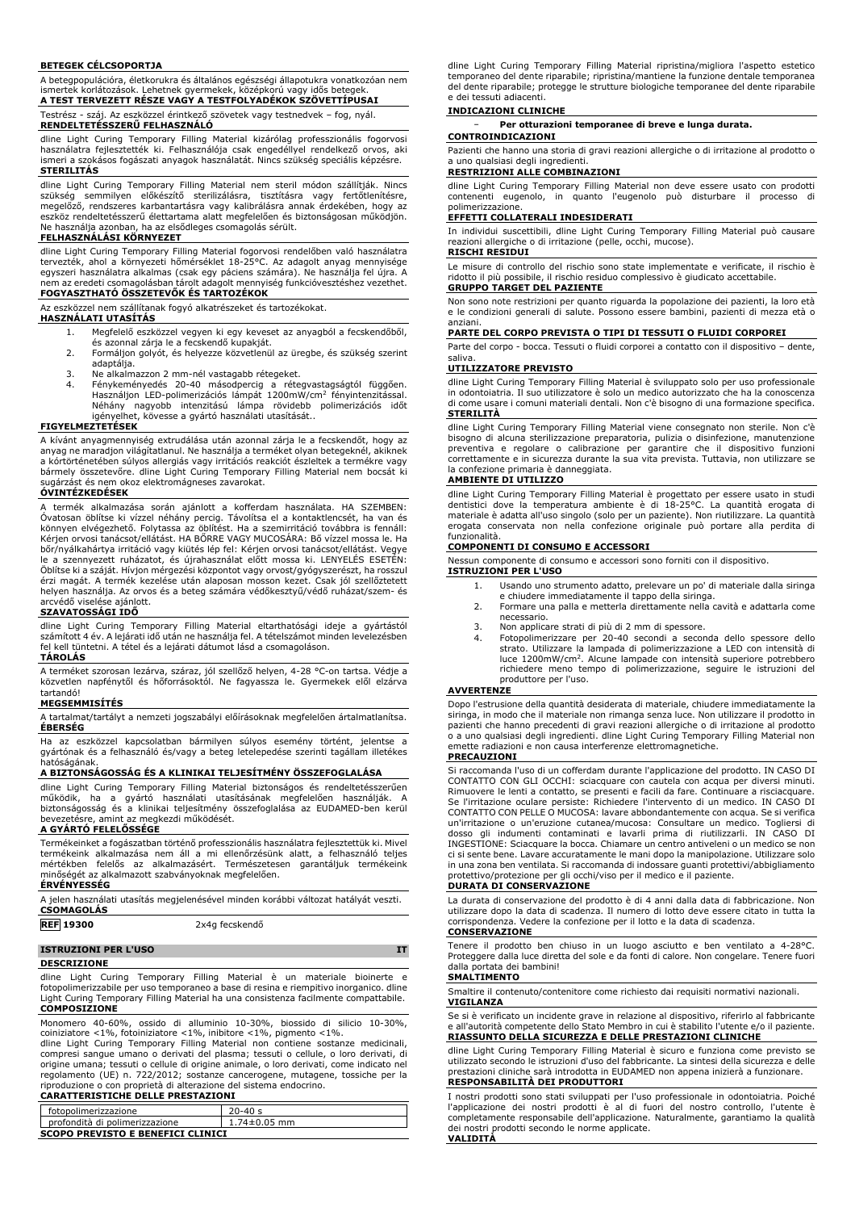#### **BETEGEK CÉLCSOPORTJA**

A betegpopulációra, életkorukra és általános egészségi állapotukra vonatkozóan nem ismertek korlátozások. Lehetnek gyermekek, középkorú vagy idős betegek. **A TEST TERVEZETT RÉSZE VAGY A TESTFOLYADÉKOK SZÖVETTÍPUSAI**

Testrész - száj. Az eszközzel érintkező szövetek vagy testnedvek – fog, nyál. **RENDELTETÉSSZERŰ FELHASZNÁLÓ**

dline Light Curing Temporary Filling Material kizárólag professzionális fogorvosi használatra fejlesztették ki. Felhasználója csak engedéllyel rendelkező orvos, aki ismeri a szokásos fogászati anyagok használatát. Nincs szükség speciális képzésre. **STERILITÁS**

dline Light Curing Temporary Filling Material nem steril modon szallitják. Nincs<br>szükség - semmilyen - előkészítő - sterilizálásra, - tisztításra- vagy- fertőtlenítésre,<br>megelőző, rendszeres karbantartásra vagy kalibrálásr eszköz rendeltetésszerű élettartama alatt megfelelően és biztonságosan működjön. Ne használja azonban, ha az elsődleges csomagolás sérült.

#### **FELHASZNÁLÁSI KÖRNYEZET**

dline Light Curing Temporary Filling Material fogorvosi rendelőben való használatra tervezték, ahol a környezeti hőmérséklet 18-25°C. Az adagolt anyag mennyisége egyszeri használatra alkalmas (csak egy páciens számára). Ne használja fel újra. A<br>nem az eredeti csomagolásban tárolt adagolt mennyiség funkcióvesztéshez vezethet.<br><mark>FOGYASZTHATÓ ÖSSZETEVŐK ÉS TARTOZÉKOK</mark>

Az eszközzel nem szállítanak fogyó alkatrészeket és tartozékokat.

#### **HASZNÁLATI UTASÍTÁS**

- 1. Megfelelő eszközzel vegyen ki egy keveset az anyagból a fecskendőből, és azonnal zárja le a fecskendő kupakját.
- 2. Formáljon golyót, és helyezze közvetlenül az üregbe, és szükség szerint
- 
- adaptálja.<br>3. Ne alkalmazzon 2 mm-nél vastagabb rétegeket.<br>4. Fénykeményedés 20-40 másodpercig a rétegvastagságtól függően.<br>Használjon LED-polimerizációs lámpát 1200mW/cm<sup>2</sup> fényintenzitással.<br>Néhány nagyobb intenzitású lá

#### **FIGYELMEZTETÉSEK**

A kívánt anyagmennyiség extrudálása után azonnal zárja le a fecskendőt, hogy az anyag ne maradjon világitatlanul. Ne használja a terméket olyan betegeknél, akiknek<br>a kórtörténetében súlyos allergiás vagy irritációs reakciót észleltek a termékre vagy<br>bármely összetevőre. dline Light Curing Temporary F sugárzást és nem okoz elektromágneses zavarokat.

# **ÓVINTÉZKEDÉSEK**

A termék alkalmazása során ajánlott a kofferdam használata. HA SZEMBEN: Óvatosan öblítse ki vízzel néhány percig. Távolítsa el a kontaktlencsét, ha van és könnyen elvégezhető. Folytassa az öblítést. Ha a szemirritáció továbbra is fennáll: Kérjen orvosi tanácsot/ellátást. HA BORRE VAGY MUCOSARA: Bő vízzel mossa le. Ha<br>bőr/nyálkahártya irritáció vagy kiütés lép fel: Kérjen orvosi tanácsot/ellátást. Vegye le a szennyezett ruházatot, és újrahasználat előtt mossa ki. LENYELES ESETEN:<br>Öblítse-ki a-száját. Hívjon mérgezési központot vagy orvost/gyógyszerészt, ha rosszul<br>érzi magát. A termék kezelése után alaposan mosson kezet. arcvédő viselése ajánlott.

### **SZAVATOSSÁGI IDŐ**

dline Light Curing Temporary Filling Material eltarthatósági ideje a gyártástól<br>számított 4 év. A lejárati idő után ne használja fel. A tételszámot minden levelezésben<br>fel kell tüntetni. A tétel és a lejárati dátu **TÁROLÁS**

A terméket szorosan lezárva, száraz, jól szellőző helyen, 4-28 °C-on tartsa. Védje a közvetlen napfénytől és hőforrásoktól. Ne fagyassza le. Gyermekek elől elzárva tartandó!

#### **MEGSEMMISÍTÉS**

A tartalmat/tartályt a nemzeti jogszabályi előírásoknak megfelelően ártalmatlanítsa. **ÉBERSÉG**

Ha az eszközzel kapcsolatban bármilyen súlyos esemény történt, jelentse a gyártónak és a felhasználó és/vagy a beteg letelepedése szerinti tagállam illetékes hatóságának.

#### **A BIZTONSÁGOSSÁG ÉS A KLINIKAI TELJESÍTMÉNY ÖSSZEFOGLALÁSA**

dline Light Curing Temporary Filling Material biztonságos és rendeltetésszerűen<br>működik, ha a gyártó használati utasításának megfelelően használják. A<br>biztonságosság és a klinikai teljesítmény összefoglalása az EUDA

### **A GYÁRTÓ FELELŐSSÉGE**

Termékeinket a fogászatban történő professzionális használatra fejlesztettük ki. Mivel termékeink alkalmazása nem áll a mi ellenőrzésünk alatt, a felhasználó teljes mértékben felelős az alkalmazásért. Természetesen garantáljuk termékeink minőségét az alkalmazott szabványoknak megfelelően.

**ÉRVÉNYESSÉG**

A jelen használati utasítás megjelenésével minden korábbi változat hatályát veszti. **CSOMAGOLÁS**

#### **REF 19300** 2x4g fecskendő

# **ISTRUZIONI PER L'USO IT**

**DESCRIZIONE**

dline Light Curing Temporary Filling Material è un materiale bioinerte fotopolimerizzabile per uso temporaneo a base di resina e riempitivo inorganico. dline Light Curing Temporary Filling Material ha una consistenza facilmente compattabile. **COMPOSIZIONE**

Monomero 40-60%, ossido di alluminio 10-30%, biossido di silicio 10-30%, coiniziatore <1%, fotoiniziatore <1%, inibitore <1%, pigmento <1%.

dline Light Curing Temporary Filling Material non contiene sostanze medicinali,<br>compresi sangue umano o derivati del plasma; tessuti o cellule, o loro derivati, di<br>origine umana; tessuti o cellule di origine animale, o lor riproduzione o con proprietà di alterazione del sistema endocrino.

### **CARATTERISTICHE DELLE PRESTAZIONI**

| fotopolimerizzazione                     | $20 - 40s$         |
|------------------------------------------|--------------------|
| profondità di polimerizzazione           | $1.74 \pm 0.05$ mm |
| <b>SCOPO PREVISTO E BENEFICI CLINICI</b> |                    |

dline Light Curing Temporary Filling Material ripristina/migliora l'aspetto estetico temporaneo del dente riparabile; ripristina/mantiene la funzione dentale temporanea del dente riparabile; protegge le strutture biologiche temporanee del dente riparabile e dei tessuti adiacenti.

#### **INDICAZIONI CLINICHE**

− **Per otturazioni temporanee di breve e lunga durata. CONTROINDICAZIONI**

Pazienti che hanno una storia di gravi reazioni allergiche o di irritazione al prodotto o uno qualsiasi degli ingredienti

## **RESTRIZIONI ALLE COMBINAZIONI**

dline Light Curing Temporary Filling Material non deve essere usato con prodotti contenenti eugenolo, in quanto l'eugenolo può disturbare il processo di polimerizzazione.

#### **EFFETTI COLLATERALI INDESIDERATI**

In individui suscettibili, dline Light Curing Temporary Filling Material può causare reazioni allergiche o di irritazione (pelle, occhi, mucose).

#### **RISCHI RESIDUI**

Le misure di controllo del rischio sono state implementate e verificate, il rischio è ridotto il più possibile, il rischio residuo complessivo è giudicato accettabile. **GRUPPO TARGET DEL PAZIENTE**

Non sono note restrizioni per quanto riguarda la popolazione dei pazienti, la loro età e le condizioni generali di salute. Possono essere bambini, pazienti di mezza età o anziani.

#### **PARTE DEL CORPO PREVISTA O TIPI DI TESSUTI O FLUIDI CORPOREI**

Parte del corpo - bocca. Tessuti o fluidi corporei a contatto con il dispositivo – dente, saliva.

## **UTILIZZATORE PREVISTO**

dline Light Curing Temporary Filling Material è sviluppato solo per uso professionale in odontoiatria. Il suo utilizzatore è solo un medico autorizzato che ha la conoscenza di come usare i comuni materiali dentali. Non c'è bisogno di una formazione specifica. **STERILITÀ**

dline Light Curing Temporary Filling Material viene consegnato non sterile. Non c'è bisogno di alcuna sterilizzazione preparatoria, pulizia o disinfezione, manutenzione preventiva e regolare o calibrazione per garantire che il dispositivo funzioni correttamente e in sicurezza durante la sua vita prevista. Tuttavia, non utilizzare se la confezione primaria è danneggiata.

### **AMBIENTE DI UTILIZZO**

dline Light Curing Temporary Filling Material è progettato per essere usato in studi dentistici dove la temperatura ambiente è di 18-25°C. La quantità erogata di materiale è adatta all'uso singolo (solo per un paziente). Non riutilizzare. La quantità erogata conservata non nella confezione originale può portare alla perdita di funzionalità.

# **COMPONENTI DI CONSUMO E ACCESSORI**

Nessun componente di consumo e accessori sono forniti con il dispositivo.

### **ISTRUZIONI PER L'USO**

- 1. Usando uno strumento adatto, prelevare un po' di materiale dalla siringa
- e chiudere immediatamente il tappo della siringa. 2. Formare una palla e metterla direttamente nella cavità e adattarla come necessario.
- 3. Non applicare strati di più di 2 mm di spessore. 4. Fotopolimerizzare per 20-40 secondi a seconda dello spessore dello strato. Utilizzare la lampada di polimerizzazione a LED con intensità di luce 1200mW/cm<sup>2</sup> . Alcune lampade con intensità superiore potrebbero richiedere meno tempo di polimerizzazione, seguire le istruzioni del produttore per l'uso.

#### **AVVERTENZE**

Dopo l'estrusione della quantità desiderata di materiale, chiudere immediatamente la siringa, in modo che il materiale non rimanga senza luce. Non utilizzare il prodotto in pazienti che hanno precedenti di gravi reazioni allergiche o di irritazione al prodotto o a uno qualsiasi degli ingredienti. dline Light Curing Temporary Filling Material non emette radiazioni e non causa interferenze elettromagnetiche.

#### **PRECAUZIONI**

Si raccomanda l'uso di un cofferdam durante l'applicazione del prodotto. IN CASO DI CONTATTO CON GLI OCCHI: sciacquare con cautela con acqua per diversi minuti. Rimuovere le lenti a contatto, se presenti e facili da fare. Continuare a risciacquare. Se l'irritazione oculare persiste: Richiedere l'intervento di un medico. IN CASO DI CONTATTO CON PELLE O MUCOSA: lavare abbondantemente con acqua. Se si verifica un'irritazione o un'eruzione cutanea/mucosa: Consultare un medico. Togliersi di dosso gli indumenti contaminati e lavarli prima di riutilizzarli. IN CASO DI INGESTIONE: Sciacquare la bocca. Chiamare un centro antiveleni o un medico se non ci si sente bene. Lavare accuratamente le mani dopo la manipolazione. Utilizzare solo in una zona ben ventilata. Si raccomanda di indossare guanti protettivi/abbigliamento protettivo/protezione per gli occhi/viso per il medico e il paziente.

### **DURATA DI CONSERVAZIONE**

La durata di conservazione del prodotto è di 4 anni dalla data di fabbricazione. Non utilizzare dopo la data di scadenza. Il numero di lotto deve essere citato in tutta la corrispondenza. Vedere la confezione per il lotto e la data di scadenza. **CONSERVAZIONE**

Tenere il prodotto ben chiuso in un luogo asciutto e ben ventilato a 4-28°C. Proteggere dalla luce diretta del sole e da fonti di calore. Non congelare. Tenere fuori dalla portata dei bambini!

# **SMALTIMENTO**

Smaltire il contenuto/contenitore come richiesto dai requisiti normativi nazionali. **VIGILANZA**

#### Se si è verificato un incidente grave in relazione al dispositivo, riferirlo al fabbricante e all'autorità competente dello Stato Membro in cui è stabilito l'utente e/o il paziente. **RIASSUNTO DELLA SICUREZZA E DELLE PRESTAZIONI CLINICHE**

dline Light Curing Temporary Filling Material è sicuro e funziona come previsto se utilizzato secondo le istruzioni d'uso del fabbricante. La sintesi della sicurezza e delle prestazioni cliniche sarà introdotta in EUDAMED non appena inizierà a funzionare.

# **RESPONSABILITÀ DEI PRODUTTORI**

I nostri prodotti sono stati sviluppati per l'uso professionale in odontoiatria. Poiché l'applicazione dei nostri prodotti è al di fuori del nostro controllo, l'utente è completamente responsabile dell'applicazione. Naturalmente, garantiamo la qualità dei nostri prodotti secondo le norme applicate.

**VALIDITÀ**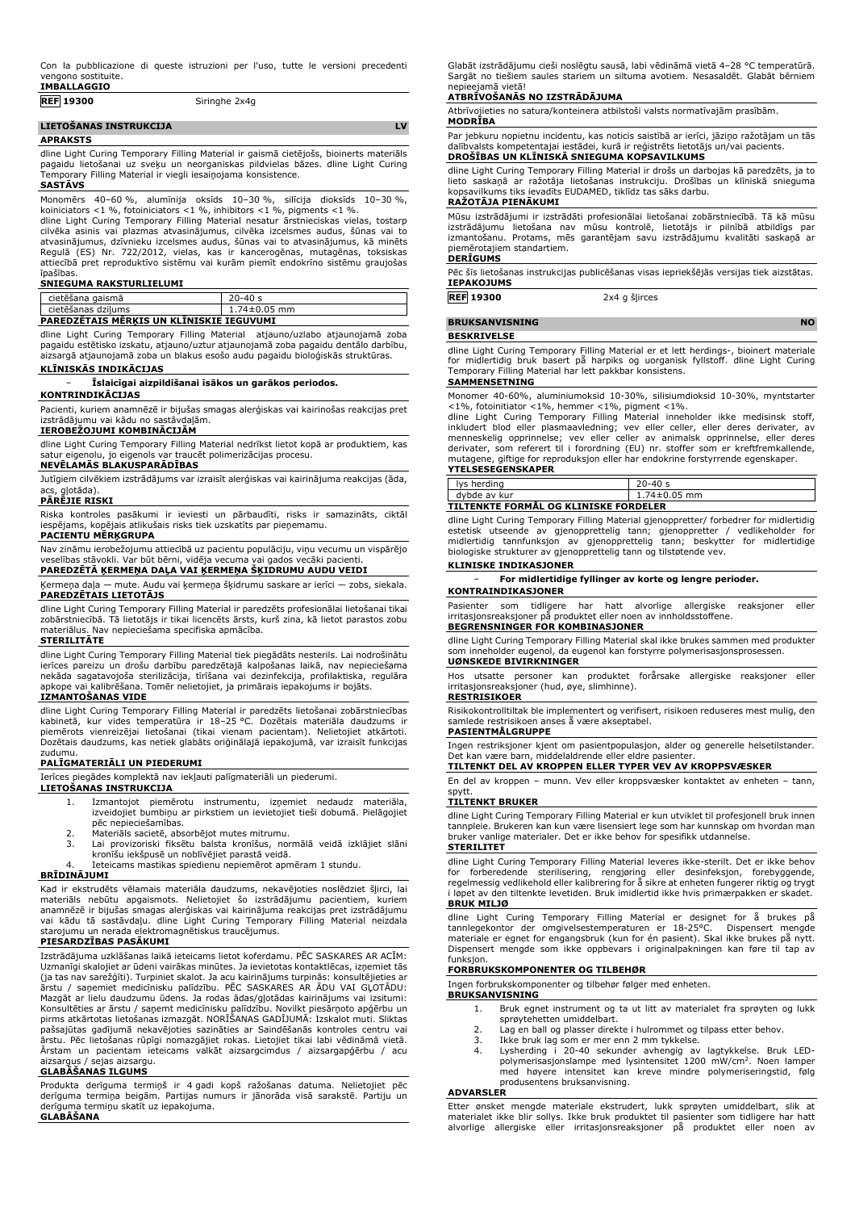| <b>IMBALLAGGIO</b> |
|--------------------|
|                    |

| <b>REF 19300</b>       | Siringhe 2x4g |           |
|------------------------|---------------|-----------|
| LIETOŠANAS INSTRUKCIJA |               | <b>IV</b> |

### **APRAKSTS**

dline Light Curing Temporary Filling Material ir gaismā cietējošs, bioinerts materiāls pagaidu lietošanai uz sveķu un neorganiskas pildvielas bāzes. dline Light Curing Temporary Filling Material ir viegli iesaiņojama konsistence. **SASTĀVS**

# Monomērs 40–60 %, alumīnija oksīds 10–30 %, silīcija dioksīds 10–30 %, koiniciators <1 %, fotoiniciators <1 %, inhibitors <1 %, pigments <1 %.

dline Light Curing Temporary Filling Material nesatur ārstnieciskas vielas, tostarp cilvēka asinis vai plazmas atvasinājumus, cilvēka izcelsmes audus, šūnas vai to atvasinājumus, dzīvnieku izcelsmes audus, šūnas vai to atvasinājumus, kā minēts Regulā (ES) Nr. 722/2012, vielas, kas ir kancerogēnas, mutagēnas, toksiskas attiecībā pret reproduktīvo sistēmu vai kurām piemīt endokrīno sistēmu graujošas īpašības.

#### **SNIEGUMA RAKSTURLIELUMI**

| cietēšana gaismā                                | $20 - 40s$         |
|-------------------------------------------------|--------------------|
| cietēšanas dzilums                              | $1.74 \pm 0.05$ mm |
| <b>PAREDZETAIS MERKIS UN KLINISKIE IEGUVUMI</b> |                    |

dline Light Curing Temporary Filling Material - atjauno/uzlabo atjaunojamā zoba<br>pagaidu estētisko izskatu, atjauno/uztur atjaunojamā zoba pagaidu dentālo darbību,<br>aizsargā atjaunojamā zoba un blakus esošo audu pagaidu biol

# **KLĪNISKĀS INDIKĀCIJAS**

### − **Īslaicīgai aizpildīšanai īsākos un garākos periodos.**

## **KONTRINDIKĀCIJAS**

Pacienti, kuriem anamnēzē ir bijušas smagas alerģiskas vai kairinošas reakcijas pret izstrādājumu vai kādu no sastāvdaļām.

# **IEROBEŽOJUMI KOMBINĀCIJĀM**

dline Light Curing Temporary Filling Material nedrīkst lietot kopā ar produktiem, kas satur eigenolu, jo eigenols var traucēt polimerizācijas procesu.

## **NEVĒLAMĀS BLAKUSPARĀDĪBAS**

Jutīgiem cilvēkiem izstrādājums var izraisīt alerģiskas vai kairinājuma reakcijas (āda, acs, gļotāda).

## **PĀRĒJIE RISKI**

Riska kontroles pasākumi ir ieviesti un pārbaudīti, risks ir samazināts, ciktāl iespējams, kopējais atlikušais risks tiek uzskatīts par pieņemamu.

# **PACIENTU MĒRĶGRUPA**

Nav zināmu ierobežojumu attiecībā uz pacientu populāciju, viņu vecumu un vispārējo veselības stāvokli. Var būt bērni, vidēja vecuma vai gados vecāki pacienti. **PAREDZĒTĀ ĶERMEŅA DAĻA VAI ĶERMEŅA ŠĶIDRUMU AUDU VEIDI**

Ķermeņa daļa — mute. Audu vai ķermeņa šķidrumu saskare ar ierīci — zobs, siekala. **PAREDZĒTAIS LIETOTĀJS**

dline Light Curing Temporary Filling Material ir paredzēts profesionālai lietošanai tikai zobārstniecībā. Tā lietotājs ir tikai licencēts ārsts, kurš zina, kā lietot parastos zobu materiālus. Nav nepieciešama specifiska apmācība.

#### **STERILITĀTE**

dline Light Curing Temporary Filling Material tiek piegādāts nesterils. Lai nodrošinātu ierīces pareizu un drošu darbību paredzētajā kalpošanas laikā, nav nepieciešama nekāda sagatavojoša sterilizācija, tīrīšana vai dezinfekcija, profilaktiska, regulāra apkope vai kalibrēšana. Tomēr nelietojiet, ja primārais iepakojums ir bojāts.

### **IZMANTOŠANAS VIDE**

dline Light Curing Temporary Filling Material ir paredzēts lietošanai zobārstniecības kabinetā, kur vides temperatūra ir 18–25 °C. Dozētais materiāla daudzums ir<br>piemērots vienreizējai lietošanai (tikai vienam pacientam). Nelietojiet atkārtoti.<br>Dozētais daudzums, kas netiek glabāts oriģinālajā iepakojumā, v zudumu.

#### **PALĪGMATERIĀLI UN PIEDERUMI**

Ierīces piegādes komplektā nav iekļauti palīgmateriāli un piederumi.

**LIETOŠANAS INSTRUKCIJA** 1. Izmantojot piemērotu instrumentu, izņemiet nedaudz materiāla, izveidojiet bumbiņu ar pirkstiem un ievietojiet tieši dobumā. Pielāgojiet

- pēc nepieciešamības.
- 
- 2. Materiāls sacietē, absorbējot mutes mitrumu. 3. Lai provizoriski fiksētu balsta kronīšus, normālā veidā izklājiet slāni kronīšu iekšpusē un noblīvējiet parastā veidā.
- 4. Ieteicams mastikas spiedienu nepiemērot apmēram 1 stundu.

### **BRĪDINĀJUMI**

Kad ir ekstrudēts vēlamais materiāla daudzums, nekavējoties noslēdziet šļirci, lai materiāls nebūtu apgaismots. Nelietojiet šo izstrādājumu pacientiem, kuriem<br>anamnēzē ir bijušas smagas alerģiskas vai kairinājuma reakcijas pret izstrādājumu<br>vai kādu tā sastāvdaļu. dline Light Curing Temporary Filling Mat starojumu un nerada elektromagnētiskus traucējumus.

### **PIESARDZĪBAS PASĀKUMI**

Izstrādājuma uzklāšanas laikā ieteicams lietot koferdamu. PĒC SASKARES AR ACĪM: Uzmanīgi skalojiet ar ūdeni vairākas minūtes. Ja ievietotas kontaktlēcas, izņemiet tās (ja tas nav sarežģīti). Turpiniet skalot. Ja acu kairinājums turpinās: konsultējieties ar ārstu / saņemiet medicīnisku palīdzību. PĒC SASKARES AR ĀDU VAI GĻOTĀDU:<br>Mazgāt ar lielu daudzumu ūdens. Ja rodas ādas/gļotādas kairinājums vai izsitumi:<br>Konsultēties ar ārstu / saņemt medicīnisku palīdzību. Novilkt piesār pašsajūtas gadījumā nekavējoties sazināties ar Saindēšanās kontroles centru vai ārstu. Pēc lietošanas rūpīgi nomazgājiet rokas. Lietojiet tikai labi vēdināmā vietā. Ārstam un pacientam ieteicams valkāt aizsargcimdus / aizsargapģērbu / acu aizsargus / sejas aizsargu.

# **GLABĀŠANAS ILGUMS**

Produkta derīguma termiņš ir 4 gadi kopš ražošanas datuma. Nelietojiet pēc derīguma termiņa beigām. Partijas numurs ir jānorāda visā sarakstē. Partiju un derīguma termiņu skatīt uz iepakojuma. **GLABĀŠANA**

Glabāt izstrādājumu cieši noslēgtu sausā, labi vēdināmā vietā 4–28 °C temperatūrā. Sargāt no tiešiem saules stariem un siltuma avotiem. Nesasaldēt. Glabāt bērniem nepieejamā vietā!

#### **ATBRĪVOŠANĀS NO IZSTRĀDĀJUMA**

Atbrīvojieties no satura/konteinera atbilstoši valsts normatīvajām prasībām. **MODRĪBA**

Par jebkuru nopietnu incidentu, kas noticis saistībā ar ierīci, jāziņo ražotājam un tās dalībvalsts kompetentajai iestādei, kurā ir reģistrēts lietotājs un/vai pacients. **DROŠĪBAS UN KLĪNISKĀ SNIEGUMA KOPSAVILKUMS**

dline Light Curing Temporary Filling Material ir drošs un darbojas kā paredzēts, ja to lieto saskaņā ar ražotāja lietošanas instrukciju. Drošības un klīniskā snieguma kopsavilkums tiks ievadīts EUDAMED, tiklīdz tas sāks darbu.

## **RAŽOTĀJA PIENĀKUMI**

Mūsu izstrādājumi ir izstrādāti profesionālai lietošanai zobārstniecībā. Tā kā mūsu izstrādājumu lietošana nav mūsu kontrolē, lietotājs ir pilnībā atbildīgs par izmantošanu. Protams, mēs garantējam savu izstrādājumu kvalitāti saskaņā ar piemērotajiem standartiem.

# **DERĪGUMS**

Pēc šīs lietošanas instrukcijas publicēšanas visas iepriekšējās versijas tiek aizstātas. **IEPAKOJUMS**

**REF 19300** 2x4 g šļirces

### **BRUKSANVISNING NO**

#### **BESKRIVELSE**

dline Light Curing Temporary Filling Material er et lett herdings-, bioinert materiale for midlertidig bruk basert på harpiks og uorganisk fyllstoff. dline Light Curing Temporary Filling Material har lett pakkbar konsistens.

### **SAMMENSETNING**

Monomer 40-60%, aluminiumoksid 10-30%, silisiumdioksid 10-30%, myntstarter

<1%, fotoinitiator <1%, hemmer <1%, pigment <1%.<br>dline Light Curing Temporary Filling Material inneholder ikke medisinsk stoff, dline Light Curing Temporary Filling Material inneholder ikke medisinsk stoff, av menneskelig

# **YTELSESEGENSKAPER**

| lys herding                                  | $20 - 40s$ |
|----------------------------------------------|------------|
| dybde av kur                                 | 74±0.05 mm |
| <b>TILTENKTE FORMÅL OG KLINISKE FORDELER</b> |            |

dline Light Curing Temporary Filling Material gjenoppretter/ forbedrer for midlertidig estetisk utseende av gjenopprettelig tann; gjenoppretter / vedlikeholder for midlertidig tannfunksjon av gjenopprettelig tann; beskytter for midlertidige biologiske strukturer av gjenopprettelig tann og tilstøtende vev.

# **KLINISKE INDIKASJONER**

− **For midlertidige fyllinger av korte og lengre perioder.**

# **KONTRAINDIKASJONER**

Pasienter som tidligere har hatt alvorlige allergiske reaksjoner eller irritasjonsreaksjoner på produktet eller noen av innholdsstoffene. **BEGRENSNINGER FOR KOMBINASJONER**

# dline Light Curing Temporary Filling Material skal ikke brukes sammen med produkter

som inneholder eugenol, da eugenol kan forstyrre polymerisasjonsprosessen. **UØNSKEDE BIVIRKNINGER**

Hos utsatte personer kan produktet forårsake allergiske reaksjoner eller irritasjonsreaksjoner (hud, øye, slimhinne).

### **RESTRISIKOER** Risikokontrolltiltak ble implementert og verifisert, risikoen reduseres mest mulig, den

samlede restrisikoen anses å være akseptabel. **PASIENTMÅLGRUPPE**

Ingen restriksjoner kjent om pasientpopulasjon, alder og generelle helsetilstander. Det kan være barn, middelaldrende eller eldre pasienter.

### **TILTENKT DEL AV KROPPEN ELLER TYPER VEV AV KROPPSVÆSKER**

En del av kroppen – munn. Vev eller kroppsvæsker kontaktet av enheten – tann, spytt.

### **TILTENKT BRUKER**

dline Light Curing Temporary Filling Material er kun utviklet til profesjonell bruk innen tannpleie. Brukeren kan kun være lisensiert lege som har kunnskap om hvordan man bruker vanlige materialer. Det er ikke behov for spesifikk utdannelse. **STERILITET**

dline Light Curing Temporary Filling Material leveres ikke-sterilt. Det er ikke behov for forberedende sterilisering, rengjøring eller desinfeksjon, forebyggende,<br>regelmessig-vedlikehold-eller-kalibrering-foråsikre-at-enheten-fungerer-riktig-og-trygt<br>i-løpet-av-den-tiltenkte-levetiden.-Bruk-imidlertid-ikke-**BRUK MILJØ**

dline Light Curing Temporary Filling Material er designet for å brukes på tannlegekontor der omgivelsestemperaturen er 18-25°C. Dispensert mengde materiale er egnet for engangsbruk (kun for én pasient). Skal ikke brukes på nytt. Dispensert mengde som ikke oppbevars i originalpakningen kan føre til tap av funksion.

# **FORBRUKSKOMPONENTER OG TILBEHØR**

Ingen forbrukskomponenter og tilbehør følger med enheten.

- **BRUKSANVISNING**
	- 1. Bruk egnet instrument og ta ut litt av materialet fra sprøyten og lukk
	- sprøytehetten umiddelbart. 2. Lag en ball og plasser direkte i hulrommet og tilpass etter behov.
		-
	- 3. Ikke bruk lag som er mer enn 2 mm tykkelse. 4. Lysherding i 20-40 sekunder avhengig av lagtykkelse. Bruk LED-polymerisasjonslampe med lysintensitet 1200 mW/cm<sup>2</sup> . Noen lamper med høyere intensitet kan kreve mindre polymeriseringstid, følg produsentens bruksanvisning.

#### **ADVARSLER**

Etter ønsket mengde materiale ekstrudert, lukk sprøyten umiddelbart, slik at materialet ikke blir sollys. Ikke bruk produktet til pasienter som tidligere har hatt alvorlige allergiske eller irritasjonsreaksjoner på produktet eller noen av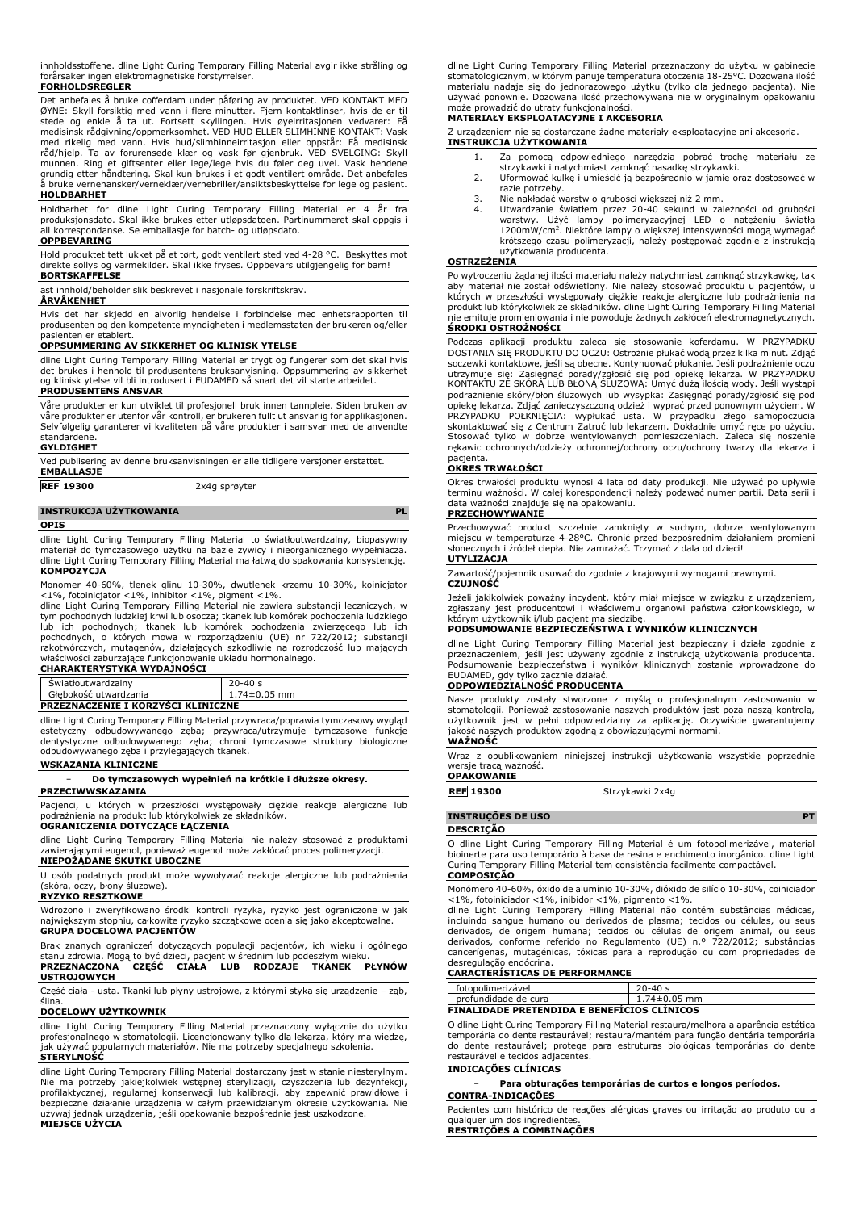innholdsstoffene. dline Light Curing Temporary Filling Material avgir ikke stråling og forårsaker ingen elektromagnetiske forstyrrelser.

### **FORHOLDSREGLER**

Det anbefales å bruke cofferdam under påføring av produktet. VED KONTAKT MED<br>ØYNE: Skyll forsiktig med vann i flere minutter. Fjern kontaktlinser, hvis de er til<br>stede og enkle å ta ut. Fortsett skyllingen. Hvis ø medisinsk rådgivning/oppmerksomhet. VED HUD ELLER SLIMHINNE KONTAKT: Vask<br>med rikelig med vann. Hvis hud/slimhinneirritasjon eller oppstår: Få medisinsk<br>råd/hjelp. Ta av forurensede klær og vask før gjenbruk. VED SVELGING: munnen. Ring et giftsenter eller lege/lege hvis du føler deg uvel. Vask hendene<br>grundig etter håndtering. Skal kun brukes i et godt ventilert område. Det anbefales<br>å bruke vernehansker/verneklær/vernebriller/ansiktsbeskytt **HOLDBARHET**

# Holdbarhet for dline Light Curing Temporary Filling Material er 4 år fra produksjonsdato. Skal ikke brukes etter utløpsdatoen. Partinummeret skal oppgis i all korrespondanse. Se emballasje for batch- og utløpsdato.

**OPPBEVARING** Hold produktet tett lukket på et tørt, godt ventilert sted ved 4-28 °C. Beskyttes mot direkte sollys og varmekilder. Skal ikke fryses. Oppbevars utilgjengelig for barn!

### **BORTSKAFFELSE**

ast innhold/beholder slik beskrevet i nasjonale forskriftskrav.

#### **ÅRVÅKENHET**

Hvis det har skjedd en alvorlig hendelse i forbindelse med enhetsrapporten til produsenten og den kompetente myndigheten i medlemsstaten der brukeren og/eller pasienten er etablert.

# **OPPSUMMERING AV SIKKERHET OG KLINISK YTELSE**

dline Light Curing Temporary Filling Material er trygt og fungerer som det skal hvis<br>det brukes i henhold til produsentens bruksanvisning. Oppsummering av sikkerhet<br>og klinisk ytelse vil bli introdusert i EUDAMED så snart **PRODUSENTENS ANSVAR**

Våre produkter er kun utviklet til profesjonell bruk innen tannpleie. Siden bruken av våre produkter er utenfor vår kontroll, er brukeren fullt ut ansvarlig for applikasjonen. Selvfølgelig garanterer vi kvaliteten på våre produkter i samsvar med de anvendte standardene.

### **GYLDIGHET**

Ved publisering av denne bruksanvisningen er alle tidligere versjoner erstattet. **EMBALLASJE**

**REF 19300** 2x4g sprøyter

# **INSTRUKCJA UŻYTKOWANIA PL**

### **OPIS**

dline Light Curing Temporary Filling Material to światłoutwardzalny, biopasywny materiał do tymczasowego użytku na bazie żywicy i nieorganicznego wypełniacza. dline Light Curing Temporary Filling Material ma łatwą do spakowania konsystencję. **KOMPOZYCJA**

Monomer 40-60%, tlenek glinu 10-30%, dwutlenek krzemu 10-30%, koinicjator <1%, fotoinicjator <1%, inhibitor <1%, pigment <1%.

dline Light Curing Temporary Filling Material nie zawiera substancji leczniczych, w tym pochodnych ludzkiej krwi lub osocza; tkanek lub komórek pochodzenia ludzkiego lub ich pochodnych; tkanek lub komórek pochodzenia zwierzęcego lub ich pochodnych, o których mowa w rozporządzeniu (UE) nr 722/2012; substancji rakotwórczych, mutagenów, działających szkodliwie na rozrodczość lub mających właściwości zaburzające funkcjonowanie układu hormonalnego.

# **CHARAKTERYSTYKA WYDAJNOŚCI**

| Swiatłoutwardzalny                        | $20 - 40s$         |  |
|-------------------------------------------|--------------------|--|
| Głebokość utwardzania                     | $1.74 \pm 0.05$ mm |  |
| <b>PRZEZNACZENIE I KORZYSCI KLINICZNE</b> |                    |  |

dline Light Curing Temporary Filling Material przywraca/poprawia tymczasowy wygląd estetyczny odbudowywanego zęba; przywraca/utrzymuje tymczasowe funkcje dentystyczne odbudowywanego zęba; chroni tymczasowe struktury biologiczne odbudowywanego zęba i przylegających tkanek.

# **WSKAZANIA KLINICZNE**

− **Do tymczasowych wypełnień na krótkie i dłuższe okresy.**

**PRZECIWWSKAZANIA**

Pacjenci, u których w przeszłości występowały ciężkie reakcje alergiczne lub podrażnienia na produkt lub którykolwiek ze składników. **OGRANICZENIA DOTYCZĄCE ŁĄCZENIA**

dline Light Curing Temporary Filling Material nie należy stosować z produktami zawierającymi eugenol, ponieważ eugenol może zakłócać proces polimeryzacji. **NIEPOŻĄDANE SKUTKI UBOCZNE**

U osób podatnych produkt może wywoływać reakcje alergiczne lub podrażnienia (skóra, oczy, błony śluzowe).

**RYZYKO RESZTKOWE**

Wdrożono i zweryfikowano środki kontroli ryzyka, ryzyko jest ograniczone w jak największym stopniu, całkowite ryzyko szczątkowe ocenia się jako akceptowalne. **GRUPA DOCELOWA PACJENTÓW**

Brak znanych ograniczeń dotyczących populacji pacjentów, ich wieku i ogólnego stanu zdrowia. Mogą to być dzieci, pacjent w średnim lub podeszłym wieku. **PRZEZNACZONA CZĘŚĆ CIAŁA LUB RODZAJE TKANEK PŁYNÓW USTROJOWYCH**

Część ciała - usta. Tkanki lub płyny ustrojowe, z którymi styka się urządzenie – ząb, ślina.

#### **DOCELOWY UŻYTKOWNIK**

dline Light Curing Temporary Filling Material przeznaczony wyłącznie do użytku profesjonalnego w stomatologii. Licencjonowany tylko dla lekarza, który ma wiedzę, jak używać popularnych materiałów. Nie ma potrzeby specjalnego szkolenia. **STERYLNOŚĆ**

dline Light Curing Temporary Filling Material dostarczany jest w stanie niesterylnym.<br>Nie ma potrzeby jakiejkolwiek wstępnej sterylizacji, czyszczenia lub dezynfekcji,<br>profilaktycznej, regularnej konserwacji lub kalibracji używaj jednak urządzenia, jeśli opakowanie bezpośrednie jest uszkodzone. **MIEJSCE UŻYCIA**

dline Light Curing Temporary Filling Material przeznaczony do użytku w gabinecie stomatologicznym, w którym panuje temperatura otoczenia 18-25°C. Dozowana ilość materiału nadaje się do jednorazowego użytku (tylko dla jednego pacjenta). Nie używać ponownie. Dozowana ilość przechowywana nie w oryginalnym opakowaniu może prowadzić do utraty funkcjonalności.

# **MATERIAŁY EKSPLOATACYJNE I AKCESORIA**

Z urządzeniem nie są dostarczane żadne materiały eksploatacyjne ani akcesoria. **INSTRUKCJA UŻYTKOWANIA**

- 1. Za pomocą odpowiedniego narzędzia pobrać trochę materiału ze strzykawki i natychmiast zamknąć nasadkę strzykawki.
- 2. Uformować kulkę i umieścić ją bezpośrednio w jamie oraz dostosować w
- razie potrzeby. 3. Nie nakładać warstw o grubości większej niż 2 mm.
- 4. Utwardzanie światłem przez 20-40 sekund w zależności od grubości warstwy. Użyć lampy polimeryzacyjnej LED o natężeniu światła 1200mW/cm<sup>2</sup> . Niektóre lampy o większej intensywności mogą wymagać krótszego czasu polimeryzacji, należy postępować zgodnie z instrukcją użytkowania producenta.

#### **OSTRZEŻENIA**

Po wytłoczeniu żądanej ilości materiału należy natychmiast zamknąć strzykawkę, tak aby materiał nie został odświetlony. Nie należy stosować produktu u pacjentów, u<br>których w przeszłości występowały ciężkie reakcje alergiczne lub podrażnienia na<br>produkt lub którykolwiek ze składników. dline Light Curing T nie emituje promieniowania i nie powoduje żadnych zakłóceń elektromagnetycznych. **ŚRODKI OSTROŻNOŚCI**

Podczas aplikacji produktu zaleca się stosowanie koferdamu. W PRZYPADKU DOSTANIA SIĘ PRODUKTU DO OCZU: Ostrożnie płukać wodą przez kilka minut. Zdjąć soczewki kontaktowe, jeśli są obecne. Kontynuować płukanie. Jeśli podrażnienie oczu utrzymuje się: Zasięgnąć porady/zgłosić się pod opiekę lekarza. W PRZYPADKU KONTAKTU ZE SKÓRĄ LUB BŁONĄ ŚLUZOWĄ: Umyć dużą ilością wody. Jeśli wystąpi podrażnienie skóry/błon śluzowych lub wysypka: Zasięgnąć porady/zgłosić się pod opiekę lekarza. Zdjąć zanieczyszczoną odzież i wyprać przed ponownym użyciem. W<br>PRZYPADKU - POŁKNIĘCIA: - wypłukać - usta. - W - przypadku - złego - samopoczucia<br>skontaktować się z Centrum Zatruć lub lekarzem. Dokładnie rękawic ochronnych/odzieży ochronnej/ochrony oczu/ochrony twarzy dla lekarza i

# pacjenta. **OKRES TRWAŁOŚCI**

Okres trwałości produktu wynosi 4 lata od daty produkcji. Nie używać po upływie terminu ważności. W całej korespondencji należy podawać numer partii. Data serii i data ważności znajduje się na opakowaniu.

#### **PRZECHOWYWANIE**

Przechowywać produkt szczelnie zamknięty w suchym, dobrze wentylowanym<br>miejscu w temperaturze 4-28°C. Chronić przed bezpośrednim działaniem promieni<br>słonecznych i źródeł ciepła. Nie zamrażać. Trzymać z dala od dzieci! **UTYLIZACJA**

Zawartość/pojemnik usuwać do zgodnie z krajowymi wymogami prawnymi. **CZUJNOŚĆ**

Jeżeli jakikolwiek poważny incydent, który miał miejsce w związku z urządzeniem, zgłaszany jest producentowi i właściwemu organowi państwa członkowskiego, w którym użytkownik i/lub pacjent ma siedzibę.

#### **PODSUMOWANIE BEZPIECZEŃSTWA I WYNIKÓW KLINICZNYCH**

dline Light Curing Temporary Filling Material jest bezpieczny i działa zgodnie z<br>przeznaczeniem, jeśli jest używany zgodnie z instrukcją użytkowania producenta.<br>Podsumowanie bezpieczeństwa i wyników klinicznych zostanie wp

### **ODPOWIEDZIALNOŚĆ PRODUCENTA**

Nasze produkty zostały stworzone z myślą o profesjonalnym zastosowaniu w<br>stomatologii. Ponieważ zastosowanie naszych produktów jest poza naszą kontrolą,<br>użytkownik jest w pełni odpowiedzialny za aplikację. Oczywiście gwara **WAŻNOŚĆ**

Wraz z opublikowaniem niniejszej instrukcji użytkowania wszystkie poprzednie wersje tracą ważność. **OPAKOWANIE**

**REF 19300** Strzykawki 2x4g

**INSTRUÇÕES DE USO PT**

### **DESCRIÇÃO**

O dline Light Curing Temporary Filling Material é um fotopolimerizável, material<br>bioinerte para uso temporário à base de resina e enchimento inorgânico. dline Light<br>Curing Temporary Filling Material tem consistência facilm

#### **COMPOSIÇÃO**

Monómero 40-60%, óxido de alumínio 10-30%, dióxido de silício 10-30%, coiniciador

<1%, fotoiniciador <1%, inibidor <1%, pigmento <1%. dline Light Curing Temporary Filling Material não contém substâncias médicas, incluindo sangue humano ou derivados de plasma; tecidos ou células, ou seus derivados, de origem humana; tecidos ou células de origem animal, ou seus<br>derivados, conforme referido no Regulamento (UE) n.º 722/2012; substâncias<br>cancerígenas, mutagénicas, tóxicas para a reprodução ou com propriedades desregulação endócrina.

# **CARACTERÍSTICAS DE PERFORMANCE**

| fotopolimerizável                                  | $20 - 40 s$      |  |
|----------------------------------------------------|------------------|--|
| profundidade de cura                               | $1.74\pm0.05$ mm |  |
| <b>FINALIDADE PRETENDIDA E BENEFICIOS CLINICOS</b> |                  |  |

O dline Light Curing Temporary Filling Material restaura/melhora a aparência estética temporária do dente restaurável; restaura/mantém para função dentária temporária do dente restaurável; protege para estruturas biológicas temporárias do dente restaurável e tecidos adjacentes.

# **INDICAÇÕES CLÍNICAS**

− **Para obturações temporárias de curtos e longos períodos. CONTRA-INDICAÇÕES**

Pacientes com histórico de reações alérgicas graves ou irritação ao produto ou a qualquer um dos ingredientes. **RESTRIÇÕES A COMBINAÇÕES**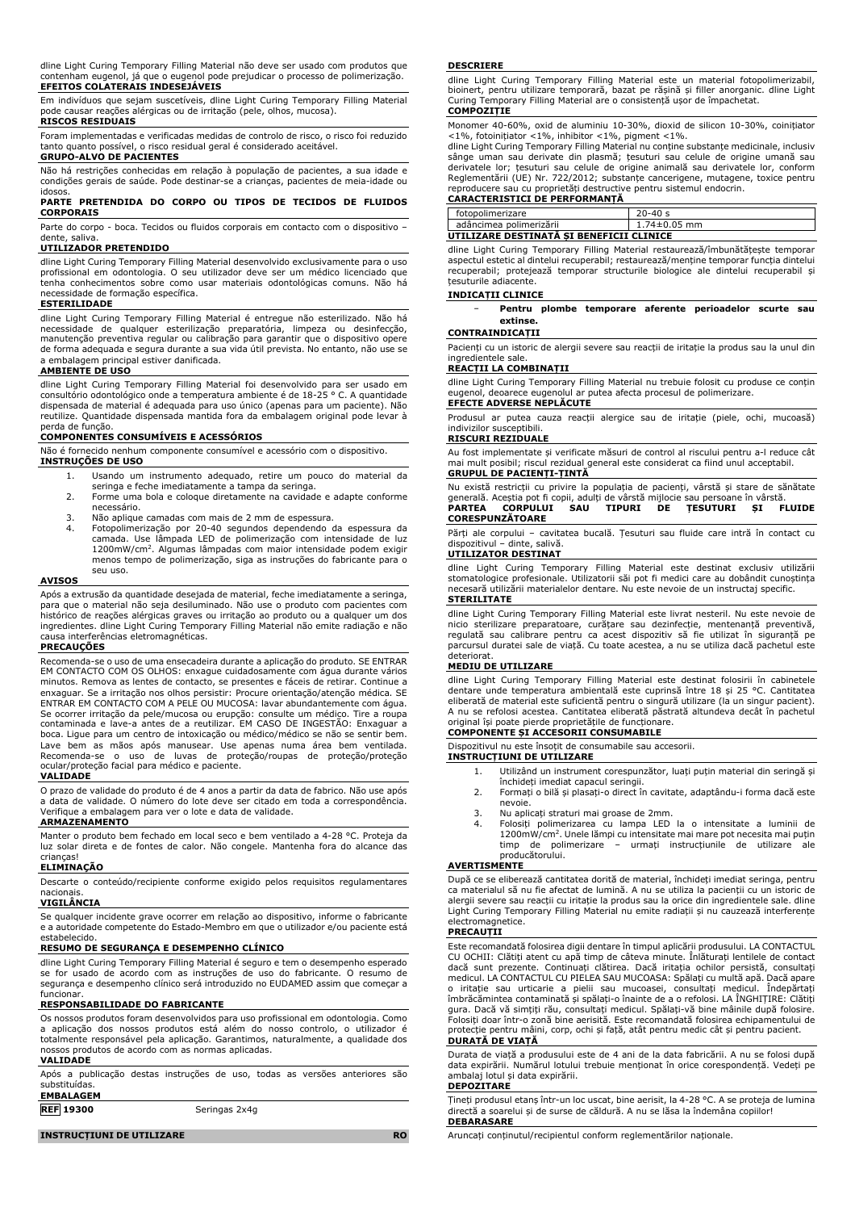dline Light Curing Temporary Filling Material não deve ser usado com produtos que contenham eugenol, já que o eugenol pode prejudicar o processo de polimerização. **EFEITOS COLATERAIS INDESEJÁVEIS**

Em indivíduos que sejam suscetíveis, dline Light Curing Temporary Filling Material pode causar reações alérgicas ou de irritação (pele, olhos, mucosa).

# **RISCOS RESIDUAIS**

Foram implementadas e verificadas medidas de controlo de risco, o risco foi reduzido tanto quanto possível, o risco residual geral é considerado aceitável.

# **GRUPO-ALVO DE PACIENTES**

Não há restrições conhecidas em relação à população de pacientes, a sua idade e condições gerais de saúde. Pode destinar-se a crianças, pacientes de meia-idade ou idosos.

# **PARTE PRETENDIDA DO CORPO OU TIPOS DE TECIDOS DE FLUIDOS CORPORAIS**

Parte do corpo - boca. Tecidos ou fluidos corporais em contacto com o dispositivo –<br>dente saliva dente

#### **UTILIZADOR PRETENDIDO**

dline Light Curing Temporary Filling Material desenvolvido exclusivamente para o uso profissional em odontologia. O seu utilizador deve ser um médico licenciado que tenha conhecimentos sobre como usar materiais odontológicas comuns. Não há necessidade de formação específica.

#### **ESTERILIDADE**

dline Light Curing Temporary Filling Material é entregue não esterilizado. Não há necessidade de qualquer esterilização preparatória, limpeza ou desinfecção, manutenção preventiva regular ou calibração para garantir que o dispositivo opere de forma adequada e segura durante a sua vida útil prevista. No entanto, não use se a embalagem principal estiver danificada.

### **AMBIENTE DE USO**

dline Light Curing Temporary Filling Material foi desenvolvido para ser usado em<br>consultório odontológico onde a temperatura ambiente é de 18-25 °C. A quantidade<br>dispensada de material é adequada para uso único (apenas par reutilize. Quantidade dispensada mantida fora da embalagem original pode levar à

# perda de função. **COMPONENTES CONSUMÍVEIS E ACESSÓRIOS**

Não é fornecido nenhum componente consumível e acessório com o dispositivo. **INSTRUÇÕES DE USO**

- 1. Usando um instrumento adequado, retire um pouco do material da seringa e feche imediatamente a tampa da seringa.
- 2. Forme uma bola e coloque diretamente na cavidade e adapte conforme necessário.
- 3. Não aplique camadas com mais de 2 mm de espessura.
- 4. Fotopolimerização por 20-40 segundos dependendo da espessura da camada. Use lâmpada LED de polimerização com intensidade de luz 1200mW/cm<sup>2</sup> . Algumas lâmpadas com maior intensidade podem exigir menos tempo de polimerização, siga as instruções do fabricante para o seu uso.

#### **AVISOS**

Após a extrusão da quantidade desejada de material, feche imediatamente a seringa, para que o material não seja desiluminado. Não use o produto com pacientes com histórico de reações alérgicas graves ou irritação ao produto ou a qualquer um dos ingredientes. dline Light Curing Temporary Filling Material não emite radiação e não causa interferências eletromagnéticas.

#### **PRECAUÇÕES**

Recomenda-se o uso de uma ensecadeira durante a aplicação do produto. SE ENTRAR EM CONTACTO COM OS OLHOS: enxague cuidadosamente com água durante vários minutos. Remova as lentes de contacto, se presentes e fáceis de retirar. Continue a enxaguar. Se a irritação nos olhos persistir: Procure orientação/atenção médica. SE ENTRAR EM CONTACTO COM A PELE OU MUCOSA: lavar abundantemente com água. Se ocorrer irritação da pele/mucosa ou erupção: consulte um médico. Tire a roupa contaminada e lave-a antes de a reutilizar. EM CASO DE INGESTÃO: Enxaguar a boca. Ligue para um centro de intoxicação ou médico/médico se não se sentir bem. Lave bem as mãos após manusear. Use apenas numa área bem ventilada. Recomenda-se o uso de luvas de proteção/roupas de proteção/proteção ocular/proteção facial para médico e paciente.

#### **VALIDADE**

O prazo de validade do produto é de 4 anos a partir da data de fabrico. Não use após a data de validade. O número do lote deve ser citado em toda a correspondência. Verifique a embalagem para ver o lote e data de validade.

### **ARMAZENAMENTO**

Manter o produto bem fechado em local seco e bem ventilado a 4-28 °C. Proteja da luz solar direta e de fontes de calor. Não congele. Mantenha fora do alcance das crianças!

### **ELIMINAÇÃO**

Descarte o conteúdo/recipiente conforme exigido pelos requisitos regulamentares nacionais.

### **VIGILÂNCIA**

Se qualquer incidente grave ocorrer em relação ao dispositivo, informe o fabricante e a autoridade competente do Estado-Membro em que o utilizador e/ou paciente está estabelecido.

#### **RESUMO DE SEGURANÇA E DESEMPENHO CLÍNICO**

dline Light Curing Temporary Filling Material é seguro e tem o desempenho esperado se for usado de acordo com as instruções de uso do fabricante. O resumo de segurança e desempenho clínico será introduzido no EUDAMED assim que começar a funcionar.

### **RESPONSABILIDADE DO FABRICANTE**

Os nossos produtos foram desenvolvidos para uso profissional em odontologia. Como a aplicação dos nossos produtos está além do nosso controlo, o utilizador é totalmente responsável pela aplicação. Garantimos, naturalmente, a qualidade dos nossos produtos de acordo com as normas aplicadas.

# **VALIDADE**

Após a publicação destas instruções de uso, todas as versões anteriores são substituídas.

# **EMBALAGEM**

**REF 19300** Seringas 2x4g

#### **INSTRUCȚIUNI DE UTILIZARE RO**

#### **DESCRIERE**

dline Light Curing Temporary Filling Material este un material fotopolimerizabil, bioinert, pentru utilizare temporară, bazat pe rășină și filler anorganic. dline Light Curing Temporary Filling Material are o consistență ușor de împachetat. **COMPOZIȚIE**

Monomer 40-60%, oxid de aluminiu 10-30%, dioxid de silicon 10-30%, coinițiator

<1%, fotoinițiator <1%, inhibitor <1%, pigment <1%. dline Light Curing Temporary Filling Material nu conține substanțe medicinale, inclusiv sänge uman sau derivate din plasmâ; țesuturi sau celule de origine umană sau<br>derivatele lor; țesuturi sau celule de origine animală sau derivatele lor, conform<br>Reglementării (UE) Nr. 722/2012; substanțe cancerigene, mutage reproducere sau cu proprietăți destructive pentru sistemul endocrin. **CARACTERISTICI DE PERFORMANȚĂ**

| CARACTERISTICI DE FERI ORMANTA |            |
|--------------------------------|------------|
| fotopolimerizare               |            |
| adâncimea polimerizării        | 74±0.05 mm |
|                                |            |

**UTILIZARE DESTINATĂ ȘI BENEFICII CLINICE** dline Light Curing Temporary Filling Material restaurează/îmbunătățește temporar

aspectul estetic al dintelui recuperabil; restaurează/menține temporar funcția dintelui recuperabil; protejează temporar structurile biologice ale dintelui recuperabil și țesuturile adiacente.

#### **INDICAȚII CLINICE**

− **Pentru plombe temporare aferente perioadelor scurte sau extinse.**

#### **CONTRAINDICAȚII**

Pacienți cu un istoric de alergii severe sau reacții de iritație la produs sau la unul din ingredientele sale.

## **REACȚII LA COMBINAȚII**

dline Light Curing Temporary Filling Material nu trebuie folosit cu produse ce conțin eugenol, deoarece eugenolul ar putea afecta procesul de polimerizare. **EFECTE ADVERSE NEPLĂCUTE**

Produsul ar putea cauza reacții alergice sau de iritație (piele, ochi, mucoasă) indivizilor susceptibili.

# **RISCURI REZIDUALE**

Au fost implementate și verificate măsuri de control al riscului pentru a-l reduce cât mai mult posibil; riscul rezidual general este considerat ca fiind unul acceptabil. **GRUPUL DE PACIENȚI-ȚINTĂ**

Nu există restricții cu privire la populația de pacienți, vârstă și stare de sănătate generală. Aceștia pot fi copii, adulți de vârstă mijlocie sau persoane în vârstă. **PARTEA CORPULUI SAU TIPURI DE ȚESUTURI ȘI FLUIDE CORESPUNZĂTOARE**

Părți ale corpului – cavitatea bucală. Țesuturi sau fluide care intră în contact cu dispozitivul – dinte, salivă.

# **UTILIZATOR DESTINAT**

dline Light Curing Temporary Filling Material este destinat exclusiv utilizării stomatologice profesionale. Utilizatorii săi pot fi medici care au dobândit cunoștința necesară utilizării materialelor dentare. Nu este nevoie de un instructaj specific. **STERILITATE**

dline Light Curing Temporary Filling Material este livrat nesteril. Nu este nevoie de nicio sterilizare preparatoare, curățare sau dezinfecție, mentenanță preventivă,<br>regulată sau calibrare pentru ca acest dispozitiv să fie utilizat în siguranță pe<br>parcursul duratei-sale-de-viață. Cu-toate-acestea, a-nu-sedeteriorat.

### **MEDIU DE UTILIZARE**

dline Light Curing Temporary Filling Material este destinat folosirii în cabinetele dentare unde temperatura ambientală este cuprinsă între 18 și 25 °C. Cantitatea eliberată de material este suficientă pentru o singură utilizare (la un singur pacient). A nu se refolosi acestea. Cantitatea eliberată păstrată altundeva decât în pachetul original își poate pierde proprietățile de funcționare.

# **COMPONENTE ȘI ACCESORII CONSUMABILE**

Dispozitivul nu este însoțit de consumabile sau accesorii.

#### **INSTRUCȚIUNI DE UTILIZARE**

- 1. Utilizând un instrument corespunzător, luați puțin material din seringă și închideți imediat capacul seringii.
- 2. Formați o bilă și plasați-o direct în cavitate, adaptându-i forma dacă este nevoie.
- 3. Nu aplicați straturi mai groase de 2mm.
	- 4. Folosiți polimerizarea cu lampa LED la o intensitate a luminii de 1200mW/cm<sup>2</sup> . Unele lămpi cu intensitate mai mare pot necesita mai puțin timp de polimerizare – urmați instrucțiunile de utilizare ale producătorului.

#### **AVERTISMENTE**

După ce se eliberează cantitatea dorită de material, închideți imediat seringa, pentru ca materialul să nu fie afectat de lumină. A nu se utiliza la pacienții cu un istoric de alergii severe sau reacții cu iritație la produs sau la orice din ingredientele sale. dline Light Curing Temporary Filling Material nu emite radiații și nu cauzează interferențe electromagnetice.

#### **PRECAUȚII**

Este recomandată folosirea digii dentare în timpul aplicării produsului. LA CONTACTUL CU OCHII: Clătiți atent cu apă timp de câteva minute. Înlăturați lentilele de contact dacă sunt prezente. Continuați clătirea. Dacă iritația ochilor persistă, consultați<br>medicul.LA CONTACTUL.CU PIELEA SAU MUCOASA: Spălați cu multă apă. Dacă apare<br>o iritație sau urticarie a pielii sau mucoasei, consult gura. Dacă vă simțiți rău, consultați medicul. Spălați-vă bine mâinile după folosire. Folosiți doar într-o zonă bine aerisită. Este recomandată folosirea echipamentului de protecție pentru mâini, corp, ochi și față, atât pentru medic cât și pentru pacient. **DURATĂ DE VIAȚĂ**

Durata de viață a produsului este de 4 ani de la data fabricării. A nu se folosi după data expirării. Numărul lotului trebuie menționat în orice corespondență. Vedeți pe ambalaj lotul și data expirării.

### **DEPOZITARE**

Țineți produsul etanș într-un loc uscat, bine aerisit, la 4-28 °C. A se proteja de lumina directă a soarelui și de surse de căldură. A nu se lăsa la îndemâna copiilor! **DEBARASARE**

Aruncați conținutul/recipientul conform reglementărilor naționale.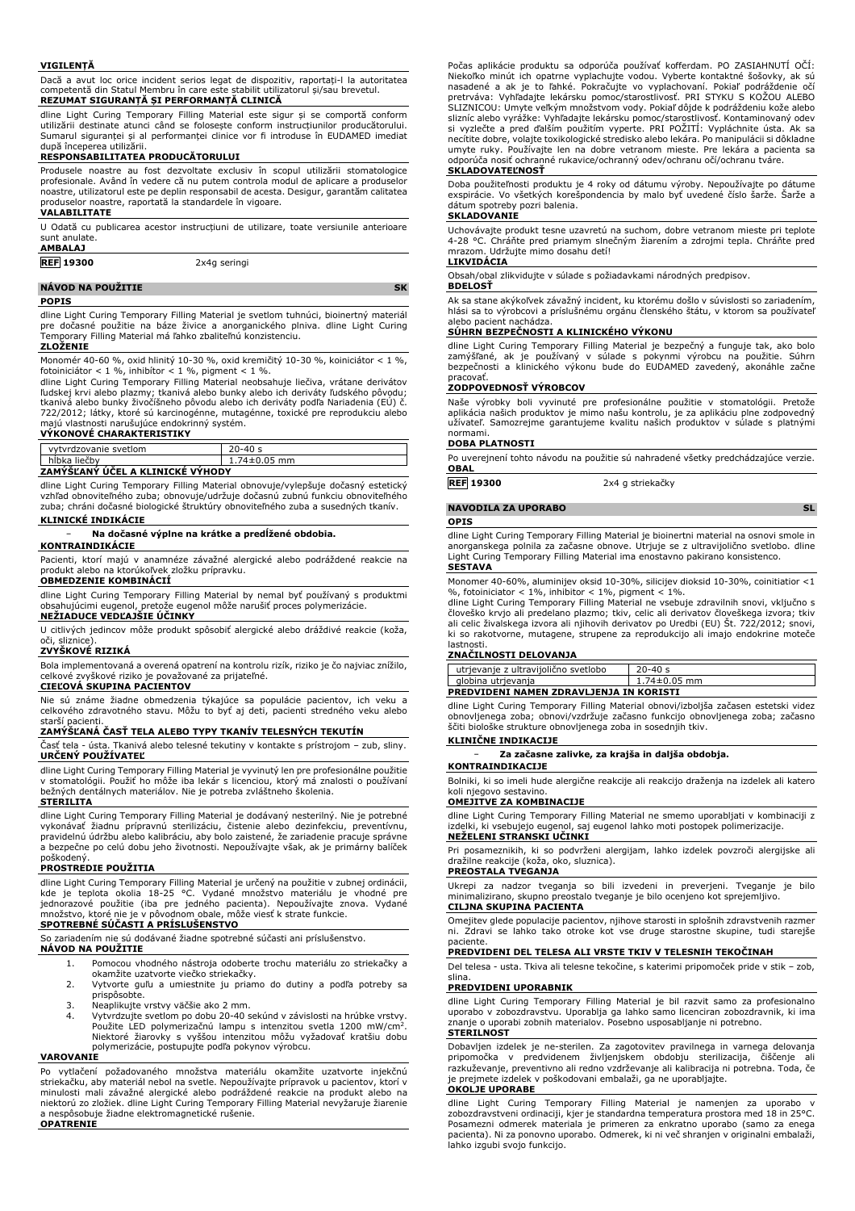#### **VIGILENȚĂ**

Dacă a avut loc orice incident serios legat de dispozitiv, raportați-l la autoritatea competentă din Statul Membru în care este stabilit utilizatorul și/sau brevetul. **REZUMAT SIGURANȚĂ ȘI PERFORMANȚĂ CLINICĂ**

dline Light Curing Temporary Filling Material este sigur și se comportă conform utilizării destinate atunci când se folosește conform instrucțiunilor producătorului. Sumarul siguranței și al performanței clinice vor fi introduse în EUDAMED imediat după începerea utilizării.

#### **RESPONSABILITATEA PRODUCĂTORULUI**

Produsele noastre au fost dezvoltate exclusiv în scopul utilizării stomatologice profesionale. Având în vedere că nu putem controla modul de aplicare a produselor noastre, utilizatorul este pe deplin responsabil de acesta. Desigur, garantăm calitatea produselor noastre, raportată la standardele în vigoare.

# **VALABILITATE**

U Odată cu publicarea acestor instrucțiuni de utilizare, toate versiunile anterioare sunt anulate.

#### **AMBALAJ**

**REF 19300** 2x4g seringi

**NÁVOD NA POUŽITIE SK**

dline Light Curing Temporary Filling Material je svetlom tuhnúci, bioinertný materiál pre dočasné použitie na báze živice a anorganického plniva. dline Light Curing Temporary Filling Material má ľahko zbaliteľnú konzistenciu.

## **ZLOŽENIE**

**POPIS**

Monomér 40-60 %, oxid hlinitý 10-30 %, oxid kremičitý 10-30 %, koiniciátor < 1 %,<br>fotoiniciátor < 1 %, inhibítor < 1 %, pigment < 1 %.<br>dline Light Curing Temporary Filling Material neobsahuje liečiva, vrátane derivátov<br>ďud 722/2012; látky, ktoré sú karcinogénne, mutagénne, toxické pre reprodukciu alebo majú vlastnosti narušujúce endokrinný systém.

# **VÝKONOVÉ CHARAKTERISTIKY**

| vytvrdzovanie svetlom            | $20 - 40s$         |  |
|----------------------------------|--------------------|--|
| hĺbka liečby                     | $1.74 \pm 0.05$ mm |  |
| ZAMÝŠĽANÝ ÚČEL A KLINICKÉ VÝHODY |                    |  |

dline Light Curing Temporary Filling Material obnovuje/vylepšuje dočasný estetický vzhľad obnoviteľného zuba; obnovuje/udržuje dočasnú zubnú funkciu obnoviteľného zuba; chráni dočasné biologické štruktúry obnoviteľného zuba a susedných tkanív.

# **KLINICKÉ INDIKÁCIE**

#### − **Na dočasné výplne na krátke a predĺžené obdobia. KONTRAINDIKÁCIE**

Pacienti, ktorí majú v anamnéze závažné alergické alebo podráždené reakcie na produkt alebo na ktorúkoľvek zložku prípravku. **OBMEDZENIE KOMBINÁCIÍ**

dline Light Curing Temporary Filling Material by nemal byť používaný s produktmi obsahujúcimi eugenol, pretože eugenol môže narušiť proces polymerizácie. **NEŽIADUCE VEDĽAJŠIE ÚČINKY**

U citlivých jedincov môže produkt spôsobiť alergické alebo dráždivé reakcie (koža, oči, sliznice).

# **ZVYŠKOVÉ RIZIKÁ**

Bola implementovaná a overená opatrení na kontrolu rizík, riziko je čo najviac znížilo, celkové zvyškové riziko je považované za prijateľné. **CIEĽOVÁ SKUPINA PACIENTOV**

Nie sú známe žiadne obmedzenia týkajúce sa populácie pacientov, ich veku a celkového zdravotného stavu. Môžu to byť aj deti, pacienti stredného veku alebo starší pacienti.

# **ZAMÝŠĽANÁ ČASŤ TELA ALEBO TYPY TKANÍV TELESNÝCH TEKUTÍN**

Časť tela - ústa. Tkanivá alebo telesné tekutiny v kontakte s prístrojom – zub, sliny. **URČENÝ POUŽÍVATEĽ**

dline Light Curing Temporary Filling Material je vyvinutý len pre profesionálne použitie v stomatológii. Použiť ho môže iba lekár s licenciou, ktorý má znalosti o používaní bežných dentálnych materiálov. Nie je potreba zvláštneho školenia.

#### **STERILITA**

dline Light Curing Temporary Filling Material je dodávaný nesterilný. Nie je potrebné vykonávať žiadnu prípravnú sterilizáciu, čistenie alebo dezinfekciu, preventívnu, pravidelnú údržbu alebo kalibráciu, aby bolo zaistené, že zariadenie pracuje správne a bezpečne po celú dobu jeho životnosti. Nepoužívajte však, ak je primárny balíček

# poškodený. **PROSTREDIE POUŽITIA**

dline Light Curing Temporary Filling Material je určený na použitie v zubnej ordinácii, kde je teplota okolia 18-25 °C. Vydané množstvo materiálu je vhodné pre jednorazové použitie (iba pre jedného pacienta). Nepoužívajte znova. Vydané množstvo, ktoré nie je v pôvodnom obale, môže viesť k strate funkcie. **SPOTREBNÉ SÚČASTI A PRÍSLUŠENSTVO**

So zariadením nie sú dodávané žiadne spotrebné súčasti ani príslušenstvo.

# **NÁVOD NA POUŽITIE**

- 1. Pomocou vhodného nástroja odoberte trochu materiálu zo striekačky a okamžite uzatvorte viečko striekačky.
- 2. Vytvorte guľu a umiestnite ju priamo do dutiny a podľa potreby sa prispôsobte.
- 3. Neaplikujte vrstvy väčšie ako 2 mm.<br>4. Vytvrdzuite svetlom po dobu 20-40 s
- 4. Vytvrdzujte svetlom po dobu 20-40 sekúnd v závislosti na hrúbke vrstvy. Použite LED polymerizačnú lampu s intenzitou svetla 1200 mW/cm<sup>2</sup>. Niektoré žiarovky s vyššou intenzitou môžu vyžadovať kratšiu dobu polymerizácie, postupujte podľa pokynov výrobcu.

#### **VAROVANIE**

Po vytlačení požadovaného množstva materiálu okamžite uzatvorte injekčnú striekačku, aby materiál nebol na svetle. Nepoužívajte prípravok u pacientov, ktorí v minulosti mali závažné alergické alebo podráždené reakcie na produkt alebo na niektorú zo zložiek. dline Light Curing Temporary Filling Material nevyžaruje žiarenie a nespôsobuje žiadne elektromagnetické rušenie. **OPATRENIE**

Počas aplikacie produktu sa odporúča používať kofferdam. PO ZASIAHNUTI OCI:<br>Niekoľko minút ich opatrne vyplachujte vodou. Vyberte kontaktné šošovky, ak sú<br>nasadené a ak je to ľahké. Pokračujte vo vyplachovaní. Pokiaľ podrá pretrváva: Vyhľadajte lekársku pomoc/starostlivosť. PRI STYKU S KOŽOU ALEBO SLIZNICOU: Umyte veľkým množstvom vody. Pokiaľ dôjde k podráždeniu kože alebo<br>slizníc alebo vyrážke: Vyhľadajte lekársku pomoc/starostlivosť. Kontaminovaný odev<br>si vyzlečte a pred ďalším použitím vyperte. PRI POŽITÍ: Vyplá odporúča nosiť ochranné rukavice/ochranný odev/ochranu očí/ochranu tváre.

### **SKLADOVATEĽNOSŤ**

Doba použiteľnosti produktu je 4 roky od dátumu výroby. Nepoužívajte po dátume exspirácie. Vo všetkých korešpondencia by malo byť uvedené číslo šarže. Šarže a dátum spotreby pozri balenia.

# **SKLADOVANIE**

Uchovávajte produkt tesne uzavretú na suchom, dobre vetranom mieste pri teplote 4-28 °C. Chráňte pred priamym slnečným žiarením a zdrojmi tepla. Chráňte pred mrazom. Udržujte mimo dosahu detí!

# **LIKVIDÁCIA BDELOSŤ**

Obsah/obal zlikvidujte v súlade s požiadavkami národných predpisov.

Ak sa stane akýkoľvek závažný incident, ku ktorému došlo v súvislosti so zariadením, hlási sa to výrobcovi a príslušnému orgánu členského štátu, v ktorom sa používateľ alebo pacient nachádza.

# **SÚHRN BEZPEČNOSTI A KLINICKÉHO VÝKONU**

dline Light Curing Temporary Filling Material je bezpečný a funguje tak, ako bolo zamýšľané, ak je používaný v súlade s pokynmi výrobcu na použitie. Súhrn bezpečnosti a klinického výkonu bude do EUDAMED zavedený, akonáhle začne pracovať.

#### **ZODPOVEDNOSŤ VÝROBCOV**

Naše výrobky boli vyvinuté pre profesionálne použitie v stomatológii. Pretože<br>aplikácia našich produktov je mimo našu kontrolu, je za aplikáciu plne zodpovedný<br>užívateľ. Samozrejme garantujeme kvalitu našich produktov v sú normami.

#### **DOBA PLATNOSTI**

Po uverejnení tohto návodu na použitie sú nahradené všetky predchádzajúce verzie. **OBAL**

**REF 19300** 2x4 g striekačky

# **NAVODILA ZA UPORABO SL**

#### **OPIS**

dline Light Curing Temporary Filling Material je bioinertni material na osnovi smole in anorganskega polnila za začasne obnove. Utrjuje se z ultravijolično svetlobo. dline Light Curing Temporary Filling Material ima enostavno pakirano konsistenco. **SESTAVA**

Monomer 40-60%, aluminijev oksid 10-30%, silicijev dioksid 10-30%, coinitiatior <1

%, fotoiniciator < 1%, inhibitor < 1%, pigment < 1%.<br>dline Light Curing Temporary Filling Material ne vsebuje zdravilnih snovi, vključno s<br>človeško krvjo ali predelano plazmo; tkiv, celic ali derivatov človeškega izvora; t ki so rakotvorne, mutagene, strupene za reprodukcijo ali imajo endokrine moteče

# lastnosti. **ZNAČILNOSTI DELOVANJA**

| utrjevanje z ultravijolično svetlobo    | $20 - 40s$       |  |
|-----------------------------------------|------------------|--|
| globina utrjevanja                      | $1.74\pm0.05$ mm |  |
| PREDVIDENI NAMEN ZDRAVLJENJA IN KORISTI |                  |  |

dline Light Curing Temporary Filling Material obnovi/izboljša začasen estetski videz obnovljenega zoba; obnovi/vzdržuje začasno funkcijo obnovljenega zoba; začasno ščiti biološke strukture obnovljenega zoba in sosednjih tkiv.

#### **KLINIČNE INDIKACIJE**

− **Za začasne zalivke, za krajša in daljša obdobja.**

#### **KONTRAINDIKACIJE**

Bolniki, ki so imeli hude alergične reakcije ali reakcijo draženja na izdelek ali katero koli njegovo sestavino.

### **OMEJITVE ZA KOMBINACIJE**

dline Light Curing Temporary Filling Material ne smemo uporabljati v kombinaciji z izdelki, ki vsebujejo eugenol, saj eugenol lahko moti postopek polimerizacije.

#### **NEŽELENI STRANSKI UČINKI**

Pri posameznikih, ki so podvrženi alergijam, lahko izdelek povzroči alergijske ali dražilne reakcije (koža, oko, sluznica).

# **PREOSTALA TVEGANJA**

Ukrepi za nadzor tveganja so bili izvedeni in preverjeni. Tveganje je bilo minimalizirano, skupno preostalo tveganje je bilo ocenjeno kot sprejemljivo. **CILJNA SKUPINA PACIENTA**

#### Omejitev glede populacije pacientov, njihove starosti in splošnih zdravstvenih razmer ni. Zdravi se lahko tako otroke kot vse druge starostne skupine, tudi starejše paciente.

# **PREDVIDENI DEL TELESA ALI VRSTE TKIV V TELESNIH TEKOČINAH**

Del telesa - usta. Tkiva ali telesne tekočine, s katerimi pripomoček pride v stik – zob, slina.

#### **PREDVIDENI UPORABNIK**

dline Light Curing Temporary Filling Material je bil razvit samo za profesionalno uporabo v zobozdravstvu. Uporablja ga lahko samo licenciran zobozdravnik, ki ima znanje o uporabi zobnih materialov. Posebno usposabljanje ni potrebno. **STERILNOST** 

Dobavljen izdelek je ne-sterilen. Za zagotovitev pravilnega in varnega delovanja pripomočka v predvidenem življenjskem obdobju sterilizacija, čiščenje ali<br>razkuževanje, preventivno ali redno vzdrževanje ali kalibracija ni potrebna. Toda, če<br>je prejmete izdelek v poškodovani embalaži, ga ne uporabljajte

## **OKOLJE UPORABE**

dline Light Curing Temporary Filling Material je namenjen za uporabo v zobozdravstveni ordinaciji, kjer je standardna temperatura prostora med 18 in 25°C. Posamezni odmerek materiala je primeren za enkratno uporabo (samo za enega pacienta). Ni za ponovno uporabo. Odmerek, ki ni več shranjen v originalni embalaži, lahko izgubi svojo funkcijo.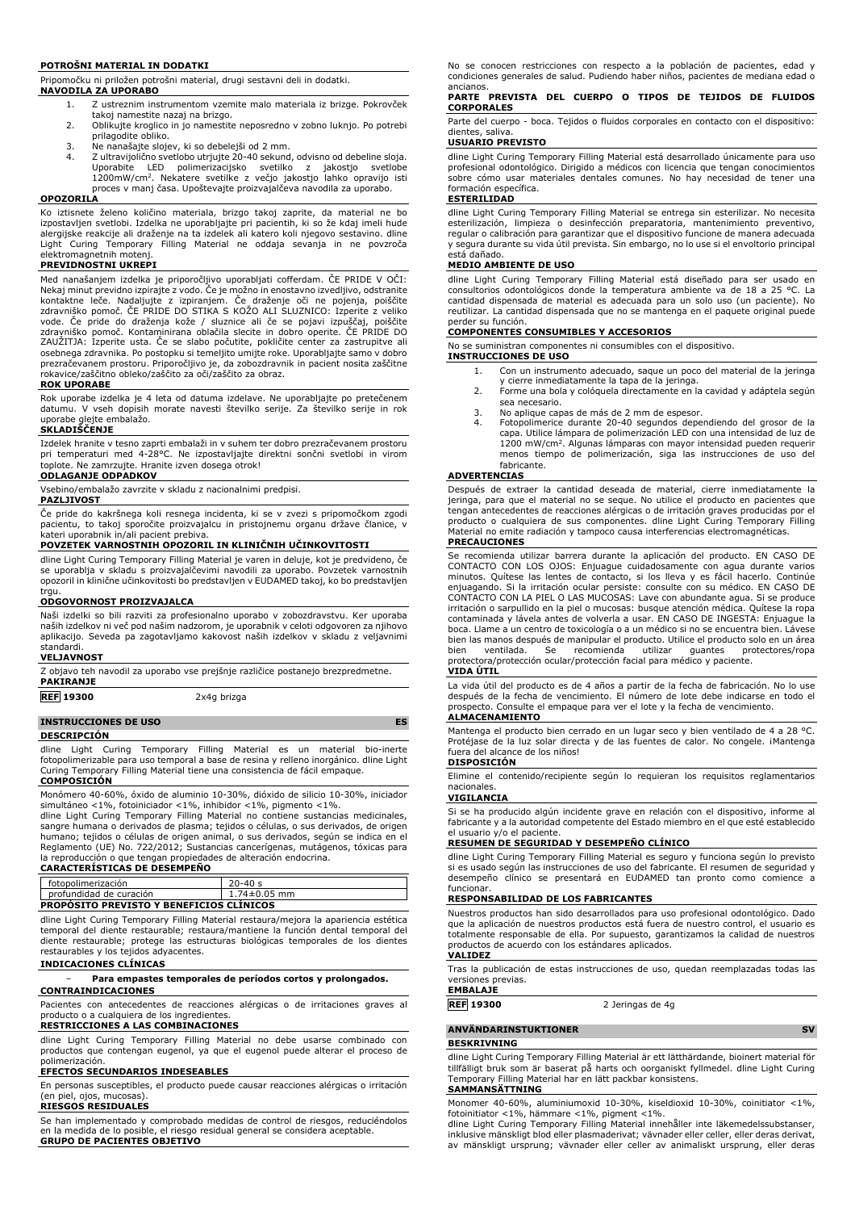#### **POTROŠNI MATERIAL IN DODATKI**

Pripomočku ni priložen potrošni material, drugi sestavni deli in dodatki. **NAVODILA ZA UPORABO**

- 1. Z ustreznim instrumentom vzemite malo materiala iz brizge. Pokrovček
- takoj namestite nazaj na brizgo. 2. Oblikujte kroglico in jo namestite neposredno v zobno luknjo. Po potrebi prilagodite obliko.
- 3. Ne nanašajte slojev, ki so debelejši od 2 mm.
- 4. Z ultravijolično svetlobo utrjujte 20-40 sekund, odvisno od debeline sloja. Uporabite LED polimerizacijsko svetilko z jakostjo svetlobe 1200mW/cm<sup>2</sup> . Nekatere svetilke z večjo jakostjo lahko opravijo isti proces v manj časa. Upoštevajte proizvajalčeva navodila za uporabo.

### **OPOZORILA**

Ko iztisnete želeno količino materiala, brizgo takoj zaprite, da material ne bo izpostavljen svetlobi. Izdelka ne uporabljajte pri pacientih, ki so že kdaj imeli hude alergijske reakcije ali draženje na ta izdelek ali katero koli njegovo sestavino. dline Light Curing Temporary Filling Material ne oddaja sevanja in ne povzroča elektromagnetnih motenj.

#### **PREVIDNOSTNI UKREPI**

Med nanašanjem izdelka je priporočljivo uporabljati cofferdam. ČE PRIDE V OČI: Nekaj minut previdno izpirajte z vodo. Če je možno in enostavno izvedljivo, odstranite kontaktne leče. Nadaljujte z izpiranjem. Če draženje oči ne pojenja, poiščite zdravniško pomoč. ČE PRIDE DO STIKA S KOŽO ALI SLUZNICO: Izperite z veliko vode. Ce pride do draženja kože / sluznice ali če se pojavi izpuščaj, poiščite<br>zdravniško pomoč. Kontaminirana oblačila slecite in dobro operite. ČE PRIDE DO<br>ZAUŽITJA: Izperite usta. Če se slabo počutite, pokličite center osebnega zdravnika. Po postopku si temeljito umijte roke. Uporabljajte samo v dobro prezračevanem prostoru. Priporočljivo je, da zobozdravnik in pacient nosita zaščitne rokavice/zaščitno obleko/zaščito za oči/zaščito za obraz.

#### **ROK UPORABE**

Rok uporabe izdelka je 4 leta od datuma izdelave. Ne uporabljajte po pretečenem datumu. V vseh dopisih morate navesti številko serije. Za številko serije in rok uporabe glejte embalažo.

# **SKLADIŠČENJE**

Izdelek hranite v tesno zaprti embalaži in v suhem ter dobro prezračevanem prostoru pri temperaturi med 4-28°C. Ne izpostavljajte direktni sončni svetlobi in virom toplote. Ne zamrzujte. Hranite izven dosega otrok!

# **ODLAGANJE ODPADKOV**

Vsebino/embalažo zavrzite v skladu z nacionalnimi predpisi.

#### **PAZLJIVOST**

Če pride do kakršnega koli resnega incidenta, ki se v zvezi s pripomočkom zgodi pacientu, to takoj sporočite proizvajalcu in pristojnemu organu države članice, v kateri uporabnik in/ali pacient prebiva.

#### **POVZETEK VARNOSTNIH OPOZORIL IN KLINIČNIH UČINKOVITOSTI**

dline Light Curing Temporary Filling Material je varen in deluje, kot je predvideno, če se uporablja v skladu s proizvajalčevimi navodili za uporabo. Povzetek varnostnih opozoril in klinične učinkovitosti bo predstavljen v EUDAMED takoj, ko bo predstavljen trau.

#### **ODGOVORNOST PROIZVAJALCA**

Naši izdelki so bili razviti za profesionalno uporabo v zobozdravstvu. Ker uporaba naših izdelkov ni več pod našim nadzorom, je uporabnik v celoti odgovoren za njihovo aplikacijo. Seveda pa zagotavljamo kakovost naših izdelkov v skladu z veljavnimi standardi.

# **VELJAVNOST**

Z objavo teh navodil za uporabo vse prejšnje različice postanejo brezpredmetne. **PAKIRANJE**

**REF 19300** 2x4g brizga

**INSTRUCCIONES DE USO ES**

# **DESCRIPCIÓN**

dline Light Curing Temporary Filling Material es un material bio-inerte fotopolimerizable para uso temporal a base de resina y relleno inorgánico. dline Light Curing Temporary Filling Material tiene una consistencia de fácil empaque. **COMPOSICIÓN**

Monómero 40-60%, óxido de aluminio 10-30%, dióxido de silicio 10-30%, iniciador

simultáneo <1%, fotoiniciador <1%, inhibidor <1%, pigmento <1%.<br>dline Light Curing Temporary Filling Material no contiene sustancias medicinales,<br>sangre humana o derivados de plasma; tejidos o células, o sus derivados, de la reproducción o que tengan propiedades de alteración endocrina. **CARACTERÍSTICAS DE DESEMPEÑO**

| fotopolimerización                              | $20 - 40s$         |  |
|-------------------------------------------------|--------------------|--|
| profundidad de curación                         | $1.74 \pm 0.05$ mm |  |
| <b>PROPOSITO PREVISTO Y BENEFICIOS CLÍNICOS</b> |                    |  |

dline Light Curing Temporary Filling Material restaura/mejora la apariencia estética temporal del diente restaurable; restaura/mantiene la función dental temporal del diente restaurable; protege las estructuras biológicas temporales de los dientes restaurables y los tejidos adyacentes.

# **INDICACIONES CLÍNICAS**

#### − **Para empastes temporales de períodos cortos y prolongados. CONTRAINDICACIONES**

Pacientes con antecedentes de reacciones alérgicas o de irritaciones graves al producto o a cualquiera de los ingredientes.

# **RESTRICCIONES A LAS COMBINACIONES**

dline Light Curing Temporary Filling Material no debe usarse combinado con productos que contengan eugenol, ya que el eugenol puede alterar el proceso de polimerización.

### **EFECTOS SECUNDARIOS INDESEABLES**

En personas susceptibles, el producto puede causar reacciones alérgicas o irritación (en piel, ojos, mucosas).

### **RIESGOS RESIDUALES**

Se han implementado y comprobado medidas de control de riesgos, reduciéndolos en la medida de lo posible, el riesgo residual general se considera aceptable. **GRUPO DE PACIENTES OBJETIVO**

No se conocen restricciones con respecto a la población de pacientes, edad y condiciones generales de salud. Pudiendo haber niños, pacientes de mediana edad o ancianos.

#### **PARTE PREVISTA DEL CUERPO O TIPOS DE TEJIDOS DE FLUIDOS CORPORALES**

Parte del cuerpo - boca. Tejidos o fluidos corporales en contacto con el dispositivo: dientes, saliva. **USUARIO PREVISTO**

dline Light Curing Temporary Filling Material està desarrollado únicamente para uso<br>profesional odontológico. Dirigido a médicos con licencia que tengan conocimientos<br>sobre cómo usar materiales dentales comunes. No hay nec formación específica.

# **ESTERILIDAD**

dline Light Curing Temporary Filling Material se entrega sin esterilizar. No necesita esterilización, limpieza o desinfección preparatoria, mantenimiento preventivo, regular o calibración para garantizar que el dispositivo funcione de manera adecuada y segura durante su vida útil prevista. Sin embargo, no lo use si el envoltorio principal está dañado.

#### **MEDIO AMBIENTE DE USO**

dline Light Curing Temporary Filling Material está diseñado para ser usado en consultorios odontológicos donde la temperatura ambiente va de 18 a 25 °C. La cantidad dispensada de material es adecuada para un solo uso (un paciente). No reutilizar. La cantidad dispensada que no se mantenga en el paquete original puede perder su función.

#### **COMPONENTES CONSUMIBLES Y ACCESORIOS**

No se suministran componentes ni consumibles con el dispositivo.

#### **INSTRUCCIONES DE USO**

- 1. Con un instrumento adecuado, saque un poco del material de la jeringa
- y cierre inmediatamente la tapa de la jeringa. 2. Forme una bola y colóquela directamente en la cavidad y adáptela según
	- sea necesario.
- 3. No aplique capas de más de 2 mm de espesor.<br>4. Fotopolimerice durante 20-40 segundos depe
- 4. Fotopolimerice durante 20-40 segundos dependiendo del grosor de la capa. Utilice lámpara de polimerización LED con una intensidad de luz de 1200 mW/cm<sup>2</sup> . Algunas lámparas con mayor intensidad pueden requerir menos tiempo de polimerización, siga las instrucciones de uso del fabricante.

#### **ADVERTENCIAS**

Después de extraer la cantidad deseada de material, cierre inmediatamente la jeringa, para que el material no se seque. No utilice el producto en pacientes que<br>tengan antecedentes de reacciones alérgicas o de irritación graves producidas por el<br>producto o cualquiera de sus componentes. dline Light Material no emite radiación y tampoco causa interferencias electromagnéticas. **PRECAUCIONES**

Se recomienda utilizar barrera durante la aplicación del producto. EN CASO DE CONTACTO CON LOS OJOS: Enjuague cuidadosamente con agua durante varios minutos. Quítese las lentes de contacto, si los lleva y es fácil hacerlo. Continúe enjuagando. Si la irritación ocular persiste: consulte con su médico. EN CASO DE CONTACTO CON LA PIEL O LAS MUCOSAS: Lave con abundante agua. Si se produce irritación o sarpullido en la piel o mucosas: busque atención médica. Quítese la ropa contaminada y lávela antes de volverla a usar. EN CASO DE INGESTA: Enjuague la boca. Llame a un centro de toxicología o a un médico si no se encuentra bien. Lávese bien las manos después de manipular el producto. Utilice el producto solo en un área bien ventilada. Se recomienda utilizar guantes protectores/ropa protectora/protección ocular/protección facial para médico y paciente.

#### **VIDA ÚTIL**

La vida útil del producto es de 4 años a partir de la fecha de fabricación. No lo use después de la fecha de vencimiento. El número de lote debe indicarse en todo el prospecto. Consulte el empaque para ver el lote y la fecha de vencimiento.

### **ALMACENAMIENTO**

Mantenga el producto bien cerrado en un lugar seco y bien ventilado de 4 a 28 °C. Protéjase de la luz solar directa y de las fuentes de calor. No congele. ¡Mantenga<br>fuera del alcance de los niños! **DISPOSICIÓN**

Elimine el contenido/recipiente según lo requieran los requisitos reglamentarios nacionales.

# **VIGILANCIA**

Si se ha producido algún incidente grave en relación con el dispositivo, informe al fabricante y a la autoridad competente del Estado miembro en el que esté establecido el usuario y/o el paciente.

#### **RESUMEN DE SEGURIDAD Y DESEMPEÑO CLÍNICO**

dline Light Curing Temporary Filling Material es seguro y funciona según lo previsto si es usado según las instrucciones de uso del fabricante. El resumen de seguridad y desempeño clínico se presentará en EUDAMED tan pronto como comience a funcionar.

# **RESPONSABILIDAD DE LOS FABRICANTES**

Nuestros productos han sido desarrollados para uso profesional odontológico. Dado que la aplicación de nuestros productos está fuera de nuestro control, el usuario es totalmente responsable de ella. Por supuesto, garantizamos la calidad de nuestros productos de acuerdo con los estándares aplicados.

#### **VALIDEZ**

Tras la publicación de estas instrucciones de uso, quedan reemplazadas todas las versiones previas.

**EMBALAJE**

### **ANVÄNDARINSTUKTIONER SV**

**BESKRIVNING**

dline Light Curing Temporary Filling Material är ett lätthärdande, bioinert material för tillfälligt bruk som är baserat på harts och oorganiskt fyllmedel. dline Light Curing Temporary Filling Material har en lätt packbar konsistens.

#### **SAMMANSÄTTNING**

Monomer 40-60%, aluminiumoxid 10-30%, kiseldioxid 10-30%, coinitiator <1%,<br>fotoinitiator <1%, hämmare <1%, pigment <1%.<br>dline Light Curing Temporary Filling Material innehåller inte läkemedelssubstanser,<br>dinklusive mänskli

av mänskligt ursprung; vävnader eller celler av animaliskt ursprung, eller deras

- **REF 19300** 2 Jeringas de 4g
-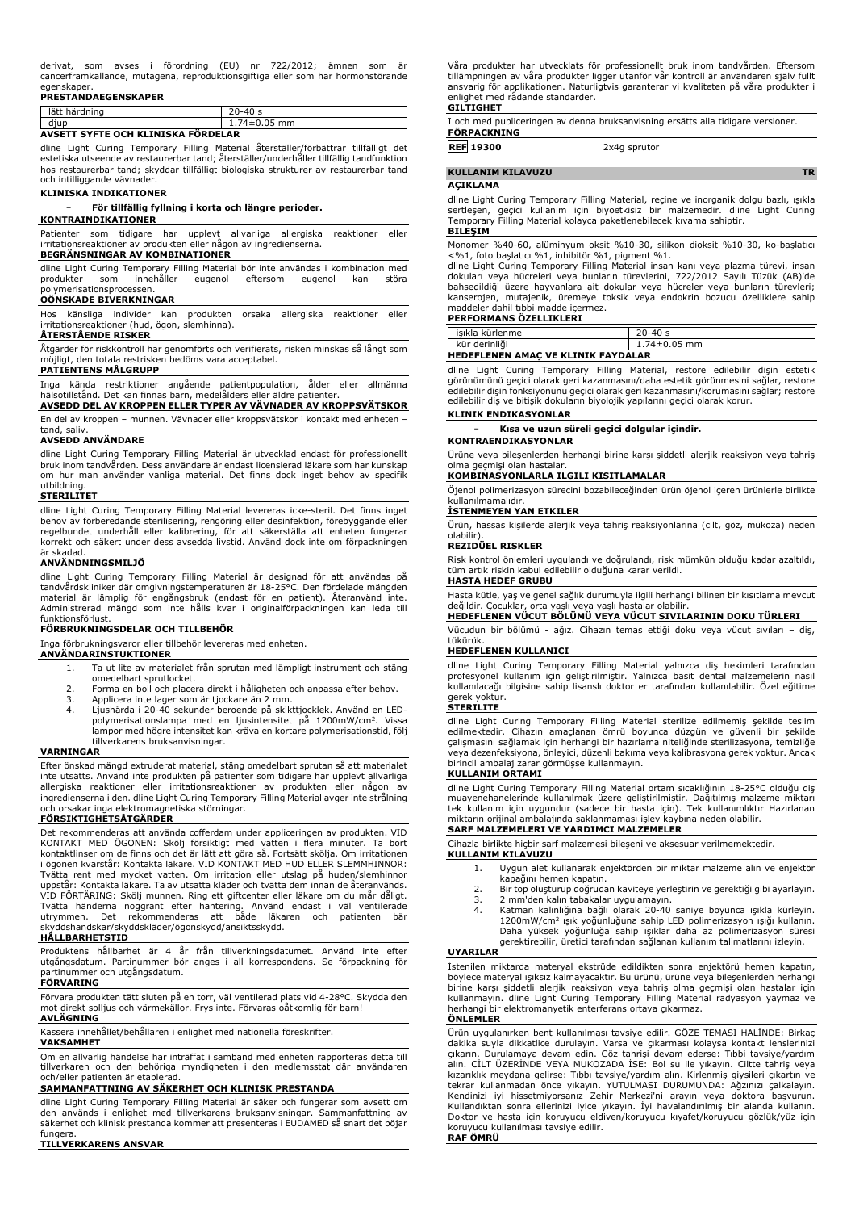|              |  | derivat, som avses i förordning (EU) nr 722/2012; ämnen som är                  |  |  |  |
|--------------|--|---------------------------------------------------------------------------------|--|--|--|
|              |  | cancerframkallande, mutagena, reproduktionsgiftiga eller som har hormonstörande |  |  |  |
| agonolinnas. |  |                                                                                 |  |  |  |

# egenskaper. **PRESTANDAEGENSKAPER**

| lätt härdning                      | $20 - 40s$         |  |
|------------------------------------|--------------------|--|
| diup                               | $1.74 \pm 0.05$ mm |  |
| AVSETT SYFTE OCH KLINISKA FÖRDELAR |                    |  |

dline Light Curing Temporary Filling Material återställer/förbättrar tillfälligt det<br>estetiska utseende av restaurerbar tand; återställer/underhåller tillfällig tandfunktion hos restaurerbar tand; skyddar tillfälligt biologiska strukturer av restaurerbar tand och intilliggande vävnader.

#### **KLINISKA INDIKATIONER**

#### − **För tillfällig fyllning i korta och längre perioder.**

#### **KONTRAINDIKATIONER**

Patienter som tidigare har upplevt allvarliga allergiska reaktioner eller irritationsreaktioner av produkten eller någon av ingredienserna.

# **BEGRÄNSNINGAR AV KOMBINATIONER**

dline Light Curing Temporary Filling Material bör inte användas i kombination med produkter som innehåller eugenol eftersom eugenol kan störa polymerisationsprocessen.

#### **OÖNSKADE BIVERKNINGAR**

Hos känsliga individer kan produkten orsaka allergiska reaktioner eller irritationsreaktioner (hud, ögon, slemhinna).

### **ÅTERSTÅENDE RISKER**

Åtgärder för riskkontroll har genomförts och verifierats, risken minskas så långt som möjligt, den totala restrisken bedöms vara acceptabel.

### **PATIENTENS MÅLGRUPP**

Inga kända restriktioner angående patientpopulation, ålder eller allmänna hälsotillstånd. Det kan finnas barn, medelålders eller äldre patienter.

**AVSEDD DEL AV KROPPEN ELLER TYPER AV VÄVNADER AV KROPPSVÄTSKOR** En del av kroppen – munnen. Vävnader eller kroppsvätskor i kontakt med enheten –

tand, saliv.

### **AVSEDD ANVÄNDARE**

dline Light Curing Temporary Filling Material är utvecklad endast för professionellt bruk inom tandvården. Dess användare är endast licensierad läkare som har kunskap om hur man använder vanliga material. Det finns dock inget behov av specifik utbildning.

### **STERILITET**

dline Light Curing Temporary Filling Material levereras icke-steril. Det finns inget<br>behov av förberedande sterilisering, rengöring eller desinfektion, förebyggande eller<br>regelbundet underhåll eller kalibrering, för att sä är skadad.

#### **ANVÄNDNINGSMILJÖ**

dline Light Curing Temporary Filling Material är designad för att användas på tandvårdskliniker där omgivningstemperaturen är 18-25°C. Den fördelade mängden material är lämplig för engångsbruk (endast för en patient). Återanvänd inte. Administrerad mängd som inte hålls kvar i originalförpackningen kan leda till funktionsförlust.

#### **FÖRBRUKNINGSDELAR OCH TILLBEHÖR**

Inga förbrukningsvaror eller tillbehör levereras med enheten.

#### **ANVÄNDARINSTUKTIONER**

- 1. Ta ut lite av materialet från sprutan med lämpligt instrument och stäng omedelbart sprutlocket.
- 2. Forma en boll och placera direkt i håligheten och anpassa efter behov.<br>3. Applicera inte lager som är tiockare än 2 mm.
- 
- 3. Applicera inte lager som är tjockare än 2 mm. 4. Ljushärda i 20-40 sekunder beroende på skikttjocklek. Använd en LEDpolymerisationslampa med en ljusintensitet på 1200mW/cm<sup>2</sup>. Vissa<br>lampor med högre intensitet kan kräva en kortare polymerisationstid, följ tillverkarens bruksanvisningar.

#### **VARNINGAR**

Efter önskad mängd extruderat material, stäng omedelbart sprutan så att materialet inte utsätts. Använd inte produkten på patienter som tidigare har upplevt allvarliga allergiska reaktioner eller irritationsreaktioner av produkten eller någon av ingredienserna i den. dline Light Curing Temporary Filling Material avger inte strålning och orsakar inga elektromagnetiska störningar.

#### **FÖRSIKTIGHETSÅTGÄRDER**

Det rekommenderas att använda cofferdam under appliceringen av produkten. VID KONTAKT MED ÖGONEN: Skölj försiktigt med vatten i flera minuter. Ta bort kontaktlinser om de finns och det är lätt att göra så. Fortsätt skölja. Om irritationen i ögonen kvarstår: Kontakta läkare. VID KONTAKT MED HUD ELLER SLEMMHINNOR: Tvätta rent med mycket vatten. Om irritation eller utslag på huden/slemhinnor uppstår: Kontakta läkare. Ta av utsatta kläder och tvätta dem innan de återanvänds. VID FORTARING: Skölj munnen. Ring ett giftcenter eller läkare om du mår dåligt.<br>Tvätta händerna noggrant efter hantering. Använd endast i väl ventilerade<br>utrymmen. Det rekommenderas att både läkaren och patienten b skyddshandskar/skyddskläder/ögonskydd/ansiktsskydd.

#### **HÅLLBARHETSTID**

Produktens hållbarhet är 4 år från tillverkningsdatumet. Använd inte efter utgångsdatum. Partinummer bör anges i all korrespondens. Se förpackning för partinummer och utgångsdatum.

# **FÖRVARING**

Förvara produkten tätt sluten på en torr, väl ventilerad plats vid 4-28°C. Skydda den mot direkt solljus och värmekällor. Frys inte. Förvaras oåtkomlig för barn! **AVLÄGNING**

Kassera innehållet/behållaren i enlighet med nationella föreskrifter.

# **VAKSAMHET**

Om en allvarlig händelse har inträffat i samband med enheten rapporteras detta till tillverkaren och den behöriga myndigheten i den medlemsstat där användaren och/eller patienten är etablerad.

### **SAMMANFATTNING AV SÄKERHET OCH KLINISK PRESTANDA**

dline Light Curing Temporary Filling Material är säker och fungerar som avsett om den används i enlighet med tillverkarens bruksanvisningar. Sammanfattning av säkerhet och klinisk prestanda kommer att presenteras i EUDAMED så snart det böjar fungera.

**TILLVERKARENS ANSVAR**

Våra produkter har utvecklats för professionellt bruk inom tandvården. Eftersom tillämpningen av våra produkter ligger utanför vår kontroll är användaren själv fullt ansvarig för applikationen. Naturligtvis garanterar vi kvaliteten på våra produkter i enlighet med rådande standarder. **GILTIGHET**

I och med publiceringen av denna bruksanvisning ersätts alla tidigare versioner. **FÖRPACKNING**

**REF 19300** 2x4g sprutor

# **KULLANIM KILAVUZU TR**

### **AÇIKLAMA**

dline Light Curing Temporary Filling Material, reçine ve inorganik dolgu bazlı, ışıkla<br>sertleşen, geçici kullanım için biyoetkisiz bir malzemedir. dline Light Curing<br>Temporary Filling Material kolayca paketlenebil

# **BILEŞIM**

Monomer %40-60, alüminyum oksit %10-30, silikon dioksit %10-30, ko-başlatıcı <%1, foto başlatıcı %1, inhibitör %1, pigment %1.

dline Light Curing Temporary Filling Material insan kanı veya plazma türevi, insan dokuları veya hücreleri veya bunların türevlerini, 722/2012 Sayılı Tüzük (AB)'de bahsedildiği üzere hayvanlara ait dokular veya hücreler veya bunların türevleri; kanserojen, mutajenik, üremeye toksik veya endokrin bozucu özelliklere sahip maddeler dahil tıbbi madde içermez.

#### **PERFORMANS ÖZELLIKLERI**

|                                           | isıkla kürlenme | $20 - 40s$         |
|-------------------------------------------|-----------------|--------------------|
|                                           | kür derinliği   | $1.74 \pm 0.05$ mm |
| <b>HEDEFLENEN AMAC VE KLINIK FAYDALAR</b> |                 |                    |

dline Light Curing Temporary Filling Material, restore edilebilir dişin estetik<br>görünümünü geçici olarak geri kazanmasını/daha estetik görünmesini sağlar, restore<br>edilebilir dişin fonksiyonunu geçici olarak geri k edilebilir diş ve bitişik dokuların biyolojik yapılarını geçici olarak korur.

### **KLINIK ENDIKASYONLAR**

− **Kısa ve uzun süreli geçici dolgular içindir.**

**KONTRAENDIKASYONLAR** Ürüne veya bileşenlerden herhangi birine karşı şiddetli alerjik reaksiyon veya tahriş olma geçmişi olan hastalar.

# **KOMBINASYONLARLA ILGILI KISITLAMALAR**

Öjenol polimerizasyon sürecini bozabileceğinden ürün öjenol içeren ürünlerle birlikte kullanılmamalıdır.

# **İSTENMEYEN YAN ETKILER**

Ürün, hassas kişilerde alerjik veya tahriş reaksiyonlarına (cilt, göz, mukoza) neden olabilir). **REZIDÜEL RISKLER**

Risk kontrol önlemleri uygulandı ve doğrulandı, risk mümkün olduğu kadar azaltıldı, tüm artık riskin kabul edilebilir olduğuna karar verildi.

### **HASTA HEDEF GRUBU**

Hasta kütle, yaş ve genel sağlık durumuyla ilgili herhangi bilinen bir kısıtlama mevcut değildir. Çocuklar, orta yaşlı veya yaşlı hastalar olabilir. **HEDEFLENEN VÜCUT BÖLÜMÜ VEYA VÜCUT SIVILARININ DOKU TÜRLERI**

Vücudun bir bölümü - ağız. Cihazın temas ettiği doku veya vücut sıvıları – diş, tükürük.

# **HEDEFLENEN KULLANICI**

dline Light Curing Temporary Filling Material yalnızca diş hekimleri tarafından profesyonel kullanım için geliştirilmiştir. Yalnızca basit dental malzemelerin nasıl kullanılacağı bilgisine sahip lisanslı doktor er tarafından kullanılabilir. Özel eğitime gerek yoktur.

#### **STERILITE**

dline Light Curing Temporary Filling Material sterilize edilmemiş şekilde teslim edilmektedir. Cihazın amaçlanan ömrü boyunca düzgün ve güvenli bir şekilde çalışmasını sağlamak için herhangi bir hazırlama niteliğinde sterilizasyona, temizliğe veya dezenfeksiyona, önleyici, düzenli bakıma veya kalibrasyona gerek yoktur. Ancak birincil ambalaj zarar görmüşse kullanmayın.

#### **KULLANIM ORTAMI**

dline Light Curing Temporary Filling Material ortam sıcaklığının 18-25°C olduğu diş muayenehanelerinde kullanılmak üzere geliştirilmiştir. Dağıtılmış malzeme miktarı<br>tek kullanım için uygundur (sadece bir hasta için). Tek kullanımlıktır Hazırlanan<br>miktarın orijinal ambalajında saklanmaması işlev kaybına n **SARF MALZEMELERI VE YARDIMCI MALZEMELER**

# Cihazla birlikte hiçbir sarf malzemesi bileşeni ve aksesuar verilmemektedir.

**KULLANIM KILAVUZU**

- 1. Uygun alet kullanarak enjektörden bir miktar malzeme alın ve enjektör kapağını hemen kapatın.
- 2. Bir top oluşturup doğrudan kaviteye yerleştirin ve gerektiği gibi ayarlayın.
- 3. 2 mm'den kalın tabakalar uygulamayın. 4. Katman kalınlığına bağlı olarak 20-40 saniye boyunca ışıkla kürleyin. 1200mW/cm<sup>2</sup> ışık yoğunluğuna sahip LED polimerizasyon ışığı kullanın. Daha yüksek yoğunluğa sahip ışıklar daha az polimerizasyon süresi

#### gerektirebilir, üretici tarafından sağlanan kullanım talimatlarını izleyin.

**UYARILAR**

İstenilen miktarda materyal ekstrüde edildikten sonra enjektörü hemen kapatın, böylece materyal ışıksız kalmayacaktır. Bu ürünü, ürüne veya bileşenlerden herhangi birine karşı şiddetli alerjik reaksiyon veya tahriş olma geçmişi olan hastalar için kullanmayın. dline Light Curing Temporary Filling Material radyasyon yaymaz ve herhangi bir elektromanyetik enterferans ortaya çıkarmaz. **ÖNLEMLER**

Ürün uygulanırken bent kullanılması tavsiye edilir. GÖZE TEMASI HALİNDE: Birkaç dakika suyla dikkatlice durulayın. Varsa ve çıkarması kolaysa kontakt lenslerinizi çıkarın. Durulamaya devam edin. Göz tahrişi devam ederse: Tıbbi tavsiye/yardım alın. CILT UZERINDE VEYA MUKOZADA ISE: Bol su ile yıkayın. Ciltte tahriş veya<br>kızarıklık meydana gelirse: Tıbbı tavsiye/yardım alın. Kirlenmiş giysileri çıkartın ve<br>tekrar kullanmadan önce yıkayın. YUTULMASI DURUMUNDA: Ağz Kullandıktan sonra ellerinizi iyice yıkayın. İyi havalandırılmış bir alanda kullanın. Doktor ve hasta için koruyucu eldiven/koruyucu kıyafet/koruyucu gözlük/yüz için koruyucu kullanılması tavsiye edilir. **RAF ÖMRÜ**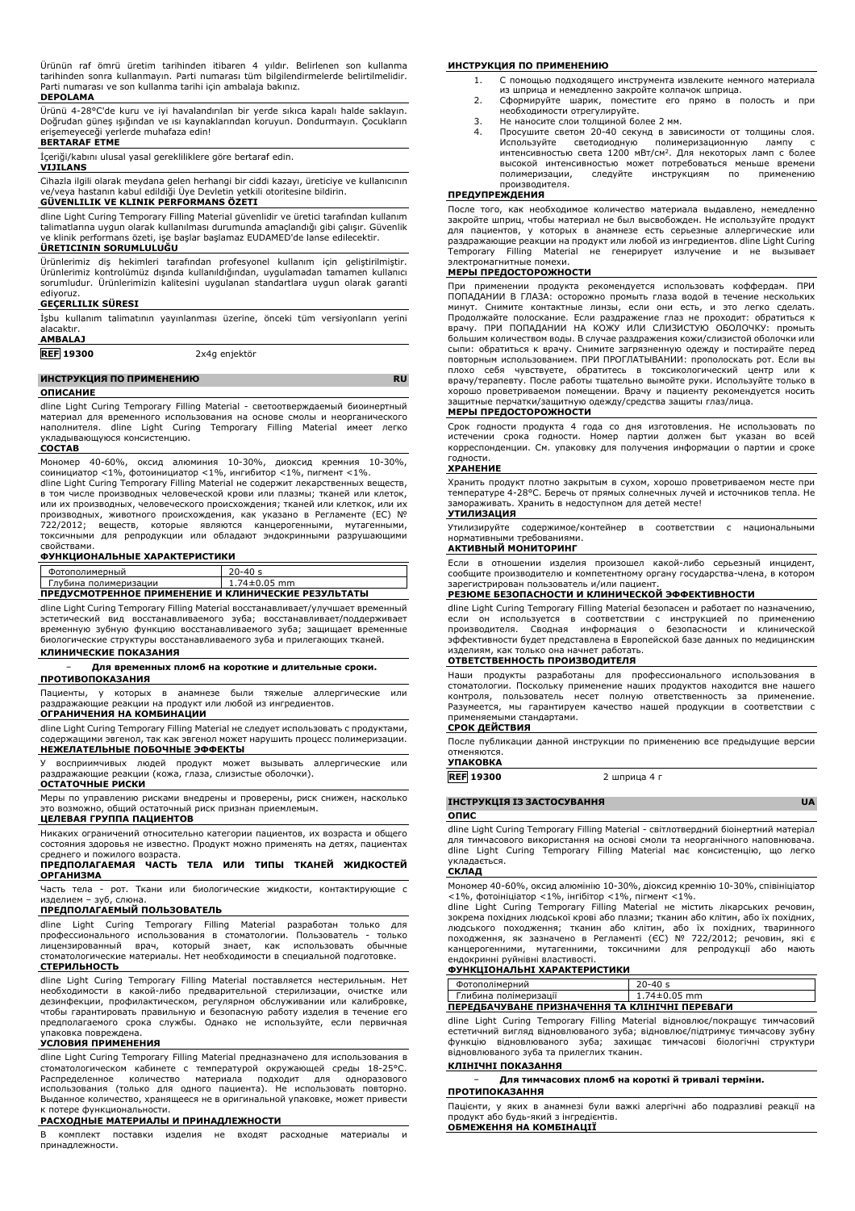Ürünün raf ömrü üretim tarihinden itibaren 4 yıldır. Belirlenen son kullanma tarihinden sonra kullanmayın. Parti numarası tüm bilgilendirmelerde belirtilmelidir. Parti numarası ve son kullanma tarihi için ambalaja bakınız.

#### **DEPOLAMA**

Ürünü 4-28°C'de kuru ve iyi havalandırılan bir yerde sıkıca kapalı halde saklayın. Doğrudan güneş ışığından ve ısı kaynaklarından koruyun. Dondurmayın. Çocukların erişemeyeceği yerlerde muhafaza edin!

**BERTARAF ETME**

İçeriği/kabını ulusal yasal gerekliliklere göre bertaraf edin. **VIJILANS**

Cihazla ilgili olarak meydana gelen herhangi bir ciddi kazayı, üreticiye ve kullanıcının ve/veya hastanın kabul edildiği Üye Devletin yetkili otoritesine bildirin.

## **GÜVENLILIK VE KLINIK PERFORMANS ÖZETI**

dline Light Curing Temporary Filling Material güvenlidir ve üretici tarafından kullanım talimatlarına uygun olarak kullanılması durumunda amaçlandığı gibi çalışır. Güvenlik ve klinik performans özeti, işe başlar başlamaz EUDAMED'de lanse edilecektir. **ÜRETICININ SORUMLULUĞU**<br> **ÜRETICININ SORUMLULUĞU** 

Ürünlerimiz diş hekimleri tarafından profesyonel kullanım için geliştirilmiştir. Ürünlerimiz kontrolümüz dışında kullanıldığından, uygulamadan tamamen kullanıcı sorumludur. Ürünlerimizin kalitesini uygulanan standartlara uygun olarak garanti ediyoruz.

# **GEÇERLILIK SÜRESI**

İşbu kullanım talimatının yayınlanması üzerine, önceki tüm versiyonların yerini alacaktır.

**AMBALAJ**

**REF 19300** 2x4g enjektör

#### **ИНСТРУКЦИЯ ПО ПРИМЕНЕНИЮ RU**

#### **ОПИСАНИЕ**

dline Light Curing Temporary Filling Material - светоотверждаемый биоинертный материал для временного использования на основе смолы и неорганического наполнителя. dline Light Curing Temporary Filling Material имеет легко укладывающуюся консистенцию.

#### **СОСТАВ**

Мономер 40-60%, оксид алюминия 10-30%, диоксид кремния 10-30%, соинициатор <1%, фотоинициатор <1%, ингибитор <1%, пигмент <1%.

dline Light Curing Temporary Filling Material не содержит лекарственных веществ, в том числе производных человеческой крови или плазмы; тканей или клеток, или их производных, человеческого происхождения; тканей или клеткок, или их производных, животного происхождения, как указано в Регламенте (ЕС) № 722/2012; веществ, которые являются канцерогенными, мутагенными, токсичными для репродукции или обладают эндокринными разрушающими свойствами.

# **ФУНКЦИОНАЛЬНЫЕ ХАРАКТЕРИСТИКИ**

| Фотополимерный                                      | $20 - 40s$         |  |
|-----------------------------------------------------|--------------------|--|
| Глубина полимеризации                               | $1.74 \pm 0.05$ mm |  |
| ПРЕДУСМОТРЕННОЕ ПРИМЕНЕНИЕ И КЛИНИЧЕСКИЕ РЕЗУЛЬТАТЫ |                    |  |

dline Light Curing Temporary Filling Material восстанавливает/улучшает временный эстетический вид восстанавливаемого зуба; восстанавливает/поддерживает временную зубную функцию восстанавливаемого зуба; защищает временные биологические структуры восстанавливаемого зуба и прилегающих тканей.

### **КЛИНИЧЕСКИЕ ПОКАЗАНИЯ**

− **Для временных пломб на короткие и длительные сроки.**

# **ПРОТИВОПОКАЗАНИЯ**

Пациенты, у которых в анамнезе были тяжелые аллергические или раздражающие реакции на продукт или любой из ингредиентов. **ОГРАНИЧЕНИЯ НА КОМБИНАЦИИ**

dline Light Curing Temporary Filling Material не следует использовать с продуктами, содержащими эвгенол, так как эвгенол может нарушить процесс полимеризации. **НЕЖЕЛАТЕЛЬНЫЕ ПОБОЧНЫЕ ЭФФЕКТЫ**

У восприимчивых людей продукт может вызывать аллергические или раздражающие реакции (кожа, глаза, слизистые оболочки). **ОСТАТОЧНЫЕ РИСКИ**

Меры по управлению рисками внедрены и проверены, риск снижен, насколько это возможно, общий остаточный риск признан приемлемым.

### **ЦЕЛЕВАЯ ГРУППА ПАЦИЕНТОВ**

Никаких ограничений относительно категории пациентов, их возраста и общего состояния здоровья не известно. Продукт можно применять на детях, пациентах среднего и пожилого возраста.

### **ПРЕДПОЛАГАЕМАЯ ЧАСТЬ ТЕЛА ИЛИ ТИПЫ ТКАНЕЙ ЖИДКОСТЕЙ ОРГАНИЗМА**

Часть тела - рот. Ткани или биологические жидкости, контактирующие с изделием – зуб, слюна. **ПРЕДПОЛАГАЕМЫЙ ПОЛЬЗОВАТЕЛЬ**

dline Light Curing Temporary Filling Material разработан только профессионального использования в стоматологии. Пользователь - только лицензированный врач, который знает, как использовать обычные стоматологические материалы. Нет необходимости в специальной подготовке. **СТЕРИЛЬНОСТЬ**

dline Light Curing Temporary Filling Material поставляется нестерильным. Нет необходимости в какой-либо предварительной стерилизации, очистке или дезинфекции, профилактическом, регулярном обслуживании или калибровке, чтобы гарантировать правильную и безопасную работу изделия в течение его предполагаемого срока службы. Однако не используйте, если первичная упаковка повреждена.

#### **УСЛОВИЯ ПРИМЕНЕНИЯ**

dline Light Curing Temporary Filling Material предназначено для использования в стоматологическом кабинете с температурой окружающей среды 18-25°C. Распределенное количество материала подходит для одноразового использования (только для одного пациента). Не использовать повторно. Выданное количество, хранящееся не в оригинальной упаковке, может привести к потере функциональности.

#### **РАСХОДНЫЕ МАТЕРИАЛЫ И ПРИНАДЛЕЖНОСТИ**

В комплект поставки изделия не входят расходные материалы и принадлежности.

#### **ИНСТРУКЦИЯ ПО ПРИМЕНЕНИЮ**

- 1. С помощью подходящего инструмента извлеките немного материала из шприца и немедленно закройте колпачок шприца.
- 2. Сформируйте шарик, поместите его прямо в полость и при необходимости отрегулируйте.
- 3. Не наносите слои толщиной более 2 мм.
- Просушите светом 20-40 секунд в зависимости от толщины слоя.<br>Используйте светодиодную полимеризационную дампу с Используйте светодиодную полимеризационную лампу с<br>интенсивностью света 1200 мВт/см<sup>2</sup>. Для некоторых ламп с более высокой интенсивностью может потребоваться меньше времени<br>полимеризации, следуйте инструкциям по применению полимеризации, следуйте инструкциям по применению производителя.

# **ПРЕДУПРЕЖДЕНИЯ**

После того, как необходимое количество материала выдавлено, немедленно закройте шприц, чтобы материал не был высвобожден. Не используйте продукт для пациентов, у которых в анамнезе есть серьезные аллергические или раздражающие реакции на продукт или любой из ингредиентов. dline Light Curing Temporary Filling Material не генерирует излучение и не вызывает

# электромагнитные помехи. **МЕРЫ ПРЕДОСТОРОЖНОСТИ**

При применении продукта рекомендуется использовать коффердам. ПРИ<br>ПОПАДАНИИ В ГЛАЗА: осторожно промыть глаза водой в течение нескольких<br>минут. Снимите контактные линзы, если они есть, и это легко сделать. Продолжайте полоскание. Если раздражение глаз не проходит: обратиться к врачу. ПРИ ПОПАДАНИИ НА КОЖУ ИЛИ СЛИЗИСТУЮ ОБОЛОЧКУ: промыть большим количеством воды. В случае раздражения кожи/слизистой оболочки или сыпи: обратиться к врачу. Снимите загрязненную одежду и постирайте перед повторным использованием. ПРИ ПРОГЛАТЫВАНИИ: прополоскать рот. Если вы плохо себя чувствуете, обратитесь в токсикологический центр или к врачу/терапевту. После работы тщательно вымойте руки. Используйте только в хорошо проветриваемом помещении. Врачу и пациенту рекомендуется носить защитные перчатки/защитную одежду/средства защиты глаз/лица.

## **МЕРЫ ПРЕДОСТОРОЖНОСТИ**

Срок годности продукта 4 года со дня изготовления. Не использовать по истечении срока годности. Номер партии должен быт указан во всей корреспонденции. См. упаковку для получения информации о партии и сроке годности.

#### **ХРАНЕНИЕ**

Хранить продукт плотно закрытым в сухом, хорошо проветриваемом месте при температуре 4-28°C. Беречь от прямых солнечных лучей и источников тепла. Не замораживать. Хранить в недоступном для детей месте! **УТИЛИЗАЦИЯ**

Утилизируйте содержимое/контейнер в соответствии с национальными нормативными требованиями. **АКТИВНЫЙ МОНИТОРИНГ**

Если в отношении изделия произошел какой-либо серьезный инцидент, сообщите производителю и компетентному органу государства-члена, в котором зарегистрирован пользователь и/или пациент. **РЕЗЮМЕ БЕЗОПАСНОСТИ И КЛИНИЧЕСКОЙ ЭФФЕКТИВНОСТИ**

dline Light Curing Temporary Filling Material безопасен и работает по назначению, если он используется в соответствии с инструкцией по применению<br>производителя. Сводная информация о безопасности и клинической<br>эффективностибудет представлена в Европейской базе данных по медицинским изделиям, как только она начнет работать.

### **ОТВЕТСТВЕННОСТЬ ПРОИЗВОДИТЕЛЯ**

Наши продукты разработаны для профессионального использования в стоматологии. Поскольку применение наших продуктов находится вне нашего<br>контроля, пользователь несет полную ответственность за применение.<br>Разумеется, мы гарантируем качество нашей продукции в соответствии с применяемыми стандартами.

# **СРОК ДЕЙСТВИЯ**

После публикации данной инструкции по применению все предыдущие версии отменяются. **УПАКОВКА**

**REF 19300** 2 шприца 4 г

### **ІНСТРУКЦІЯ ІЗ ЗАСТОСУВАННЯ UA**

### **ОПИС**

dline Light Curing Temporary Filling Material - світлотвердний біоінертний матеріал для тимчасового використання на основі смоли та неорганічного наповнювача. dline Light Curing Temporary Filling Material має консистенцію, що легко укладається.

# **СКЛАД**

Мономер 40-60%, оксид алюмінію 10-30%, діоксид кремнію 10-30%, співініціатор <1%, фотоініціатор <1%, інгібітор <1%, пігмент <1%.

dline Light Curing Temporary Filling Material не містить лікарських речовин, зокрема похідних людської крові або плазми; тканин або клітин, або їх похідних,<br>людського походження; тканин або клітин, або їх похідних, тваринного<br>походження, як зазначено в Регламенті (ЄС) № канцерогенними, мутагенними, токсичними для репродукції або мають ендокринні руйнівні властивості. **ФУНКЦІОНАЛЬНІ ХАРАКТЕРИСТИКИ**

| Фотополімерний                                 | $20 - 40s$         |  |
|------------------------------------------------|--------------------|--|
| Глибина полімеризації                          | $1.74 \pm 0.05$ mm |  |
| ПЕРЕДБАЧУВАНЕ ПРИЗНАЧЕННЯ ТА КЛІНІЧНІ ПЕРЕВАГИ |                    |  |

dline Light Curing Temporary Filling Material відновлює/покращує тимчасовий естетичний вигляд відновлюваного зуба; відновлює/підтримує тимчасову зубну функцію відновлюваного зуба; захищає тимчасові біологічні структури відновлюваного зуба та прилеглих тканин.

# **КЛІНІЧНІ ПОКАЗАННЯ**

− **Для тимчасових пломб на короткі й тривалі терміни. ПРОТИПОКАЗАННЯ**

Пацієнти, у яких в анамнезі були важкі алергічні або подразливі реакції на продукт або будь-який з інгредієнтів. **ОБМЕЖЕННЯ НА КОМБІНАЦІЇ**